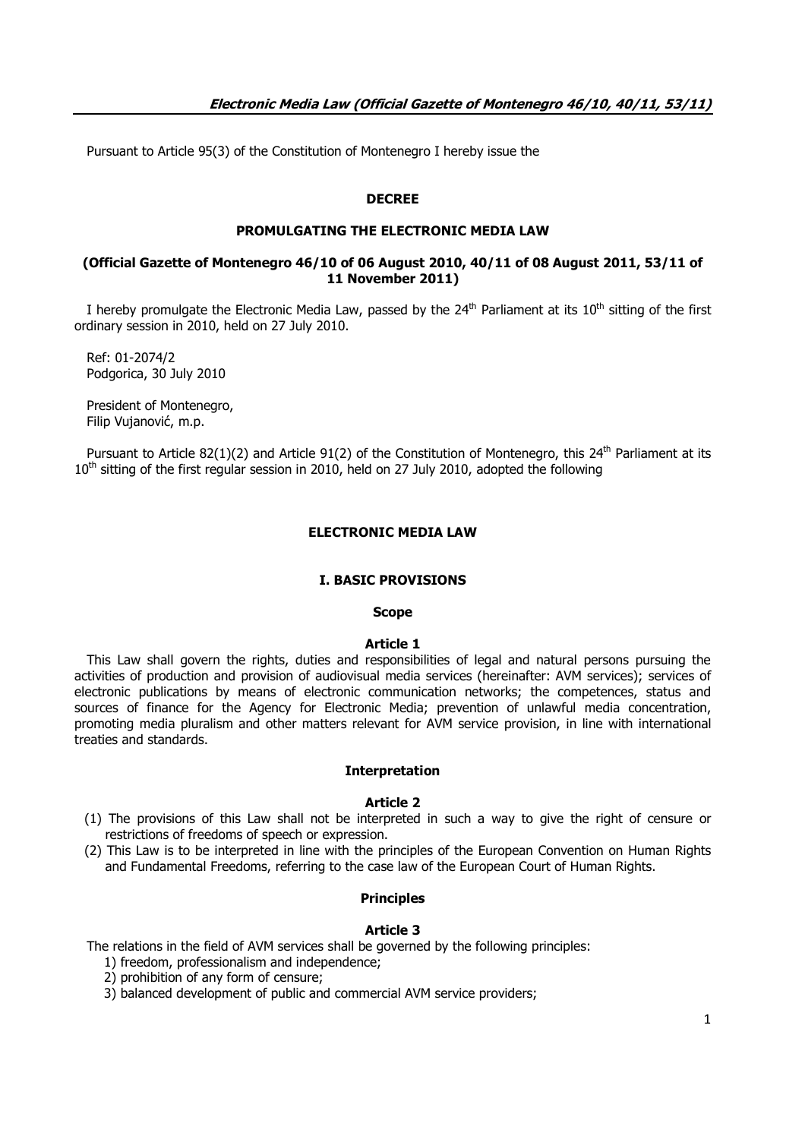Pursuant to Article 95(3) of the Constitution of Montenegro I hereby issue the

### **DECREE**

## **PROMULGATING THE ELECTRONIC MEDIA LAW**

### **(Official Gazette of Montenegro 46/10 of 06 August 2010, 40/11 of 08 August 2011, 53/11 of 11 November 2011)**

I hereby promulgate the Electronic Media Law, passed by the  $24<sup>th</sup>$  Parliament at its  $10<sup>th</sup>$  sitting of the first ordinary session in 2010, held on 27 July 2010.

 Ref: 01-2074/2 Podgorica, 30 July 2010

 President of Montenegro, Filip Vujanović, m.p.

Pursuant to Article 82(1)(2) and Article 91(2) of the Constitution of Montenegro, this 24<sup>th</sup> Parliament at its  $10<sup>th</sup>$  sitting of the first regular session in 2010, held on 27 July 2010, adopted the following

# **ELECTRONIC MEDIA LAW**

#### **I. BASIC PROVISIONS**

#### **Scope**

### **Article 1**

 This Law shall govern the rights, duties and responsibilities of legal and natural persons pursuing the activities of production and provision of audiovisual media services (hereinafter: AVM services); services of electronic publications by means of electronic communication networks; the competences, status and sources of finance for the Agency for Electronic Media; prevention of unlawful media concentration, promoting media pluralism and other matters relevant for AVM service provision, in line with international treaties and standards.

#### **Interpretation**

#### **Article 2**

- (1) The provisions of this Law shall not be interpreted in such a way to give the right of censure or restrictions of freedoms of speech or expression.
- (2) This Law is to be interpreted in line with the principles of the European Convention on Human Rights and Fundamental Freedoms, referring to the case law of the European Court of Human Rights.

#### **Principles**

#### **Article 3**

The relations in the field of AVM services shall be governed by the following principles:

- 1) freedom, professionalism and independence;
- 2) prohibition of any form of censure;
- 3) balanced development of public and commercial AVM service providers;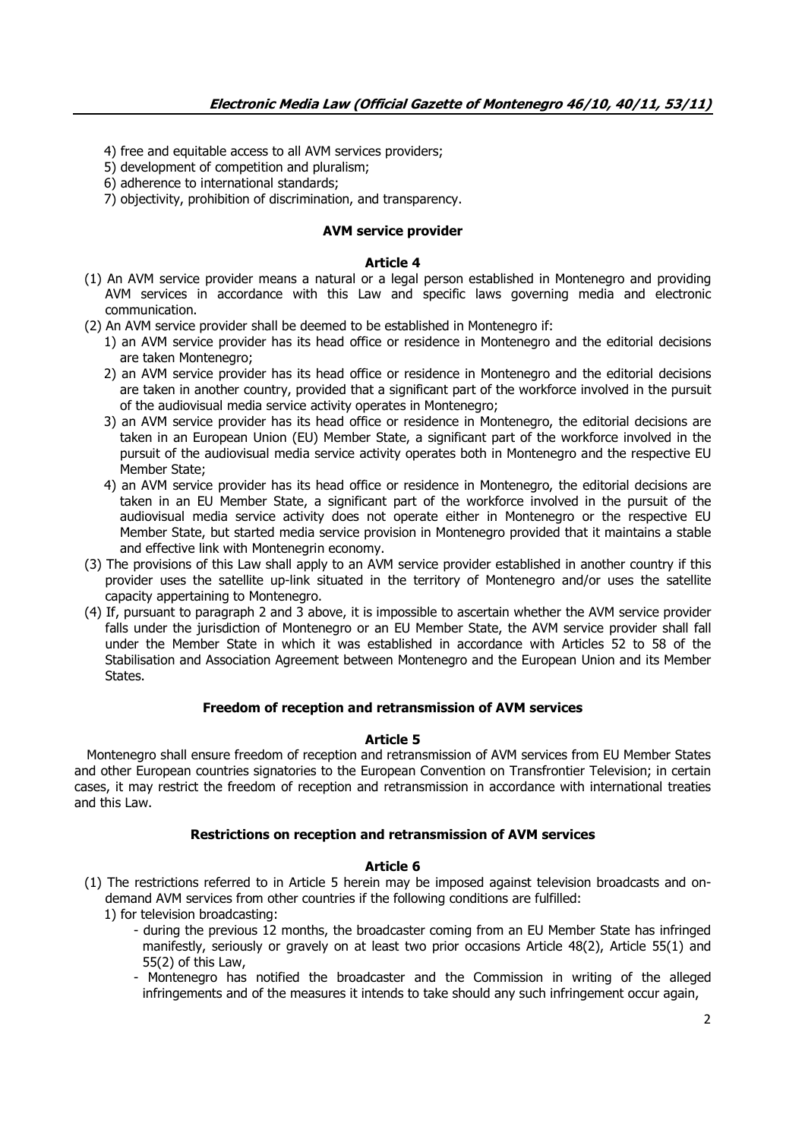- 4) free and equitable access to all AVM services providers;
- 5) development of competition and pluralism;
- 6) adherence to international standards;

7) objectivity, prohibition of discrimination, and transparency.

# **AVM service provider**

### **Article 4**

- (1) An AVM service provider means a natural or a legal person established in Montenegro and providing AVM services in accordance with this Law and specific laws governing media and electronic communication.
- (2) An AVM service provider shall be deemed to be established in Montenegro if:
	- 1) an AVM service provider has its head office or residence in Montenegro and the editorial decisions are taken Montenegro;
	- 2) an AVM service provider has its head office or residence in Montenegro and the editorial decisions are taken in another country, provided that a significant part of the workforce involved in the pursuit of the audiovisual media service activity operates in Montenegro;
	- 3) an AVM service provider has its head office or residence in Montenegro, the editorial decisions are taken in an European Union (EU) Member State, a significant part of the workforce involved in the pursuit of the audiovisual media service activity operates both in Montenegro and the respective EU Member State;
	- 4) an AVM service provider has its head office or residence in Montenegro, the editorial decisions are taken in an EU Member State, a significant part of the workforce involved in the pursuit of the audiovisual media service activity does not operate either in Montenegro or the respective EU Member State, but started media service provision in Montenegro provided that it maintains a stable and effective link with Montenegrin economy.
- (3) The provisions of this Law shall apply to an AVM service provider established in another country if this provider uses the satellite up-link situated in the territory of Montenegro and/or uses the satellite capacity appertaining to Montenegro.
- (4) If, pursuant to paragraph 2 and 3 above, it is impossible to ascertain whether the AVM service provider falls under the jurisdiction of Montenegro or an EU Member State, the AVM service provider shall fall under the Member State in which it was established in accordance with Articles 52 to 58 of the Stabilisation and Association Agreement between Montenegro and the European Union and its Member States.

# **Freedom of reception and retransmission of AVM services**

### **Article 5**

 Montenegro shall ensure freedom of reception and retransmission of AVM services from EU Member States and other European countries signatories to the European Convention on Transfrontier Television; in certain cases, it may restrict the freedom of reception and retransmission in accordance with international treaties and this Law.

### **Restrictions on reception and retransmission of AVM services**

- (1) The restrictions referred to in Article 5 herein may be imposed against television broadcasts and ondemand AVM services from other countries if the following conditions are fulfilled:
	- 1) for television broadcasting:
		- during the previous 12 months, the broadcaster coming from an EU Member State has infringed manifestly, seriously or gravely on at least two prior occasions Article 48(2), Article 55(1) and 55(2) of this Law,
		- Montenegro has notified the broadcaster and the Commission in writing of the alleged infringements and of the measures it intends to take should any such infringement occur again,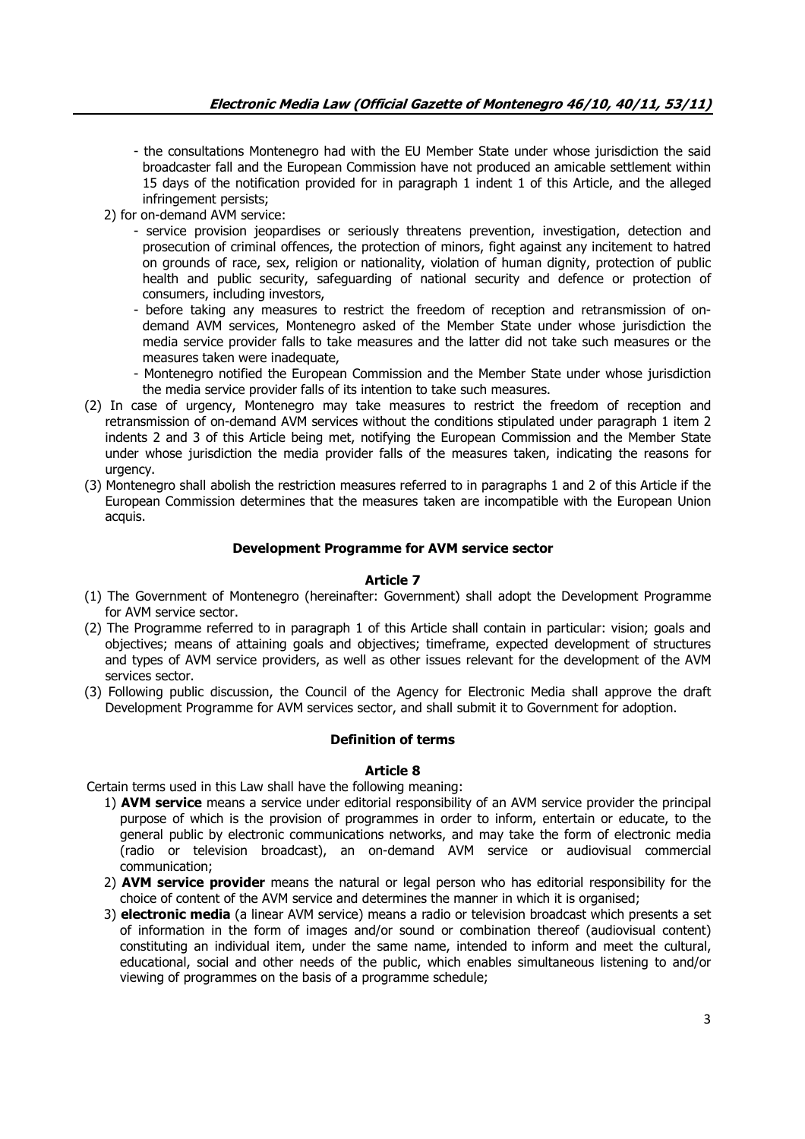- the consultations Montenegro had with the EU Member State under whose jurisdiction the said broadcaster fall and the European Commission have not produced an amicable settlement within 15 days of the notification provided for in paragraph 1 indent 1 of this Article, and the alleged infringement persists;
- 2) for on-demand AVM service:
	- service provision jeopardises or seriously threatens prevention, investigation, detection and prosecution of criminal offences, the protection of minors, fight against any incitement to hatred on grounds of race, sex, religion or nationality, violation of human dignity, protection of public health and public security, safeguarding of national security and defence or protection of consumers, including investors,
	- before taking any measures to restrict the freedom of reception and retransmission of ondemand AVM services, Montenegro asked of the Member State under whose jurisdiction the media service provider falls to take measures and the latter did not take such measures or the measures taken were inadequate,
	- Montenegro notified the European Commission and the Member State under whose jurisdiction the media service provider falls of its intention to take such measures.
- (2) In case of urgency, Montenegro may take measures to restrict the freedom of reception and retransmission of on-demand AVM services without the conditions stipulated under paragraph 1 item 2 indents 2 and 3 of this Article being met, notifying the European Commission and the Member State under whose jurisdiction the media provider falls of the measures taken, indicating the reasons for urgency.
- (3) Montenegro shall abolish the restriction measures referred to in paragraphs 1 and 2 of this Article if the European Commission determines that the measures taken are incompatible with the European Union acquis.

## **Development Programme for AVM service sector**

### **Article 7**

- (1) The Government of Montenegro (hereinafter: Government) shall adopt the Development Programme for AVM service sector.
- (2) The Programme referred to in paragraph 1 of this Article shall contain in particular: vision; goals and objectives; means of attaining goals and objectives; timeframe, expected development of structures and types of AVM service providers, as well as other issues relevant for the development of the AVM services sector.
- (3) Following public discussion, the Council of the Agency for Electronic Media shall approve the draft Development Programme for AVM services sector, and shall submit it to Government for adoption.

### **Definition of terms**

### **Article 8**

Certain terms used in this Law shall have the following meaning:

- 1) **AVM service** means a service under editorial responsibility of an AVM service provider the principal purpose of which is the provision of programmes in order to inform, entertain or educate, to the general public by electronic communications networks, and may take the form of electronic media (radio or television broadcast), an on-demand AVM service or audiovisual commercial communication;
- 2) **AVM service provider** means the natural or legal person who has editorial responsibility for the choice of content of the AVM service and determines the manner in which it is organised;
- 3) **electronic media** (a linear AVM service) means a radio or television broadcast which presents a set of information in the form of images and/or sound or combination thereof (audiovisual content) constituting an individual item, under the same name, intended to inform and meet the cultural, educational, social and other needs of the public, which enables simultaneous listening to and/or viewing of programmes on the basis of a programme schedule;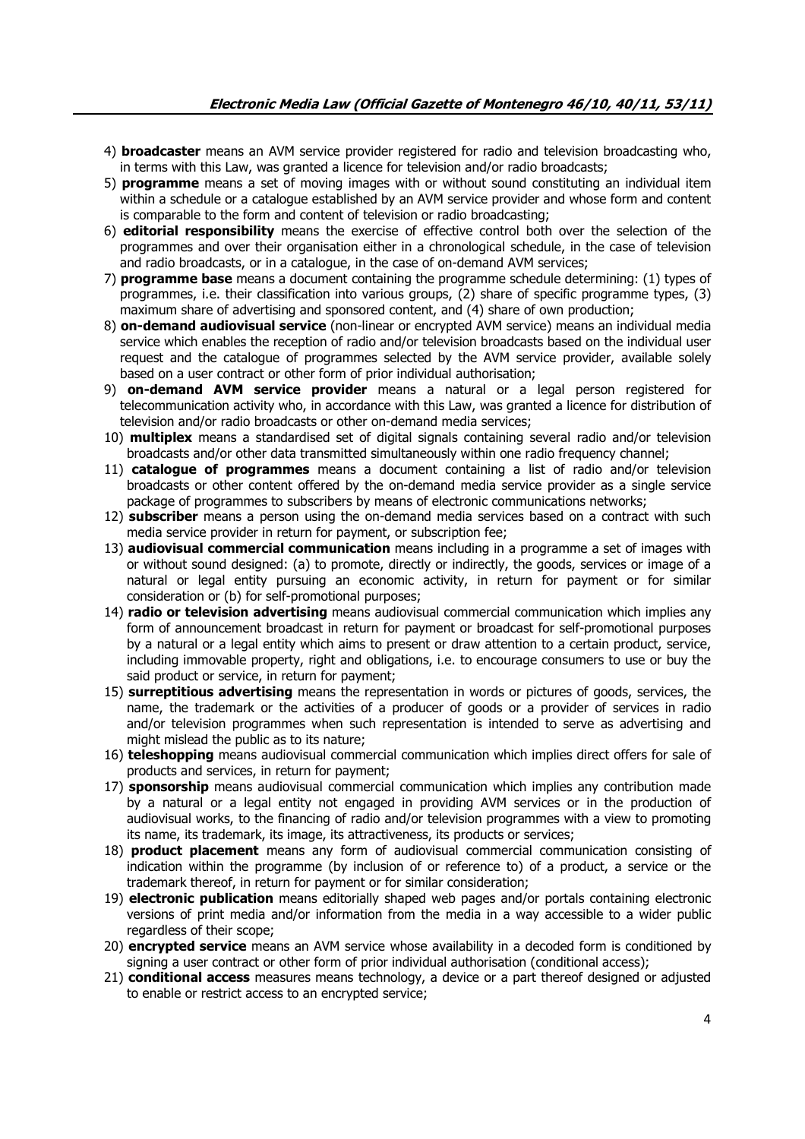- 4) **broadcaster** means an AVM service provider registered for radio and television broadcasting who, in terms with this Law, was granted a licence for television and/or radio broadcasts;
- 5) **programme** means a set of moving images with or without sound constituting an individual item within a schedule or a catalogue established by an AVM service provider and whose form and content is comparable to the form and content of television or radio broadcasting;
- 6) **editorial responsibility** means the exercise of effective control both over the selection of the programmes and over their organisation either in a chronological schedule, in the case of television and radio broadcasts, or in a catalogue, in the case of on-demand AVM services;
- 7) **programme base** means a document containing the programme schedule determining: (1) types of programmes, i.e. their classification into various groups, (2) share of specific programme types, (3) maximum share of advertising and sponsored content, and (4) share of own production;
- 8) **on-demand audiovisual service** (non-linear or encrypted AVM service) means an individual media service which enables the reception of radio and/or television broadcasts based on the individual user request and the catalogue of programmes selected by the AVM service provider, available solely based on a user contract or other form of prior individual authorisation;
- 9) **on-demand AVM service provider** means a natural or a legal person registered for telecommunication activity who, in accordance with this Law, was granted a licence for distribution of television and/or radio broadcasts or other on-demand media services;
- 10) **multiplex** means a standardised set of digital signals containing several radio and/or television broadcasts and/or other data transmitted simultaneously within one radio frequency channel;
- 11) **catalogue of programmes** means a document containing a list of radio and/or television broadcasts or other content offered by the on-demand media service provider as a single service package of programmes to subscribers by means of electronic communications networks;
- 12) **subscriber** means a person using the on-demand media services based on a contract with such media service provider in return for payment, or subscription fee;
- 13) **audiovisual commercial communication** means including in a programme a set of images with or without sound designed: (a) to promote, directly or indirectly, the goods, services or image of a natural or legal entity pursuing an economic activity, in return for payment or for similar consideration or (b) for self-promotional purposes;
- 14) **radio or television advertising** means audiovisual commercial communication which implies any form of announcement broadcast in return for payment or broadcast for self-promotional purposes by a natural or a legal entity which aims to present or draw attention to a certain product, service, including immovable property, right and obligations, i.e. to encourage consumers to use or buy the said product or service, in return for payment;
- 15) **surreptitious advertising** means the representation in words or pictures of goods, services, the name, the trademark or the activities of a producer of goods or a provider of services in radio and/or television programmes when such representation is intended to serve as advertising and might mislead the public as to its nature;
- 16) **teleshopping** means audiovisual commercial communication which implies direct offers for sale of products and services, in return for payment;
- 17) **sponsorship** means audiovisual commercial communication which implies any contribution made by a natural or a legal entity not engaged in providing AVM services or in the production of audiovisual works, to the financing of radio and/or television programmes with a view to promoting its name, its trademark, its image, its attractiveness, its products or services;
- 18) **product placement** means any form of audiovisual commercial communication consisting of indication within the programme (by inclusion of or reference to) of a product, a service or the trademark thereof, in return for payment or for similar consideration;
- 19) **electronic publication** means editorially shaped web pages and/or portals containing electronic versions of print media and/or information from the media in a way accessible to a wider public regardless of their scope;
- 20) **encrypted service** means an AVM service whose availability in a decoded form is conditioned by signing a user contract or other form of prior individual authorisation (conditional access);
- 21) **conditional access** measures means technology, a device or a part thereof designed or adjusted to enable or restrict access to an encrypted service;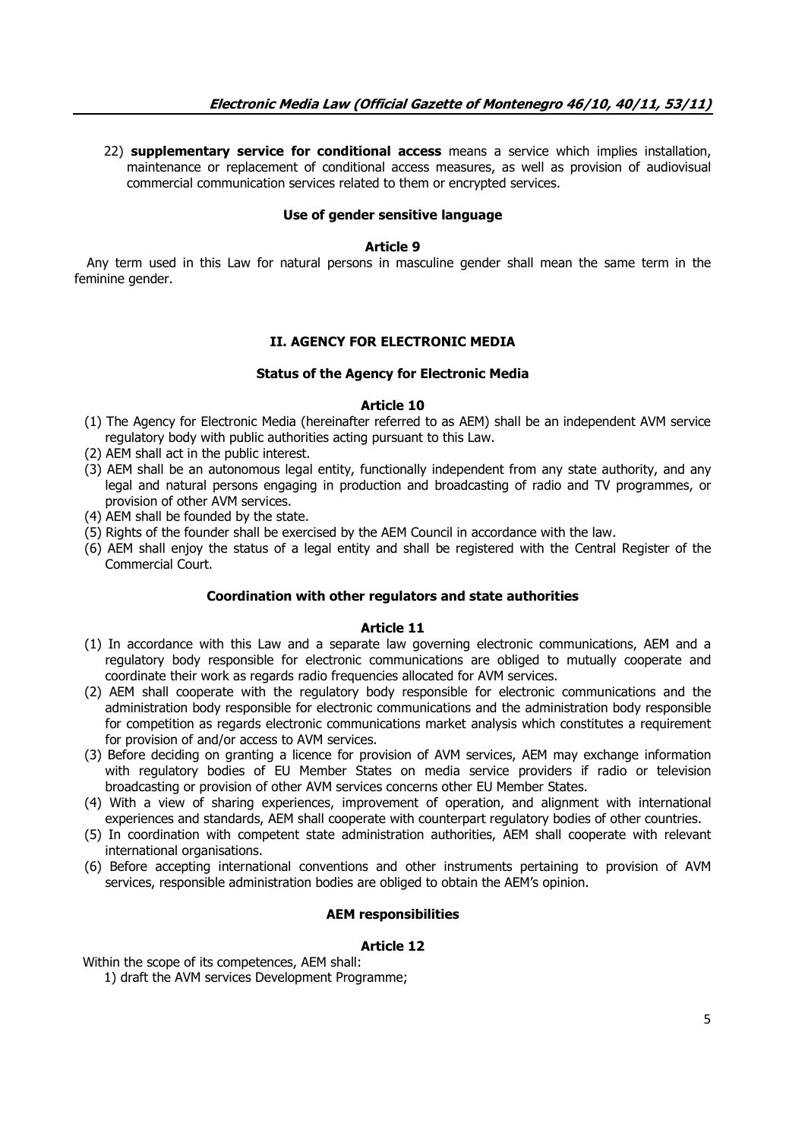22) **supplementary service for conditional access** means a service which implies installation, maintenance or replacement of conditional access measures, as well as provision of audiovisual commercial communication services related to them or encrypted services.

#### **Use of gender sensitive language**

#### **Article 9**

 Any term used in this Law for natural persons in masculine gender shall mean the same term in the feminine gender.

### **II. AGENCY FOR ELECTRONIC MEDIA**

#### **Status of the Agency for Electronic Media**

#### **Article 10**

- (1) The Agency for Electronic Media (hereinafter referred to as AEM) shall be an independent AVM service regulatory body with public authorities acting pursuant to this Law.
- (2) AEM shall act in the public interest.
- (3) AEM shall be an autonomous legal entity, functionally independent from any state authority, and any legal and natural persons engaging in production and broadcasting of radio and TV programmes, or provision of other AVM services.
- (4) AEM shall be founded by the state.
- (5) Rights of the founder shall be exercised by the AEM Council in accordance with the law.
- (6) AEM shall enjoy the status of a legal entity and shall be registered with the Central Register of the Commercial Court.

### **Coordination with other regulators and state authorities**

### **Article 11**

- (1) In accordance with this Law and a separate law governing electronic communications, AEM and a regulatory body responsible for electronic communications are obliged to mutually cooperate and coordinate their work as regards radio frequencies allocated for AVM services.
- (2) AEM shall cooperate with the regulatory body responsible for electronic communications and the administration body responsible for electronic communications and the administration body responsible for competition as regards electronic communications market analysis which constitutes a requirement for provision of and/or access to AVM services.
- (3) Before deciding on granting a licence for provision of AVM services, AEM may exchange information with regulatory bodies of EU Member States on media service providers if radio or television broadcasting or provision of other AVM services concerns other EU Member States.
- (4) With a view of sharing experiences, improvement of operation, and alignment with international experiences and standards, AEM shall cooperate with counterpart regulatory bodies of other countries.
- (5) In coordination with competent state administration authorities, AEM shall cooperate with relevant international organisations.
- (6) Before accepting international conventions and other instruments pertaining to provision of AVM services, responsible administration bodies are obliged to obtain the AEM's opinion.

### **AEM responsibilities**

### **Article 12**

Within the scope of its competences, AEM shall:

1) draft the AVM services Development Programme;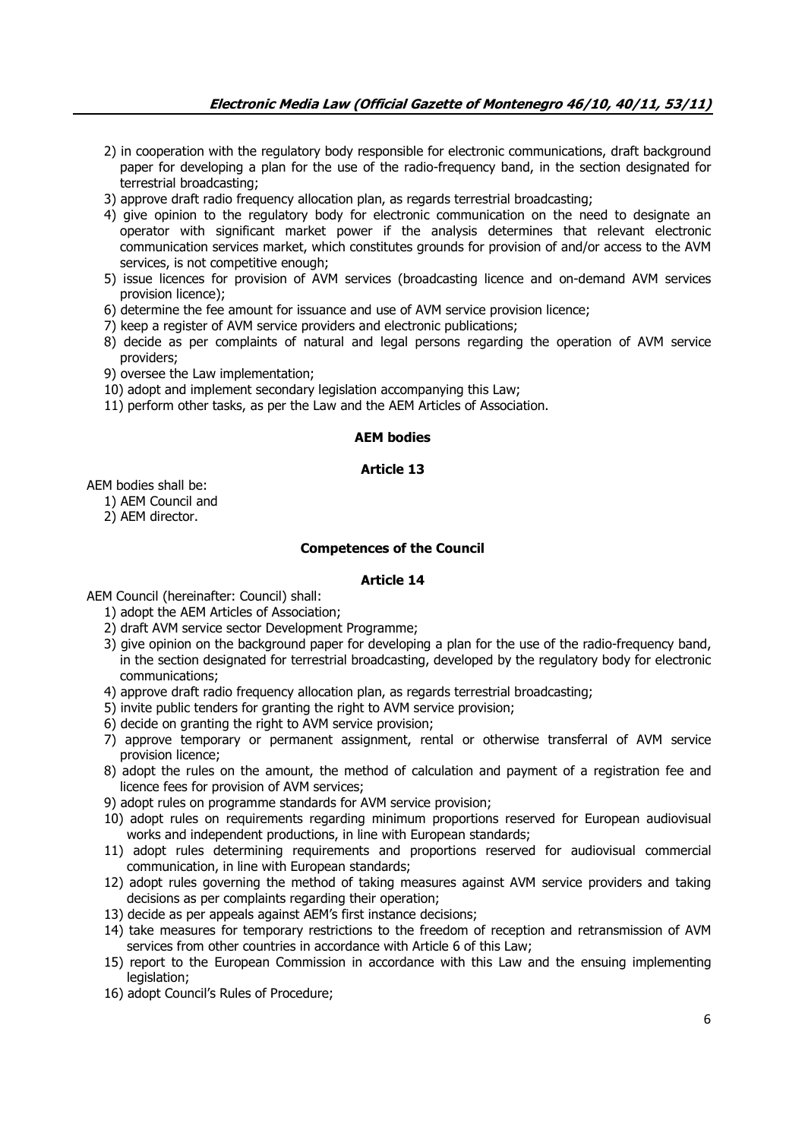- 2) in cooperation with the regulatory body responsible for electronic communications, draft background paper for developing a plan for the use of the radio-frequency band, in the section designated for terrestrial broadcasting;
- 3) approve draft radio frequency allocation plan, as regards terrestrial broadcasting;
- 4) give opinion to the regulatory body for electronic communication on the need to designate an operator with significant market power if the analysis determines that relevant electronic communication services market, which constitutes grounds for provision of and/or access to the AVM services, is not competitive enough;
- 5) issue licences for provision of AVM services (broadcasting licence and on-demand AVM services provision licence);
- 6) determine the fee amount for issuance and use of AVM service provision licence;
- 7) keep a register of AVM service providers and electronic publications;
- 8) decide as per complaints of natural and legal persons regarding the operation of AVM service providers;
- 9) oversee the Law implementation;
- 10) adopt and implement secondary legislation accompanying this Law;
- 11) perform other tasks, as per the Law and the AEM Articles of Association.

# **AEM bodies**

# **Article 13**

AEM bodies shall be:

- 1) AEM Council and
- 2) AEM director.

## **Competences of the Council**

### **Article 14**

AEM Council (hereinafter: Council) shall:

- 1) adopt the AEM Articles of Association;
- 2) draft AVM service sector Development Programme;
- 3) give opinion on the background paper for developing a plan for the use of the radio-frequency band, in the section designated for terrestrial broadcasting, developed by the regulatory body for electronic communications;
- 4) approve draft radio frequency allocation plan, as regards terrestrial broadcasting;
- 5) invite public tenders for granting the right to AVM service provision;
- 6) decide on granting the right to AVM service provision;
- 7) approve temporary or permanent assignment, rental or otherwise transferral of AVM service provision licence;
- 8) adopt the rules on the amount, the method of calculation and payment of a registration fee and licence fees for provision of AVM services;
- 9) adopt rules on programme standards for AVM service provision;
- 10) adopt rules on requirements regarding minimum proportions reserved for European audiovisual works and independent productions, in line with European standards;
- 11) adopt rules determining requirements and proportions reserved for audiovisual commercial communication, in line with European standards;
- 12) adopt rules governing the method of taking measures against AVM service providers and taking decisions as per complaints regarding their operation;
- 13) decide as per appeals against AEM's first instance decisions;
- 14) take measures for temporary restrictions to the freedom of reception and retransmission of AVM services from other countries in accordance with Article 6 of this Law;
- 15) report to the European Commission in accordance with this Law and the ensuing implementing legislation;
- 16) adopt Council's Rules of Procedure;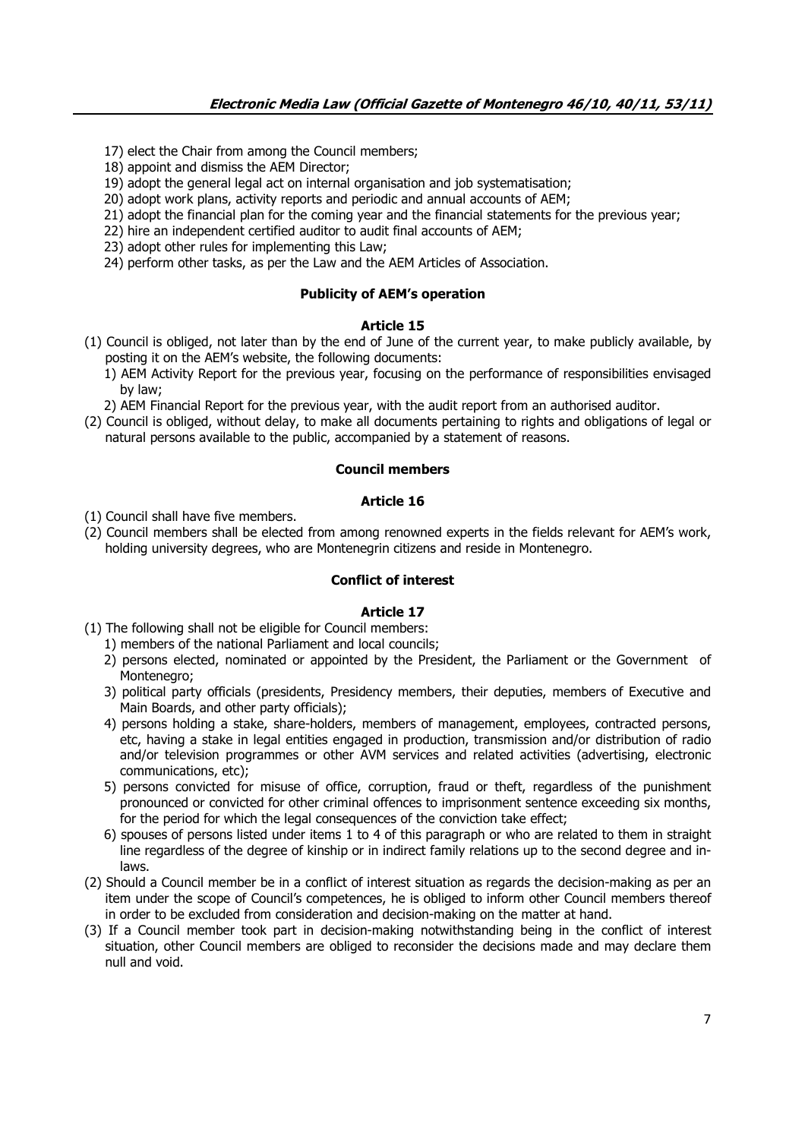17) elect the Chair from among the Council members;

18) appoint and dismiss the AEM Director;

19) adopt the general legal act on internal organisation and job systematisation;

20) adopt work plans, activity reports and periodic and annual accounts of AEM;

- 21) adopt the financial plan for the coming year and the financial statements for the previous year;
- 22) hire an independent certified auditor to audit final accounts of AEM;
- 23) adopt other rules for implementing this Law;

24) perform other tasks, as per the Law and the AEM Articles of Association.

## **Publicity of AEM's operation**

## **Article 15**

(1) Council is obliged, not later than by the end of June of the current year, to make publicly available, by posting it on the AEM's website, the following documents:

1) AEM Activity Report for the previous year, focusing on the performance of responsibilities envisaged by law;

2) AEM Financial Report for the previous year, with the audit report from an authorised auditor.

(2) Council is obliged, without delay, to make all documents pertaining to rights and obligations of legal or natural persons available to the public, accompanied by a statement of reasons.

# **Council members**

### **Article 16**

(1) Council shall have five members.

(2) Council members shall be elected from among renowned experts in the fields relevant for AEM's work, holding university degrees, who are Montenegrin citizens and reside in Montenegro.

# **Conflict of interest**

- (1) The following shall not be eligible for Council members:
	- 1) members of the national Parliament and local councils;
	- 2) persons elected, nominated or appointed by the President, the Parliament or the Government of Montenegro;
	- 3) political party officials (presidents, Presidency members, their deputies, members of Executive and Main Boards, and other party officials);
	- 4) persons holding a stake, share-holders, members of management, employees, contracted persons, etc, having a stake in legal entities engaged in production, transmission and/or distribution of radio and/or television programmes or other AVM services and related activities (advertising, electronic communications, etc);
	- 5) persons convicted for misuse of office, corruption, fraud or theft, regardless of the punishment pronounced or convicted for other criminal offences to imprisonment sentence exceeding six months, for the period for which the legal consequences of the conviction take effect;
	- 6) spouses of persons listed under items 1 to 4 of this paragraph or who are related to them in straight line regardless of the degree of kinship or in indirect family relations up to the second degree and inlaws.
- (2) Should a Council member be in a conflict of interest situation as regards the decision-making as per an item under the scope of Council's competences, he is obliged to inform other Council members thereof in order to be excluded from consideration and decision-making on the matter at hand.
- (3) If a Council member took part in decision-making notwithstanding being in the conflict of interest situation, other Council members are obliged to reconsider the decisions made and may declare them null and void.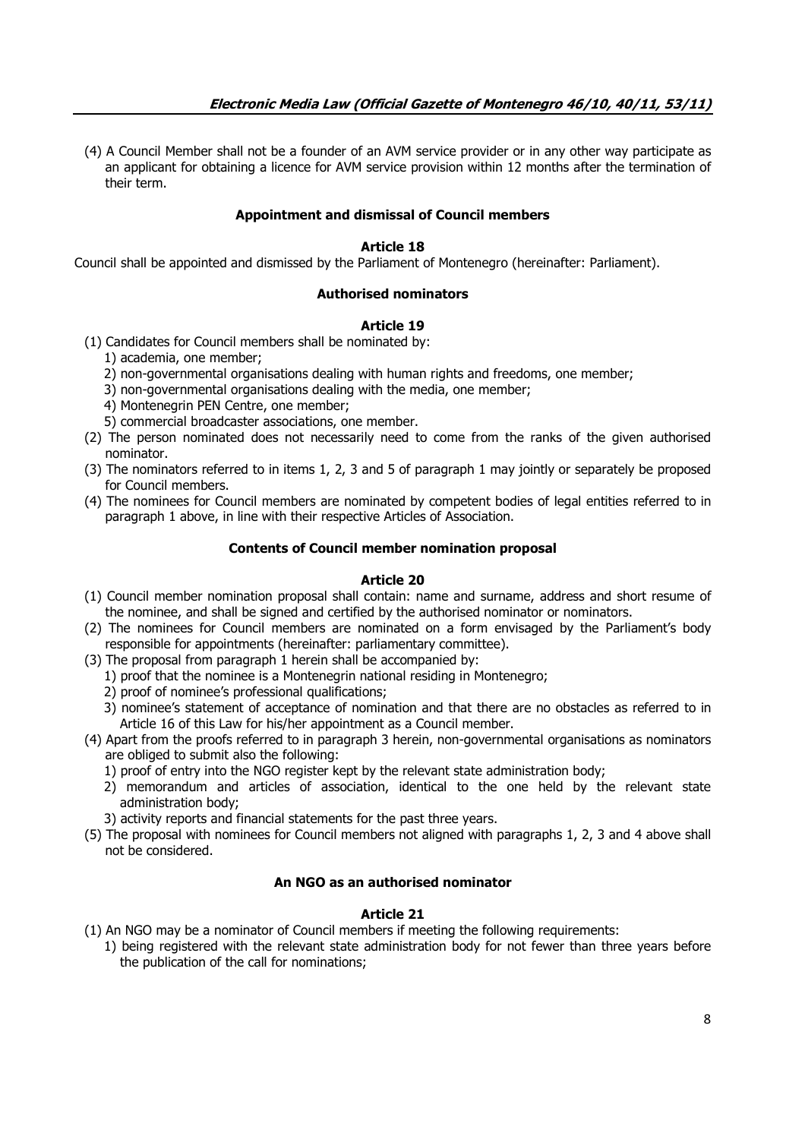(4) A Council Member shall not be a founder of an AVM service provider or in any other way participate as an applicant for obtaining a licence for AVM service provision within 12 months after the termination of their term.

# **Appointment and dismissal of Council members**

# **Article 18**

Council shall be appointed and dismissed by the Parliament of Montenegro (hereinafter: Parliament).

## **Authorised nominators**

## **Article 19**

- (1) Candidates for Council members shall be nominated by:
	- 1) academia, one member;
	- 2) non-governmental organisations dealing with human rights and freedoms, one member;
	- 3) non-governmental organisations dealing with the media, one member;
	- 4) Montenegrin PEN Centre, one member;
	- 5) commercial broadcaster associations, one member.
- (2) The person nominated does not necessarily need to come from the ranks of the given authorised nominator.
- (3) The nominators referred to in items 1, 2, 3 and 5 of paragraph 1 may jointly or separately be proposed for Council members.
- (4) The nominees for Council members are nominated by competent bodies of legal entities referred to in paragraph 1 above, in line with their respective Articles of Association.

## **Contents of Council member nomination proposal**

# **Article 20**

- (1) Council member nomination proposal shall contain: name and surname, address and short resume of the nominee, and shall be signed and certified by the authorised nominator or nominators.
- (2) The nominees for Council members are nominated on a form envisaged by the Parliament's body responsible for appointments (hereinafter: parliamentary committee).
- (3) The proposal from paragraph 1 herein shall be accompanied by:
	- 1) proof that the nominee is a Montenegrin national residing in Montenegro;
	- 2) proof of nominee's professional qualifications;
	- 3) nominee's statement of acceptance of nomination and that there are no obstacles as referred to in Article 16 of this Law for his/her appointment as a Council member.
- (4) Apart from the proofs referred to in paragraph 3 herein, non-governmental organisations as nominators are obliged to submit also the following:
	- 1) proof of entry into the NGO register kept by the relevant state administration body;
	- 2) memorandum and articles of association, identical to the one held by the relevant state administration body;
	- 3) activity reports and financial statements for the past three years.
- (5) The proposal with nominees for Council members not aligned with paragraphs 1, 2, 3 and 4 above shall not be considered.

# **An NGO as an authorised nominator**

- (1) An NGO may be a nominator of Council members if meeting the following requirements:
	- 1) being registered with the relevant state administration body for not fewer than three years before the publication of the call for nominations;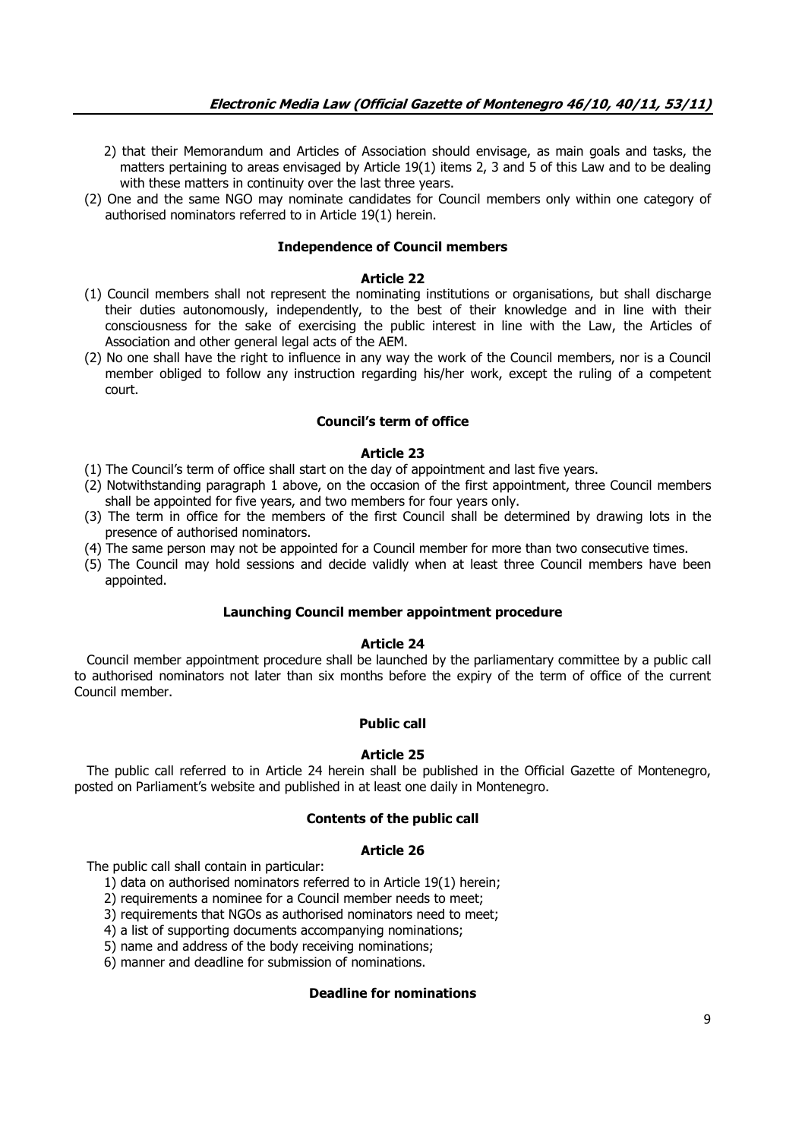- 2) that their Memorandum and Articles of Association should envisage, as main goals and tasks, the matters pertaining to areas envisaged by Article 19(1) items 2, 3 and 5 of this Law and to be dealing with these matters in continuity over the last three years.
- (2) One and the same NGO may nominate candidates for Council members only within one category of authorised nominators referred to in Article 19(1) herein.

## **Independence of Council members**

#### **Article 22**

- (1) Council members shall not represent the nominating institutions or organisations, but shall discharge their duties autonomously, independently, to the best of their knowledge and in line with their consciousness for the sake of exercising the public interest in line with the Law, the Articles of Association and other general legal acts of the AEM.
- (2) No one shall have the right to influence in any way the work of the Council members, nor is a Council member obliged to follow any instruction regarding his/her work, except the ruling of a competent court.

## **Council's term of office**

## **Article 23**

- (1) The Council's term of office shall start on the day of appointment and last five years.
- (2) Notwithstanding paragraph 1 above, on the occasion of the first appointment, three Council members shall be appointed for five years, and two members for four years only.
- (3) The term in office for the members of the first Council shall be determined by drawing lots in the presence of authorised nominators.
- (4) The same person may not be appointed for a Council member for more than two consecutive times.
- (5) The Council may hold sessions and decide validly when at least three Council members have been appointed.

### **Launching Council member appointment procedure**

### **Article 24**

 Council member appointment procedure shall be launched by the parliamentary committee by a public call to authorised nominators not later than six months before the expiry of the term of office of the current Council member.

### **Public call**

### **Article 25**

 The public call referred to in Article 24 herein shall be published in the Official Gazette of Montenegro, posted on Parliament's website and published in at least one daily in Montenegro.

### **Contents of the public call**

#### **Article 26**

The public call shall contain in particular:

- 1) data on authorised nominators referred to in Article 19(1) herein;
- 2) requirements a nominee for a Council member needs to meet;
- 3) requirements that NGOs as authorised nominators need to meet;
- 4) a list of supporting documents accompanying nominations;
- 5) name and address of the body receiving nominations;
- 6) manner and deadline for submission of nominations.

### **Deadline for nominations**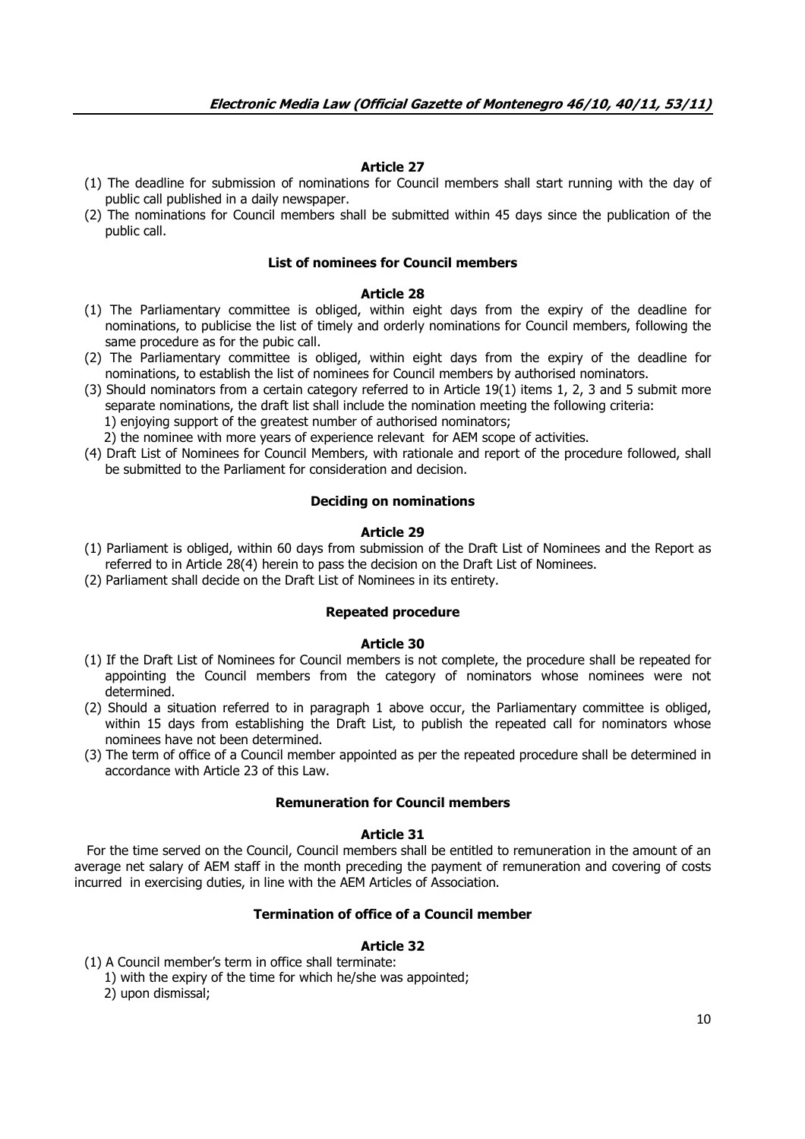#### **Article 27**

- (1) The deadline for submission of nominations for Council members shall start running with the day of public call published in a daily newspaper.
- (2) The nominations for Council members shall be submitted within 45 days since the publication of the public call.

### **List of nominees for Council members**

#### **Article 28**

- (1) The Parliamentary committee is obliged, within eight days from the expiry of the deadline for nominations, to publicise the list of timely and orderly nominations for Council members, following the same procedure as for the pubic call.
- (2) The Parliamentary committee is obliged, within eight days from the expiry of the deadline for nominations, to establish the list of nominees for Council members by authorised nominators.
- (3) Should nominators from a certain category referred to in Article 19(1) items 1, 2, 3 and 5 submit more separate nominations, the draft list shall include the nomination meeting the following criteria: 1) enjoying support of the greatest number of authorised nominators;

2) the nominee with more years of experience relevant for AEM scope of activities.

(4) Draft List of Nominees for Council Members, with rationale and report of the procedure followed, shall be submitted to the Parliament for consideration and decision.

#### **Deciding on nominations**

### **Article 29**

- (1) Parliament is obliged, within 60 days from submission of the Draft List of Nominees and the Report as referred to in Article 28(4) herein to pass the decision on the Draft List of Nominees.
- (2) Parliament shall decide on the Draft List of Nominees in its entirety.

## **Repeated procedure**

#### **Article 30**

- (1) If the Draft List of Nominees for Council members is not complete, the procedure shall be repeated for appointing the Council members from the category of nominators whose nominees were not determined.
- (2) Should a situation referred to in paragraph 1 above occur, the Parliamentary committee is obliged, within 15 days from establishing the Draft List, to publish the repeated call for nominators whose nominees have not been determined.
- (3) The term of office of a Council member appointed as per the repeated procedure shall be determined in accordance with Article 23 of this Law.

#### **Remuneration for Council members**

#### **Article 31**

 For the time served on the Council, Council members shall be entitled to remuneration in the amount of an average net salary of AEM staff in the month preceding the payment of remuneration and covering of costs incurred in exercising duties, in line with the AEM Articles of Association.

# **Termination of office of a Council member**

- (1) A Council member's term in office shall terminate:
	- 1) with the expiry of the time for which he/she was appointed;
	- 2) upon dismissal;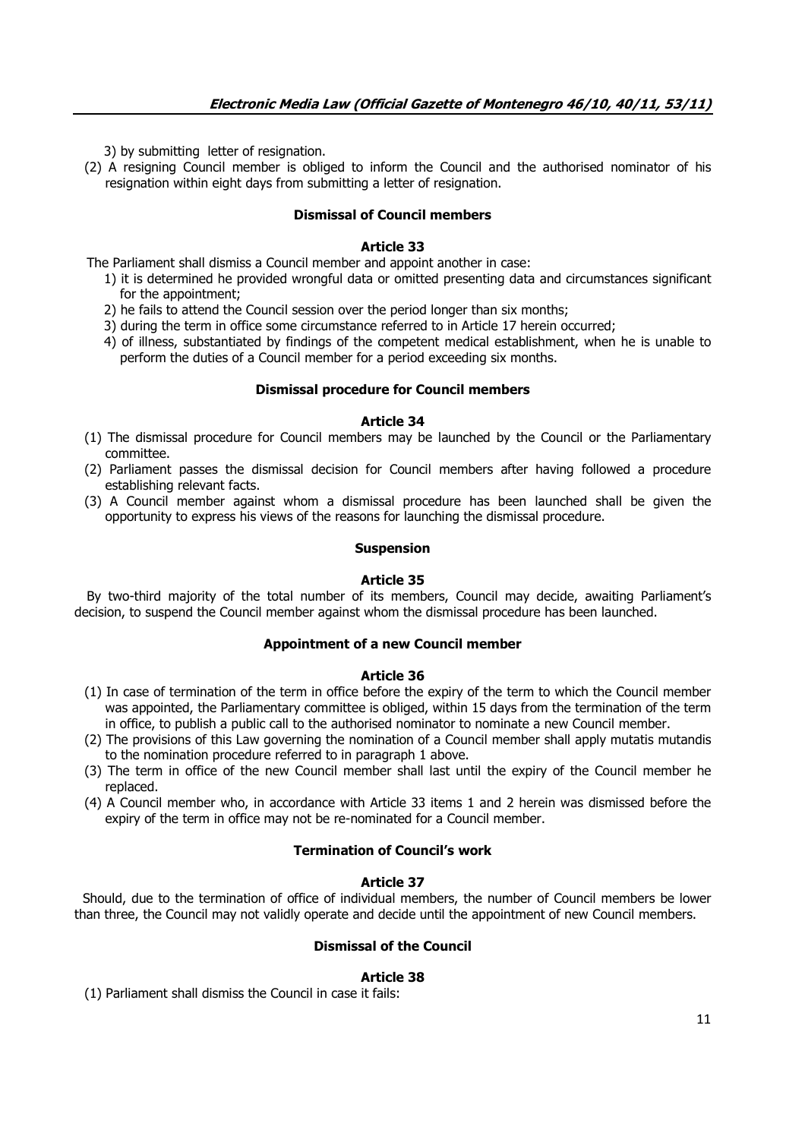3) by submitting letter of resignation.

(2) A resigning Council member is obliged to inform the Council and the authorised nominator of his resignation within eight days from submitting a letter of resignation.

# **Dismissal of Council members**

# **Article 33**

The Parliament shall dismiss a Council member and appoint another in case:

- 1) it is determined he provided wrongful data or omitted presenting data and circumstances significant for the appointment;
- 2) he fails to attend the Council session over the period longer than six months;
- 3) during the term in office some circumstance referred to in Article 17 herein occurred;
- 4) of illness, substantiated by findings of the competent medical establishment, when he is unable to perform the duties of a Council member for a period exceeding six months.

### **Dismissal procedure for Council members**

### **Article 34**

- (1) The dismissal procedure for Council members may be launched by the Council or the Parliamentary committee.
- (2) Parliament passes the dismissal decision for Council members after having followed a procedure establishing relevant facts.
- (3) A Council member against whom a dismissal procedure has been launched shall be given the opportunity to express his views of the reasons for launching the dismissal procedure.

### **Suspension**

### **Article 35**

 By two-third majority of the total number of its members, Council may decide, awaiting Parliament's decision, to suspend the Council member against whom the dismissal procedure has been launched.

### **Appointment of a new Council member**

### **Article 36**

- (1) In case of termination of the term in office before the expiry of the term to which the Council member was appointed, the Parliamentary committee is obliged, within 15 days from the termination of the term in office, to publish a public call to the authorised nominator to nominate a new Council member.
- (2) The provisions of this Law governing the nomination of a Council member shall apply mutatis mutandis to the nomination procedure referred to in paragraph 1 above.
- (3) The term in office of the new Council member shall last until the expiry of the Council member he replaced.
- (4) A Council member who, in accordance with Article 33 items 1 and 2 herein was dismissed before the expiry of the term in office may not be re-nominated for a Council member.

### **Termination of Council's work**

## **Article 37**

 Should, due to the termination of office of individual members, the number of Council members be lower than three, the Council may not validly operate and decide until the appointment of new Council members.

# **Dismissal of the Council**

# **Article 38**

(1) Parliament shall dismiss the Council in case it fails: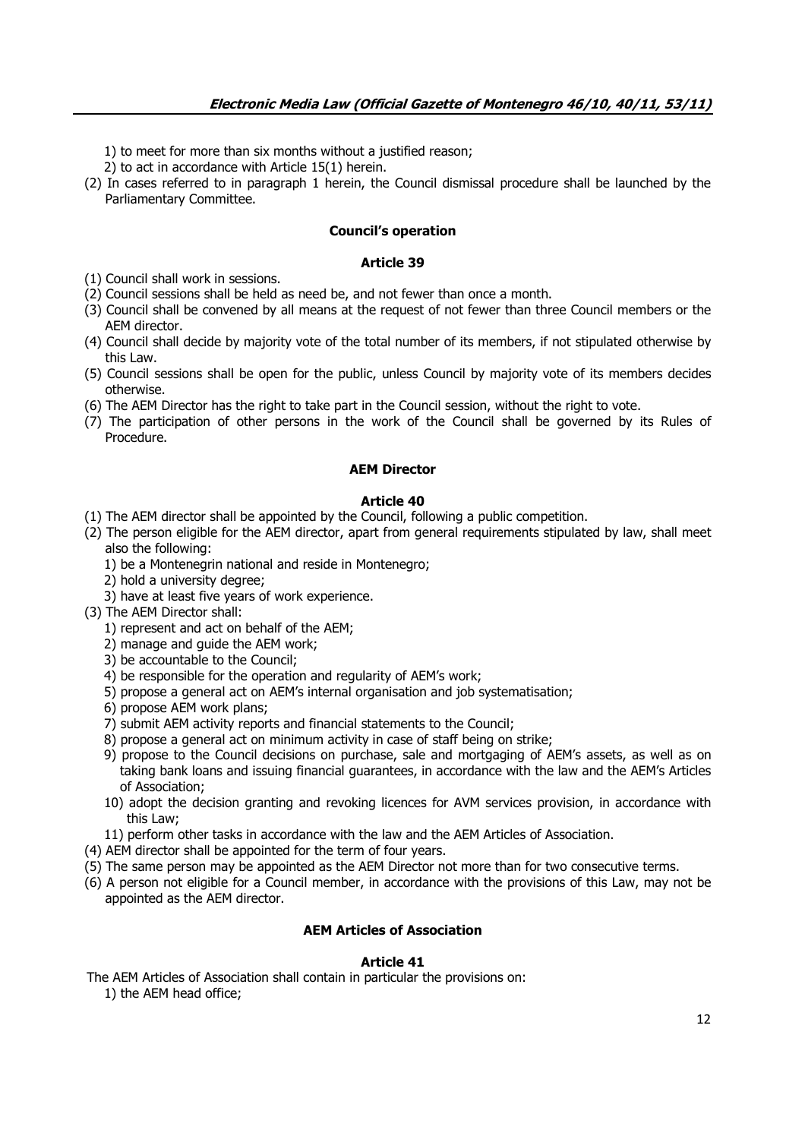1) to meet for more than six months without a justified reason;

2) to act in accordance with Article 15(1) herein.

(2) In cases referred to in paragraph 1 herein, the Council dismissal procedure shall be launched by the Parliamentary Committee.

## **Council's operation**

# **Article 39**

(1) Council shall work in sessions.

- (2) Council sessions shall be held as need be, and not fewer than once a month.
- (3) Council shall be convened by all means at the request of not fewer than three Council members or the AEM director.
- (4) Council shall decide by majority vote of the total number of its members, if not stipulated otherwise by this Law.
- (5) Council sessions shall be open for the public, unless Council by majority vote of its members decides otherwise.
- (6) The AEM Director has the right to take part in the Council session, without the right to vote.
- (7) The participation of other persons in the work of the Council shall be governed by its Rules of Procedure.

# **AEM Director**

### **Article 40**

- (1) The AEM director shall be appointed by the Council, following a public competition.
- (2) The person eligible for the AEM director, apart from general requirements stipulated by law, shall meet also the following:
	- 1) be a Montenegrin national and reside in Montenegro;
	- 2) hold a university degree;
	- 3) have at least five years of work experience.
- (3) The AEM Director shall:
	- 1) represent and act on behalf of the AEM;
	- 2) manage and guide the AEM work;
	- 3) be accountable to the Council;
	- 4) be responsible for the operation and regularity of AEM's work;
	- 5) propose a general act on AEM's internal organisation and job systematisation;
	- 6) propose AEM work plans;
	- 7) submit AEM activity reports and financial statements to the Council;
	- 8) propose a general act on minimum activity in case of staff being on strike;
	- 9) propose to the Council decisions on purchase, sale and mortgaging of AEM's assets, as well as on taking bank loans and issuing financial guarantees, in accordance with the law and the AEM's Articles of Association;
	- 10) adopt the decision granting and revoking licences for AVM services provision, in accordance with this Law;
	- 11) perform other tasks in accordance with the law and the AEM Articles of Association.
- (4) AEM director shall be appointed for the term of four years.
- (5) The same person may be appointed as the AEM Director not more than for two consecutive terms.
- (6) A person not eligible for a Council member, in accordance with the provisions of this Law, may not be appointed as the AEM director.

### **AEM Articles of Association**

### **Article 41**

 The AEM Articles of Association shall contain in particular the provisions on: 1) the AEM head office;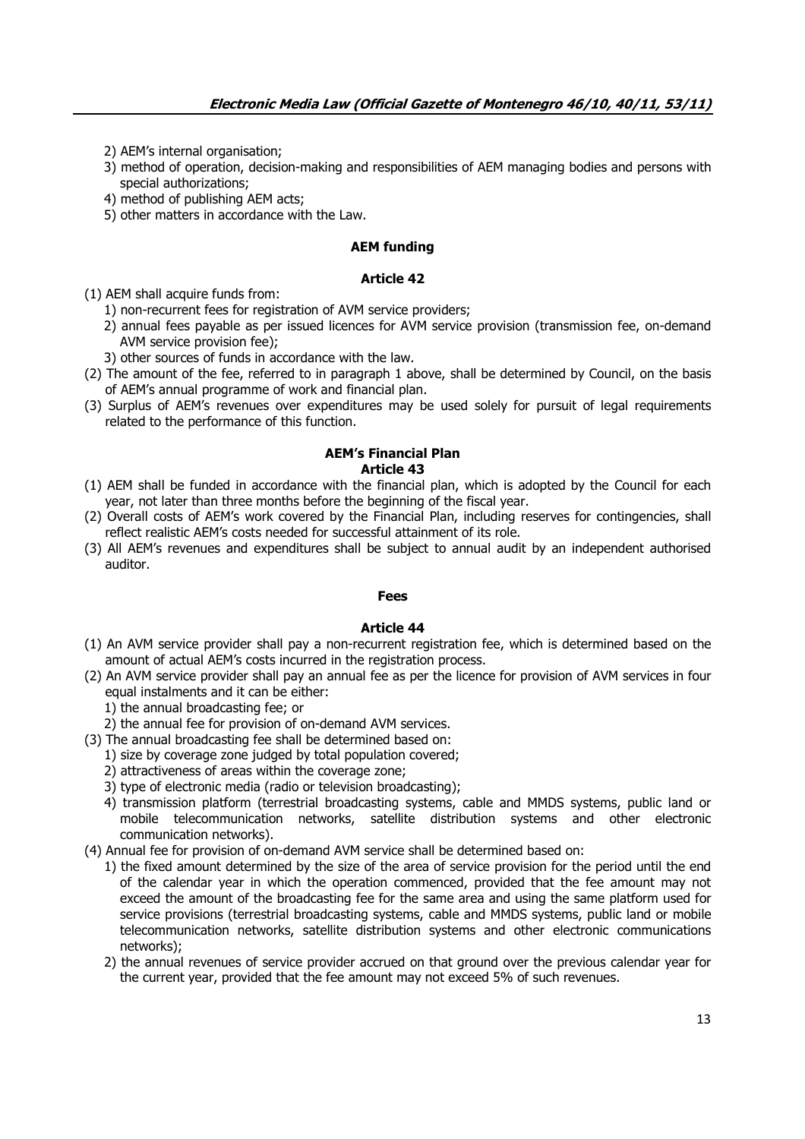- 2) AEM's internal organisation;
- 3) method of operation, decision-making and responsibilities of AEM managing bodies and persons with special authorizations;
- 4) method of publishing AEM acts;
- 5) other matters in accordance with the Law.

## **AEM funding**

### **Article 42**

- (1) AEM shall acquire funds from:
	- 1) non-recurrent fees for registration of AVM service providers;
	- 2) annual fees payable as per issued licences for AVM service provision (transmission fee, on-demand AVM service provision fee);
	- 3) other sources of funds in accordance with the law.
- (2) The amount of the fee, referred to in paragraph 1 above, shall be determined by Council, on the basis of AEM's annual programme of work and financial plan.
- (3) Surplus of AEM's revenues over expenditures may be used solely for pursuit of legal requirements related to the performance of this function.

#### **AEM's Financial Plan Article 43**

- (1) AEM shall be funded in accordance with the financial plan, which is adopted by the Council for each year, not later than three months before the beginning of the fiscal year.
- (2) Overall costs of AEM's work covered by the Financial Plan, including reserves for contingencies, shall reflect realistic AEM's costs needed for successful attainment of its role.
- (3) All AEM's revenues and expenditures shall be subject to annual audit by an independent authorised auditor.

#### **Fees**

- (1) An AVM service provider shall pay a non-recurrent registration fee, which is determined based on the amount of actual AEM's costs incurred in the registration process.
- (2) An AVM service provider shall pay an annual fee as per the licence for provision of AVM services in four equal instalments and it can be either:
	- 1) the annual broadcasting fee; or
	- 2) the annual fee for provision of on-demand AVM services.
- (3) The annual broadcasting fee shall be determined based on:
	- 1) size by coverage zone judged by total population covered;
	- 2) attractiveness of areas within the coverage zone;
	- 3) type of electronic media (radio or television broadcasting);
	- 4) transmission platform (terrestrial broadcasting systems, cable and MMDS systems, public land or mobile telecommunication networks, satellite distribution systems and other electronic communication networks).
- (4) Annual fee for provision of on-demand AVM service shall be determined based on:
	- 1) the fixed amount determined by the size of the area of service provision for the period until the end of the calendar year in which the operation commenced, provided that the fee amount may not exceed the amount of the broadcasting fee for the same area and using the same platform used for service provisions (terrestrial broadcasting systems, cable and MMDS systems, public land or mobile telecommunication networks, satellite distribution systems and other electronic communications networks);
	- 2) the annual revenues of service provider accrued on that ground over the previous calendar year for the current year, provided that the fee amount may not exceed 5% of such revenues.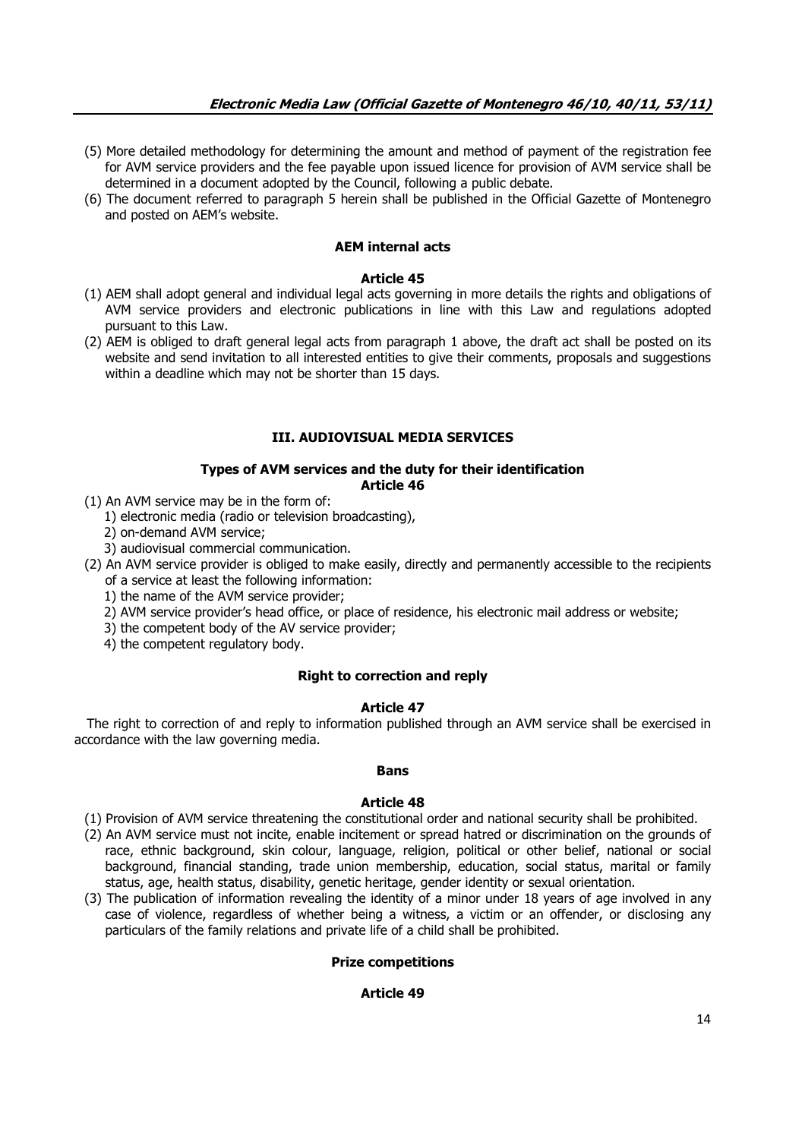- (5) More detailed methodology for determining the amount and method of payment of the registration fee for AVM service providers and the fee payable upon issued licence for provision of AVM service shall be determined in a document adopted by the Council, following a public debate.
- (6) The document referred to paragraph 5 herein shall be published in the Official Gazette of Montenegro and posted on AEM's website.

# **AEM internal acts**

### **Article 45**

- (1) AEM shall adopt general and individual legal acts governing in more details the rights and obligations of AVM service providers and electronic publications in line with this Law and regulations adopted pursuant to this Law.
- (2) AEM is obliged to draft general legal acts from paragraph 1 above, the draft act shall be posted on its website and send invitation to all interested entities to give their comments, proposals and suggestions within a deadline which may not be shorter than 15 days.

# **III. AUDIOVISUAL MEDIA SERVICES**

### **Types of AVM services and the duty for their identification Article 46**

- (1) An AVM service may be in the form of:
	- 1) electronic media (radio or television broadcasting),
	- 2) on-demand AVM service;
	- 3) audiovisual commercial communication.
- (2) An AVM service provider is obliged to make easily, directly and permanently accessible to the recipients of a service at least the following information:
	- 1) the name of the AVM service provider;
	- 2) AVM service provider's head office, or place of residence, his electronic mail address or website;
	- 3) the competent body of the AV service provider;
	- 4) the competent regulatory body.

### **Right to correction and reply**

### **Article 47**

 The right to correction of and reply to information published through an AVM service shall be exercised in accordance with the law governing media.

### **Bans**

### **Article 48**

- (1) Provision of AVM service threatening the constitutional order and national security shall be prohibited.
- (2) An AVM service must not incite, enable incitement or spread hatred or discrimination on the grounds of race, ethnic background, skin colour, language, religion, political or other belief, national or social background, financial standing, trade union membership, education, social status, marital or family status, age, health status, disability, genetic heritage, gender identity or sexual orientation.
- (3) The publication of information revealing the identity of a minor under 18 years of age involved in any case of violence, regardless of whether being a witness, a victim or an offender, or disclosing any particulars of the family relations and private life of a child shall be prohibited.

# **Prize competitions**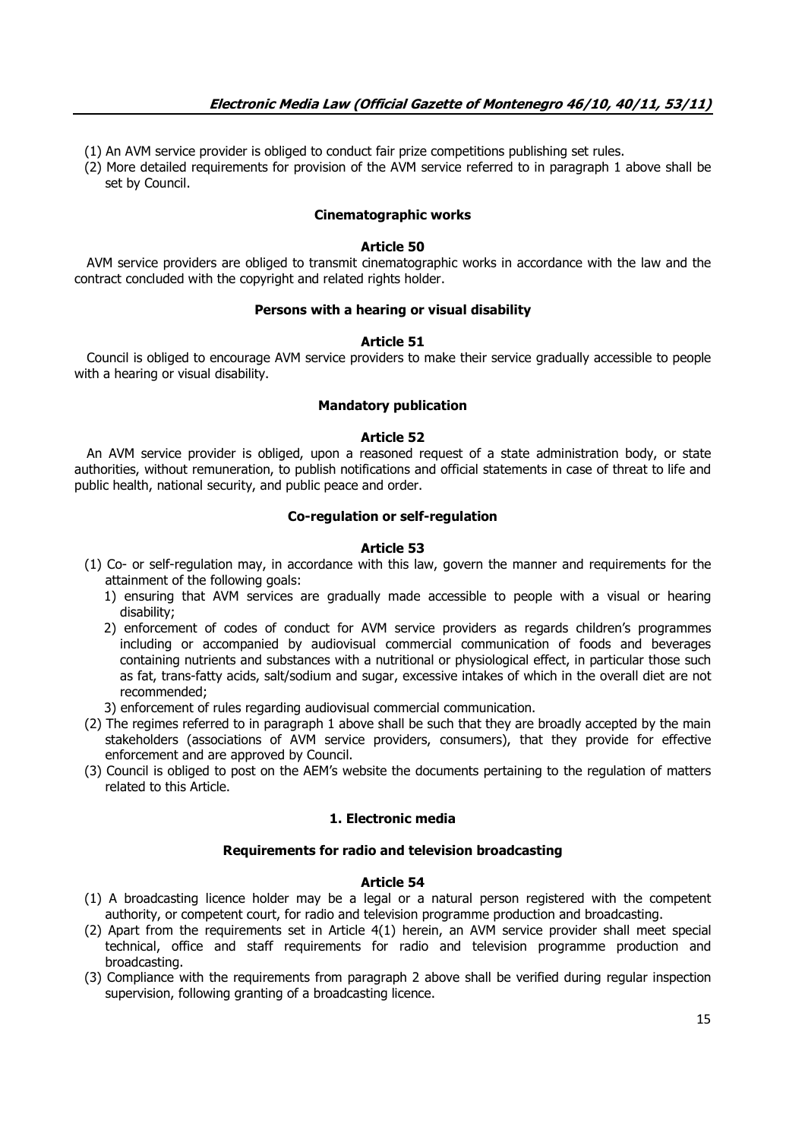- (1) An AVM service provider is obliged to conduct fair prize competitions publishing set rules.
- (2) More detailed requirements for provision of the AVM service referred to in paragraph 1 above shall be set by Council.

#### **Cinematographic works**

#### **Article 50**

 AVM service providers are obliged to transmit cinematographic works in accordance with the law and the contract concluded with the copyright and related rights holder.

### **Persons with a hearing or visual disability**

#### **Article 51**

 Council is obliged to encourage AVM service providers to make their service gradually accessible to people with a hearing or visual disability.

### **Mandatory publication**

### **Article 52**

 An AVM service provider is obliged, upon a reasoned request of a state administration body, or state authorities, without remuneration, to publish notifications and official statements in case of threat to life and public health, national security, and public peace and order.

### **Co-regulation or self-regulation**

#### **Article 53**

- (1) Co- or self-regulation may, in accordance with this law, govern the manner and requirements for the attainment of the following goals:
	- 1) ensuring that AVM services are gradually made accessible to people with a visual or hearing disability;
	- 2) enforcement of codes of conduct for AVM service providers as regards children's programmes including or accompanied by audiovisual commercial communication of foods and beverages containing nutrients and substances with a nutritional or physiological effect, in particular those such as fat, trans-fatty acids, salt/sodium and sugar, excessive intakes of which in the overall diet are not recommended;
	- 3) enforcement of rules regarding audiovisual commercial communication.
- (2) The regimes referred to in paragraph 1 above shall be such that they are broadly accepted by the main stakeholders (associations of AVM service providers, consumers), that they provide for effective enforcement and are approved by Council.
- (3) Council is obliged to post on the AEM's website the documents pertaining to the regulation of matters related to this Article.

#### **1. Electronic media**

#### **Requirements for radio and television broadcasting**

- (1) A broadcasting licence holder may be a legal or a natural person registered with the competent authority, or competent court, for radio and television programme production and broadcasting.
- (2) Apart from the requirements set in Article 4(1) herein, an AVM service provider shall meet special technical, office and staff requirements for radio and television programme production and broadcasting.
- (3) Compliance with the requirements from paragraph 2 above shall be verified during regular inspection supervision, following granting of a broadcasting licence.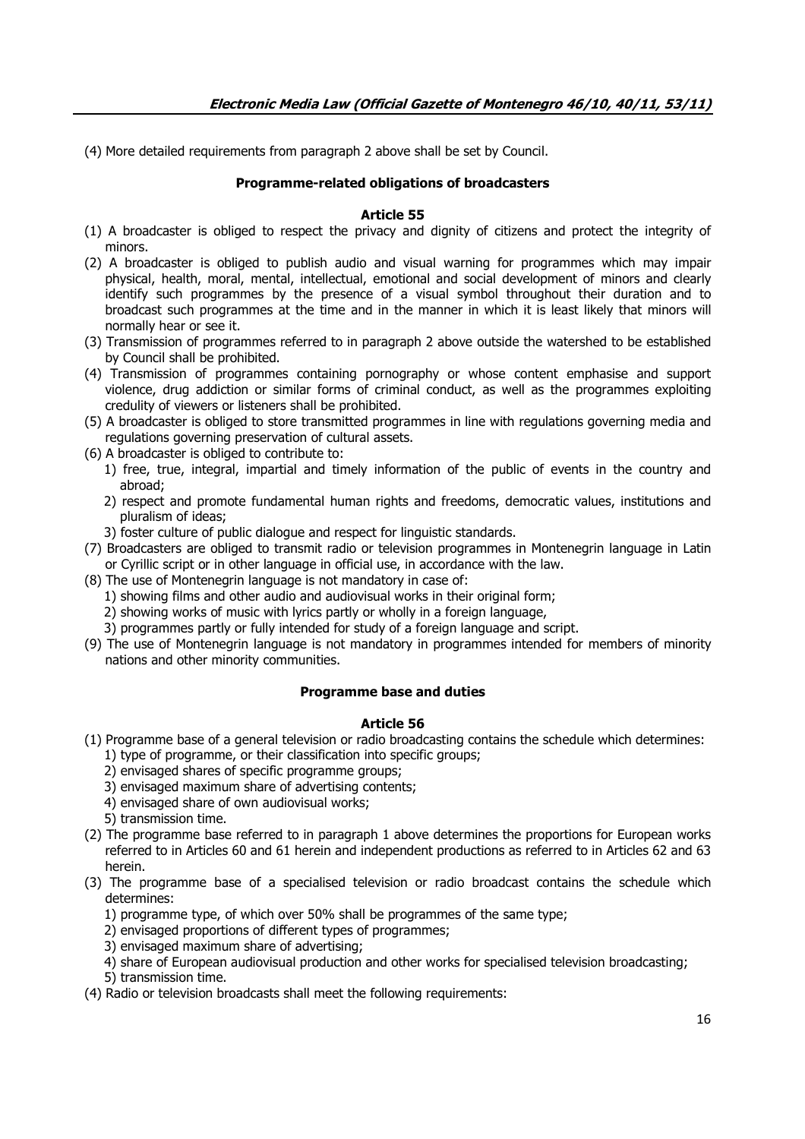(4) More detailed requirements from paragraph 2 above shall be set by Council.

# **Programme-related obligations of broadcasters**

### **Article 55**

- (1) A broadcaster is obliged to respect the privacy and dignity of citizens and protect the integrity of minors.
- (2) A broadcaster is obliged to publish audio and visual warning for programmes which may impair physical, health, moral, mental, intellectual, emotional and social development of minors and clearly identify such programmes by the presence of a visual symbol throughout their duration and to broadcast such programmes at the time and in the manner in which it is least likely that minors will normally hear or see it.
- (3) Transmission of programmes referred to in paragraph 2 above outside the watershed to be established by Council shall be prohibited.
- (4) Transmission of programmes containing pornography or whose content emphasise and support violence, drug addiction or similar forms of criminal conduct, as well as the programmes exploiting credulity of viewers or listeners shall be prohibited.
- (5) A broadcaster is obliged to store transmitted programmes in line with regulations governing media and regulations governing preservation of cultural assets.
- (6) A broadcaster is obliged to contribute to:
	- 1) free, true, integral, impartial and timely information of the public of events in the country and abroad;
	- 2) respect and promote fundamental human rights and freedoms, democratic values, institutions and pluralism of ideas;
	- 3) foster culture of public dialogue and respect for linguistic standards.
- (7) Broadcasters are obliged to transmit radio or television programmes in Montenegrin language in Latin or Cyrillic script or in other language in official use, in accordance with the law.
- (8) The use of Montenegrin language is not mandatory in case of:
	- 1) showing films and other audio and audiovisual works in their original form;
	- 2) showing works of music with lyrics partly or wholly in a foreign language,
	- 3) programmes partly or fully intended for study of a foreign language and script.
- (9) The use of Montenegrin language is not mandatory in programmes intended for members of minority nations and other minority communities.

# **Programme base and duties**

- (1) Programme base of a general television or radio broadcasting contains the schedule which determines: 1) type of programme, or their classification into specific groups;
	- 2) envisaged shares of specific programme groups;
	- 3) envisaged maximum share of advertising contents;
	- 4) envisaged share of own audiovisual works;
	- 5) transmission time.
- (2) The programme base referred to in paragraph 1 above determines the proportions for European works referred to in Articles 60 and 61 herein and independent productions as referred to in Articles 62 and 63 herein.
- (3) The programme base of a specialised television or radio broadcast contains the schedule which determines:
	- 1) programme type, of which over 50% shall be programmes of the same type;
	- 2) envisaged proportions of different types of programmes;
	- 3) envisaged maximum share of advertising;
	- 4) share of European audiovisual production and other works for specialised television broadcasting; 5) transmission time.
- (4) Radio or television broadcasts shall meet the following requirements: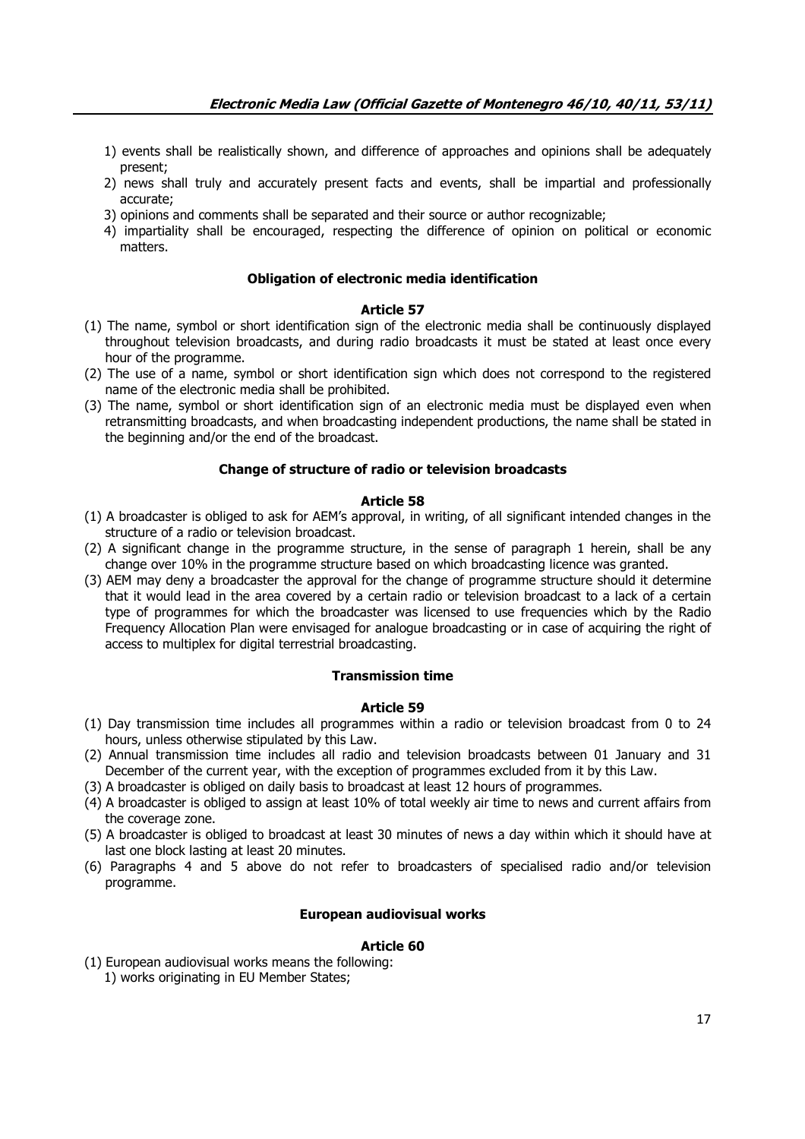- 1) events shall be realistically shown, and difference of approaches and opinions shall be adequately present;
- 2) news shall truly and accurately present facts and events, shall be impartial and professionally accurate;
- 3) opinions and comments shall be separated and their source or author recognizable;
- 4) impartiality shall be encouraged, respecting the difference of opinion on political or economic matters.

#### **Obligation of electronic media identification**

#### **Article 57**

- (1) The name, symbol or short identification sign of the electronic media shall be continuously displayed throughout television broadcasts, and during radio broadcasts it must be stated at least once every hour of the programme.
- (2) The use of a name, symbol or short identification sign which does not correspond to the registered name of the electronic media shall be prohibited.
- (3) The name, symbol or short identification sign of an electronic media must be displayed even when retransmitting broadcasts, and when broadcasting independent productions, the name shall be stated in the beginning and/or the end of the broadcast.

# **Change of structure of radio or television broadcasts**

#### **Article 58**

- (1) A broadcaster is obliged to ask for AEM's approval, in writing, of all significant intended changes in the structure of a radio or television broadcast.
- (2) A significant change in the programme structure, in the sense of paragraph 1 herein, shall be any change over 10% in the programme structure based on which broadcasting licence was granted.
- (3) AEM may deny a broadcaster the approval for the change of programme structure should it determine that it would lead in the area covered by a certain radio or television broadcast to a lack of a certain type of programmes for which the broadcaster was licensed to use frequencies which by the Radio Frequency Allocation Plan were envisaged for analogue broadcasting or in case of acquiring the right of access to multiplex for digital terrestrial broadcasting.

#### **Transmission time**

#### **Article 59**

- (1) Day transmission time includes all programmes within a radio or television broadcast from 0 to 24 hours, unless otherwise stipulated by this Law.
- (2) Annual transmission time includes all radio and television broadcasts between 01 January and 31 December of the current year, with the exception of programmes excluded from it by this Law.
- (3) A broadcaster is obliged on daily basis to broadcast at least 12 hours of programmes.
- (4) A broadcaster is obliged to assign at least 10% of total weekly air time to news and current affairs from the coverage zone.
- (5) A broadcaster is obliged to broadcast at least 30 minutes of news a day within which it should have at last one block lasting at least 20 minutes.
- (6) Paragraphs 4 and 5 above do not refer to broadcasters of specialised radio and/or television programme.

### **European audiovisual works**

### **Article 60**

(1) European audiovisual works means the following: 1) works originating in EU Member States;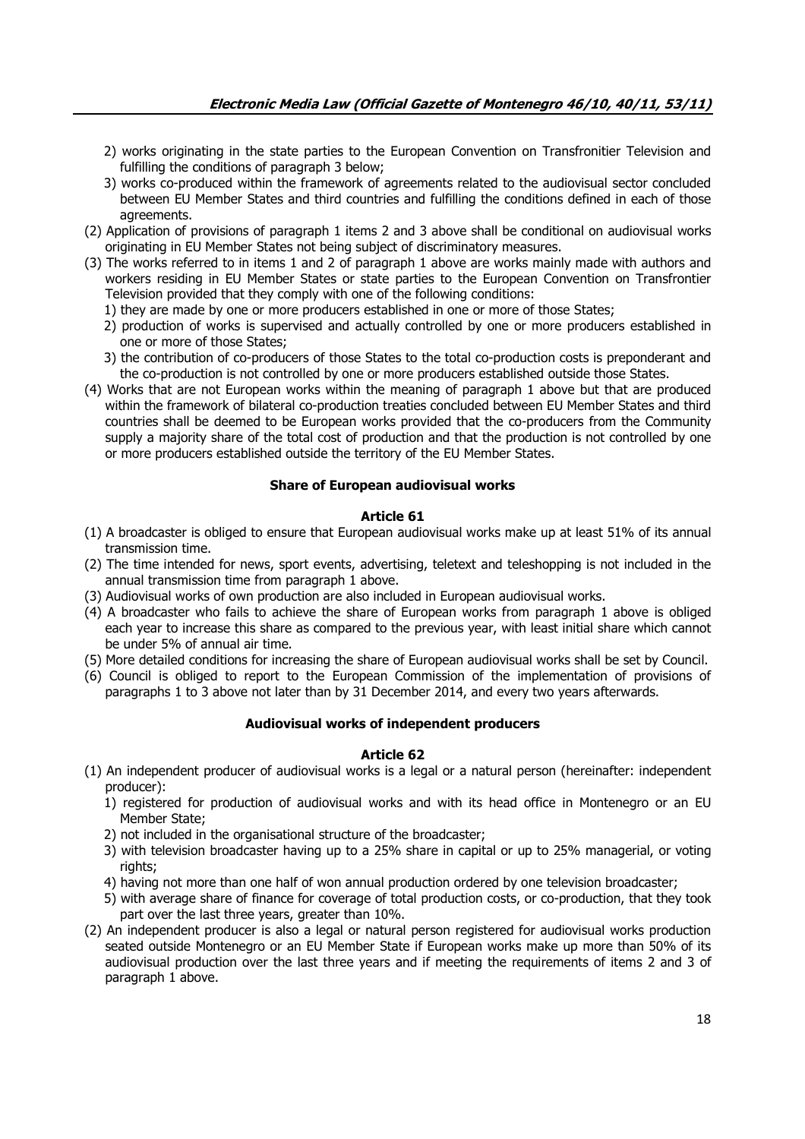- 2) works originating in the state parties to the European Convention on Transfronitier Television and fulfilling the conditions of paragraph 3 below;
- 3) works co-produced within the framework of agreements related to the audiovisual sector concluded between EU Member States and third countries and fulfilling the conditions defined in each of those agreements.
- (2) Application of provisions of paragraph 1 items 2 and 3 above shall be conditional on audiovisual works originating in EU Member States not being subject of discriminatory measures.
- (3) The works referred to in items 1 and 2 of paragraph 1 above are works mainly made with authors and workers residing in EU Member States or state parties to the European Convention on Transfrontier Television provided that they comply with one of the following conditions:
	- 1) they are made by one or more producers established in one or more of those States;
	- 2) production of works is supervised and actually controlled by one or more producers established in one or more of those States;
	- 3) the contribution of co-producers of those States to the total co-production costs is preponderant and the co-production is not controlled by one or more producers established outside those States.
- (4) Works that are not European works within the meaning of paragraph 1 above but that are produced within the framework of bilateral co-production treaties concluded between EU Member States and third countries shall be deemed to be European works provided that the co-producers from the Community supply a majority share of the total cost of production and that the production is not controlled by one or more producers established outside the territory of the EU Member States.

### **Share of European audiovisual works**

## **Article 61**

- (1) A broadcaster is obliged to ensure that European audiovisual works make up at least 51% of its annual transmission time.
- (2) The time intended for news, sport events, advertising, teletext and teleshopping is not included in the annual transmission time from paragraph 1 above.
- (3) Audiovisual works of own production are also included in European audiovisual works.
- (4) A broadcaster who fails to achieve the share of European works from paragraph 1 above is obliged each year to increase this share as compared to the previous year, with least initial share which cannot be under 5% of annual air time.
- (5) More detailed conditions for increasing the share of European audiovisual works shall be set by Council.
- (6) Council is obliged to report to the European Commission of the implementation of provisions of paragraphs 1 to 3 above not later than by 31 December 2014, and every two years afterwards.

### **Audiovisual works of independent producers**

- (1) An independent producer of audiovisual works is a legal or a natural person (hereinafter: independent producer):
	- 1) registered for production of audiovisual works and with its head office in Montenegro or an EU Member State;
	- 2) not included in the organisational structure of the broadcaster;
	- 3) with television broadcaster having up to a 25% share in capital or up to 25% managerial, or voting rights;
	- 4) having not more than one half of won annual production ordered by one television broadcaster;
	- 5) with average share of finance for coverage of total production costs, or co-production, that they took part over the last three years, greater than 10%.
- (2) An independent producer is also a legal or natural person registered for audiovisual works production seated outside Montenegro or an EU Member State if European works make up more than 50% of its audiovisual production over the last three years and if meeting the requirements of items 2 and 3 of paragraph 1 above.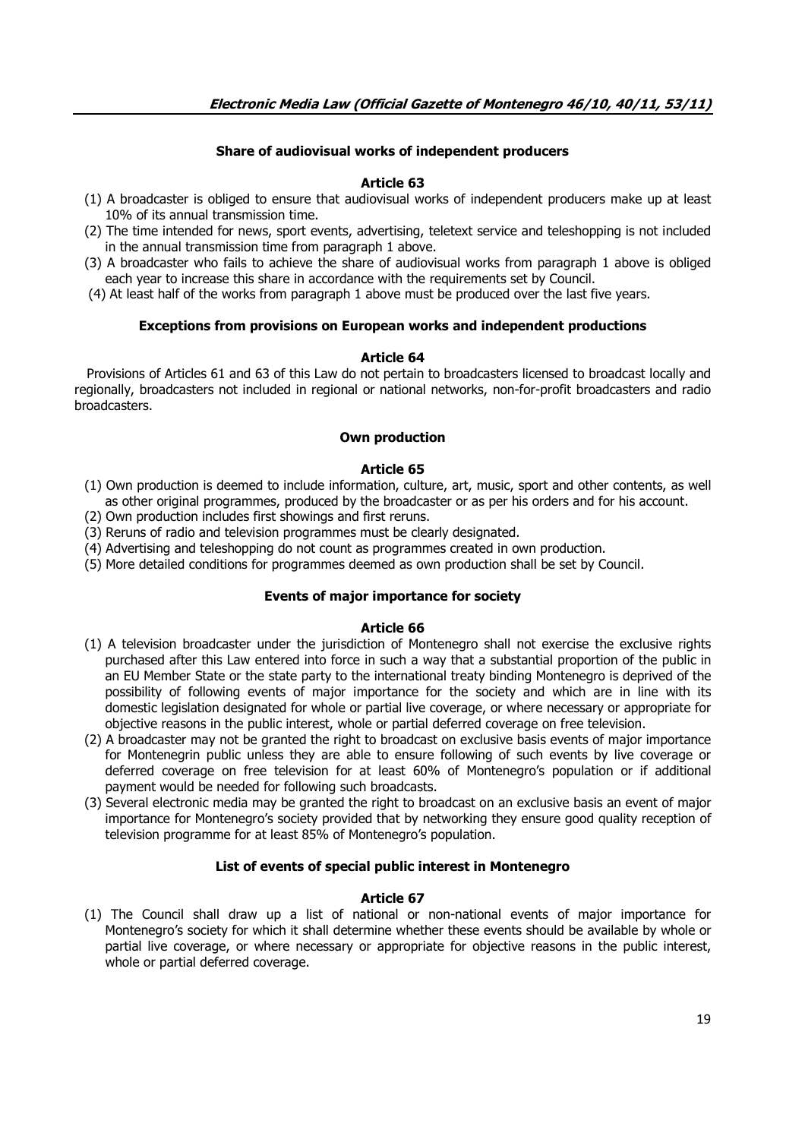# **Share of audiovisual works of independent producers**

# **Article 63**

- (1) A broadcaster is obliged to ensure that audiovisual works of independent producers make up at least 10% of its annual transmission time.
- (2) The time intended for news, sport events, advertising, teletext service and teleshopping is not included in the annual transmission time from paragraph 1 above.
- (3) A broadcaster who fails to achieve the share of audiovisual works from paragraph 1 above is obliged each year to increase this share in accordance with the requirements set by Council.
- (4) At least half of the works from paragraph 1 above must be produced over the last five years.

## **Exceptions from provisions on European works and independent productions**

### **Article 64**

 Provisions of Articles 61 and 63 of this Law do not pertain to broadcasters licensed to broadcast locally and regionally, broadcasters not included in regional or national networks, non-for-profit broadcasters and radio broadcasters.

### **Own production**

## **Article 65**

- (1) Own production is deemed to include information, culture, art, music, sport and other contents, as well as other original programmes, produced by the broadcaster or as per his orders and for his account.
- (2) Own production includes first showings and first reruns.
- (3) Reruns of radio and television programmes must be clearly designated.
- (4) Advertising and teleshopping do not count as programmes created in own production.
- (5) More detailed conditions for programmes deemed as own production shall be set by Council.

### **Events of major importance for society**

### **Article 66**

- (1) A television broadcaster under the jurisdiction of Montenegro shall not exercise the exclusive rights purchased after this Law entered into force in such a way that a substantial proportion of the public in an EU Member State or the state party to the international treaty binding Montenegro is deprived of the possibility of following events of major importance for the society and which are in line with its domestic legislation designated for whole or partial live coverage, or where necessary or appropriate for objective reasons in the public interest, whole or partial deferred coverage on free television.
- (2) A broadcaster may not be granted the right to broadcast on exclusive basis events of major importance for Montenegrin public unless they are able to ensure following of such events by live coverage or deferred coverage on free television for at least 60% of Montenegro's population or if additional payment would be needed for following such broadcasts.
- (3) Several electronic media may be granted the right to broadcast on an exclusive basis an event of major importance for Montenegro's society provided that by networking they ensure good quality reception of television programme for at least 85% of Montenegro's population.

### **List of events of special public interest in Montenegro**

### **Article 67**

(1) The Council shall draw up a list of national or non-national events of major importance for Montenegro's society for which it shall determine whether these events should be available by whole or partial live coverage, or where necessary or appropriate for objective reasons in the public interest, whole or partial deferred coverage.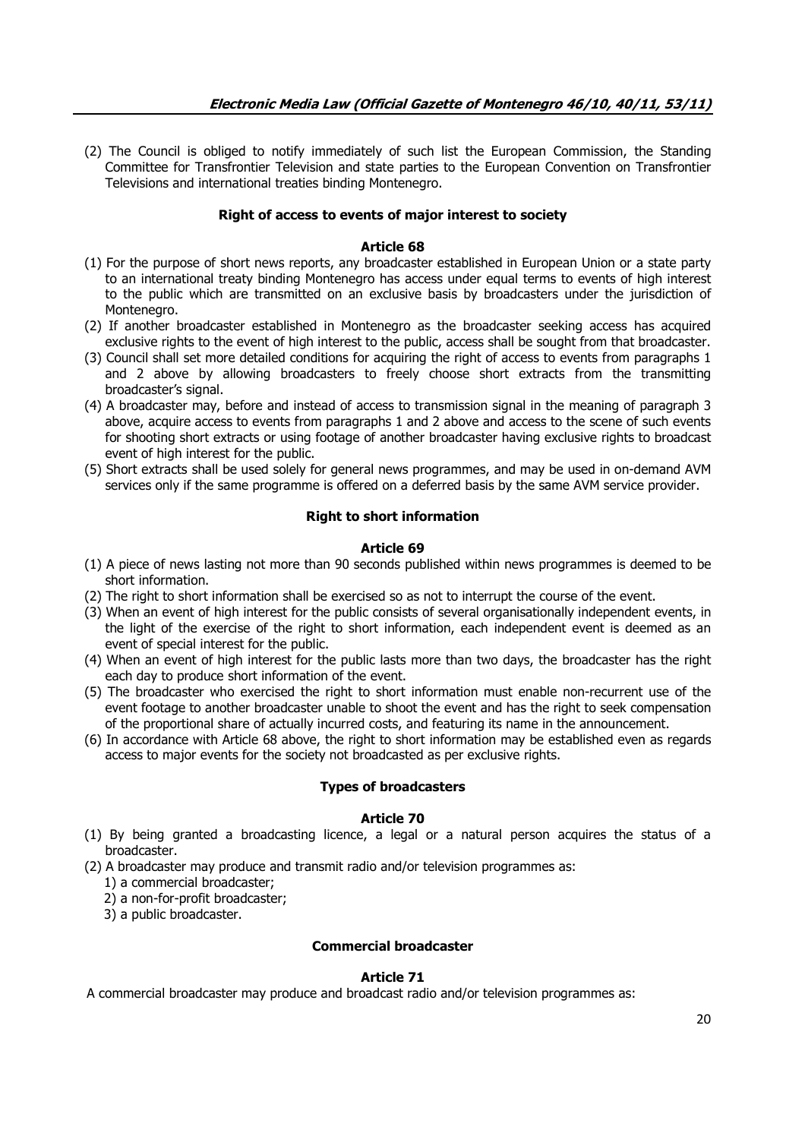(2) The Council is obliged to notify immediately of such list the European Commission, the Standing Committee for Transfrontier Television and state parties to the European Convention on Transfrontier Televisions and international treaties binding Montenegro.

## **Right of access to events of major interest to society**

# **Article 68**

- (1) For the purpose of short news reports, any broadcaster established in European Union or a state party to an international treaty binding Montenegro has access under equal terms to events of high interest to the public which are transmitted on an exclusive basis by broadcasters under the jurisdiction of Montenegro.
- (2) If another broadcaster established in Montenegro as the broadcaster seeking access has acquired exclusive rights to the event of high interest to the public, access shall be sought from that broadcaster.
- (3) Council shall set more detailed conditions for acquiring the right of access to events from paragraphs 1 and 2 above by allowing broadcasters to freely choose short extracts from the transmitting broadcaster's signal.
- (4) A broadcaster may, before and instead of access to transmission signal in the meaning of paragraph 3 above, acquire access to events from paragraphs 1 and 2 above and access to the scene of such events for shooting short extracts or using footage of another broadcaster having exclusive rights to broadcast event of high interest for the public.
- (5) Short extracts shall be used solely for general news programmes, and may be used in on-demand AVM services only if the same programme is offered on a deferred basis by the same AVM service provider.

## **Right to short information**

### **Article 69**

- (1) A piece of news lasting not more than 90 seconds published within news programmes is deemed to be short information.
- (2) The right to short information shall be exercised so as not to interrupt the course of the event.
- (3) When an event of high interest for the public consists of several organisationally independent events, in the light of the exercise of the right to short information, each independent event is deemed as an event of special interest for the public.
- (4) When an event of high interest for the public lasts more than two days, the broadcaster has the right each day to produce short information of the event.
- (5) The broadcaster who exercised the right to short information must enable non-recurrent use of the event footage to another broadcaster unable to shoot the event and has the right to seek compensation of the proportional share of actually incurred costs, and featuring its name in the announcement.
- (6) In accordance with Article 68 above, the right to short information may be established even as regards access to major events for the society not broadcasted as per exclusive rights.

# **Types of broadcasters**

# **Article 70**

- (1) By being granted a broadcasting licence, a legal or a natural person acquires the status of a broadcaster.
- (2) A broadcaster may produce and transmit radio and/or television programmes as:
	- 1) a commercial broadcaster;
	- 2) a non-for-profit broadcaster;
	- 3) a public broadcaster.

# **Commercial broadcaster**

### **Article 71**

A commercial broadcaster may produce and broadcast radio and/or television programmes as: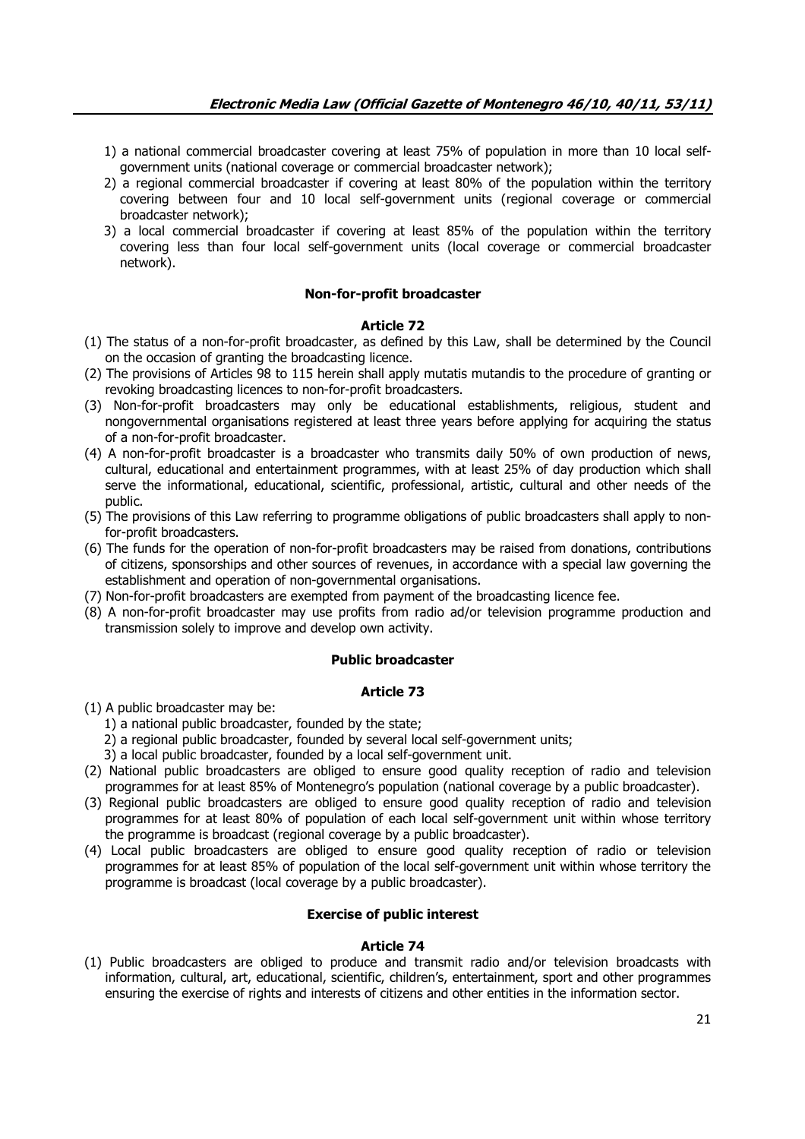- 1) a national commercial broadcaster covering at least 75% of population in more than 10 local selfgovernment units (national coverage or commercial broadcaster network);
- 2) a regional commercial broadcaster if covering at least 80% of the population within the territory covering between four and 10 local self-government units (regional coverage or commercial broadcaster network);
- 3) a local commercial broadcaster if covering at least 85% of the population within the territory covering less than four local self-government units (local coverage or commercial broadcaster network).

### **Non-for-profit broadcaster**

### **Article 72**

- (1) The status of a non-for-profit broadcaster, as defined by this Law, shall be determined by the Council on the occasion of granting the broadcasting licence.
- (2) The provisions of Articles 98 to 115 herein shall apply mutatis mutandis to the procedure of granting or revoking broadcasting licences to non-for-profit broadcasters.
- (3) Non-for-profit broadcasters may only be educational establishments, religious, student and nongovernmental organisations registered at least three years before applying for acquiring the status of a non-for-profit broadcaster.
- (4) A non-for-profit broadcaster is a broadcaster who transmits daily 50% of own production of news, cultural, educational and entertainment programmes, with at least 25% of day production which shall serve the informational, educational, scientific, professional, artistic, cultural and other needs of the public.
- (5) The provisions of this Law referring to programme obligations of public broadcasters shall apply to nonfor-profit broadcasters.
- (6) The funds for the operation of non-for-profit broadcasters may be raised from donations, contributions of citizens, sponsorships and other sources of revenues, in accordance with a special law governing the establishment and operation of non-governmental organisations.
- (7) Non-for-profit broadcasters are exempted from payment of the broadcasting licence fee.
- (8) A non-for-profit broadcaster may use profits from radio ad/or television programme production and transmission solely to improve and develop own activity.

#### **Public broadcaster**

## **Article 73**

- (1) A public broadcaster may be:
	- 1) a national public broadcaster, founded by the state;
	- 2) a regional public broadcaster, founded by several local self-government units;
	- 3) a local public broadcaster, founded by a local self-government unit.
- (2) National public broadcasters are obliged to ensure good quality reception of radio and television programmes for at least 85% of Montenegro's population (national coverage by a public broadcaster).
- (3) Regional public broadcasters are obliged to ensure good quality reception of radio and television programmes for at least 80% of population of each local self-government unit within whose territory the programme is broadcast (regional coverage by a public broadcaster).
- (4) Local public broadcasters are obliged to ensure good quality reception of radio or television programmes for at least 85% of population of the local self-government unit within whose territory the programme is broadcast (local coverage by a public broadcaster).

### **Exercise of public interest**

#### **Article 74**

(1) Public broadcasters are obliged to produce and transmit radio and/or television broadcasts with information, cultural, art, educational, scientific, children's, entertainment, sport and other programmes ensuring the exercise of rights and interests of citizens and other entities in the information sector.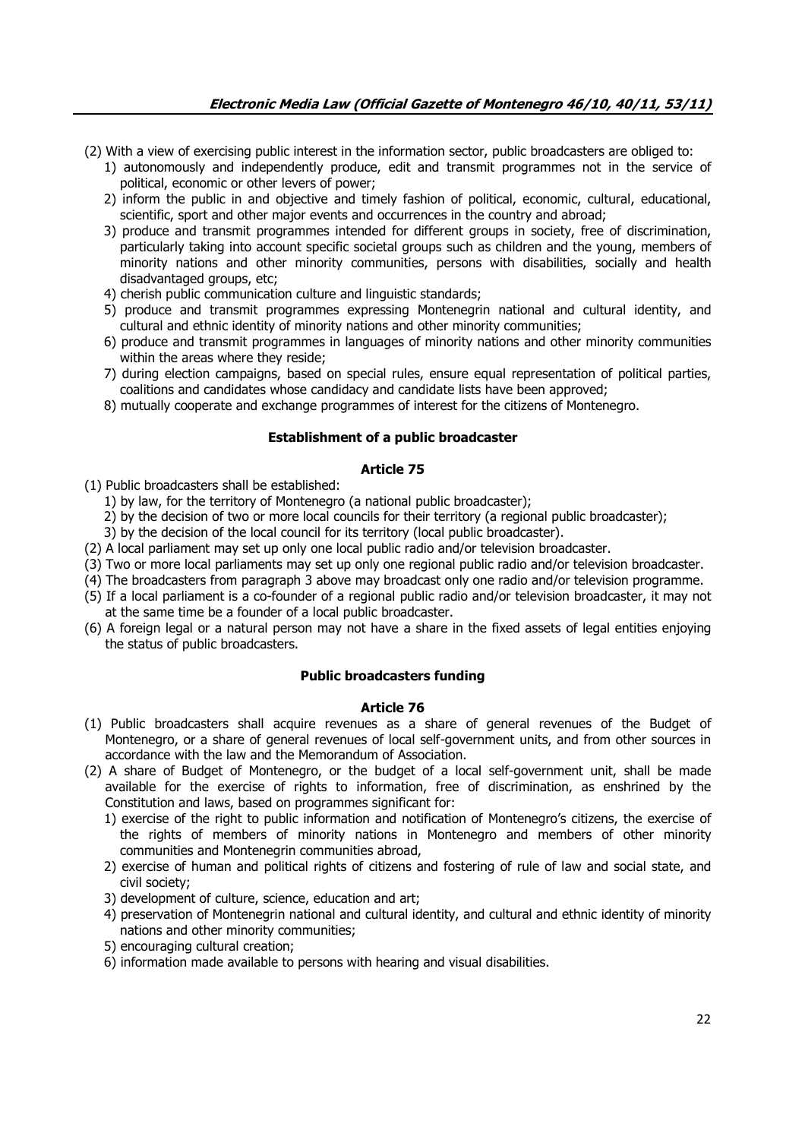- (2) With a view of exercising public interest in the information sector, public broadcasters are obliged to:
	- 1) autonomously and independently produce, edit and transmit programmes not in the service of political, economic or other levers of power;
	- 2) inform the public in and objective and timely fashion of political, economic, cultural, educational, scientific, sport and other major events and occurrences in the country and abroad;
	- 3) produce and transmit programmes intended for different groups in society, free of discrimination, particularly taking into account specific societal groups such as children and the young, members of minority nations and other minority communities, persons with disabilities, socially and health disadvantaged groups, etc;
	- 4) cherish public communication culture and linguistic standards;
	- 5) produce and transmit programmes expressing Montenegrin national and cultural identity, and cultural and ethnic identity of minority nations and other minority communities;
	- 6) produce and transmit programmes in languages of minority nations and other minority communities within the areas where they reside;
	- 7) during election campaigns, based on special rules, ensure equal representation of political parties, coalitions and candidates whose candidacy and candidate lists have been approved;
	- 8) mutually cooperate and exchange programmes of interest for the citizens of Montenegro.

## **Establishment of a public broadcaster**

### **Article 75**

- (1) Public broadcasters shall be established:
	- 1) by law, for the territory of Montenegro (a national public broadcaster);
	- 2) by the decision of two or more local councils for their territory (a regional public broadcaster);
	- 3) by the decision of the local council for its territory (local public broadcaster).
- (2) A local parliament may set up only one local public radio and/or television broadcaster.
- (3) Two or more local parliaments may set up only one regional public radio and/or television broadcaster.
- (4) The broadcasters from paragraph 3 above may broadcast only one radio and/or television programme.
- (5) If a local parliament is a co-founder of a regional public radio and/or television broadcaster, it may not at the same time be a founder of a local public broadcaster.
- (6) A foreign legal or a natural person may not have a share in the fixed assets of legal entities enjoying the status of public broadcasters.

### **Public broadcasters funding**

- (1) Public broadcasters shall acquire revenues as a share of general revenues of the Budget of Montenegro, or a share of general revenues of local self-government units, and from other sources in accordance with the law and the Memorandum of Association.
- (2) A share of Budget of Montenegro, or the budget of a local self-government unit, shall be made available for the exercise of rights to information, free of discrimination, as enshrined by the Constitution and laws, based on programmes significant for:
	- 1) exercise of the right to public information and notification of Montenegro's citizens, the exercise of the rights of members of minority nations in Montenegro and members of other minority communities and Montenegrin communities abroad,
	- 2) exercise of human and political rights of citizens and fostering of rule of law and social state, and civil society;
	- 3) development of culture, science, education and art;
	- 4) preservation of Montenegrin national and cultural identity, and cultural and ethnic identity of minority nations and other minority communities;
	- 5) encouraging cultural creation;
	- 6) information made available to persons with hearing and visual disabilities.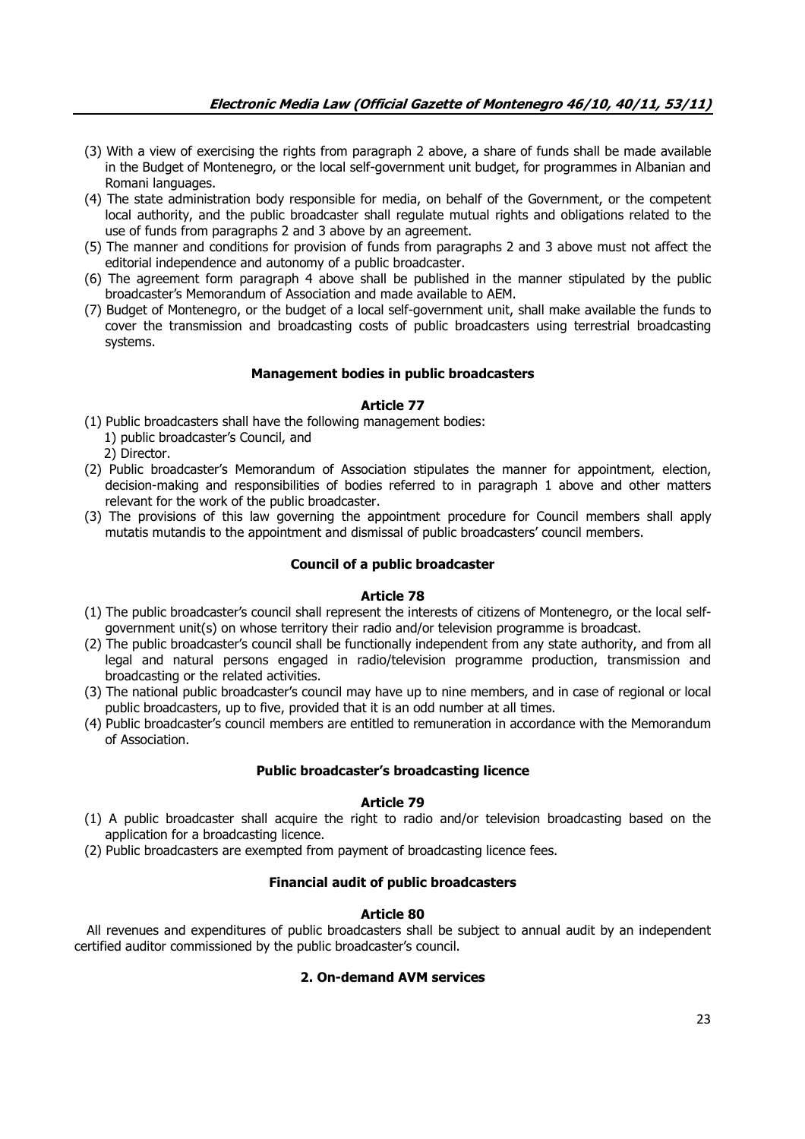- (3) With a view of exercising the rights from paragraph 2 above, a share of funds shall be made available in the Budget of Montenegro, or the local self-government unit budget, for programmes in Albanian and Romani languages.
- (4) The state administration body responsible for media, on behalf of the Government, or the competent local authority, and the public broadcaster shall regulate mutual rights and obligations related to the use of funds from paragraphs 2 and 3 above by an agreement.
- (5) The manner and conditions for provision of funds from paragraphs 2 and 3 above must not affect the editorial independence and autonomy of a public broadcaster.
- (6) The agreement form paragraph 4 above shall be published in the manner stipulated by the public broadcaster's Memorandum of Association and made available to AEM.
- (7) Budget of Montenegro, or the budget of a local self-government unit, shall make available the funds to cover the transmission and broadcasting costs of public broadcasters using terrestrial broadcasting systems.

## **Management bodies in public broadcasters**

### **Article 77**

(1) Public broadcasters shall have the following management bodies: 1) public broadcaster's Council, and

2) Director.

- (2) Public broadcaster's Memorandum of Association stipulates the manner for appointment, election, decision-making and responsibilities of bodies referred to in paragraph 1 above and other matters relevant for the work of the public broadcaster.
- (3) The provisions of this law governing the appointment procedure for Council members shall apply mutatis mutandis to the appointment and dismissal of public broadcasters' council members.

# **Council of a public broadcaster**

### **Article 78**

- (1) The public broadcaster's council shall represent the interests of citizens of Montenegro, or the local selfgovernment unit(s) on whose territory their radio and/or television programme is broadcast.
- (2) The public broadcaster's council shall be functionally independent from any state authority, and from all legal and natural persons engaged in radio/television programme production, transmission and broadcasting or the related activities.
- (3) The national public broadcaster's council may have up to nine members, and in case of regional or local public broadcasters, up to five, provided that it is an odd number at all times.
- (4) Public broadcaster's council members are entitled to remuneration in accordance with the Memorandum of Association.

# **Public broadcaster's broadcasting licence**

# **Article 79**

- (1) A public broadcaster shall acquire the right to radio and/or television broadcasting based on the application for a broadcasting licence.
- (2) Public broadcasters are exempted from payment of broadcasting licence fees.

# **Financial audit of public broadcasters**

# **Article 80**

 All revenues and expenditures of public broadcasters shall be subject to annual audit by an independent certified auditor commissioned by the public broadcaster's council.

# **2. On-demand AVM services**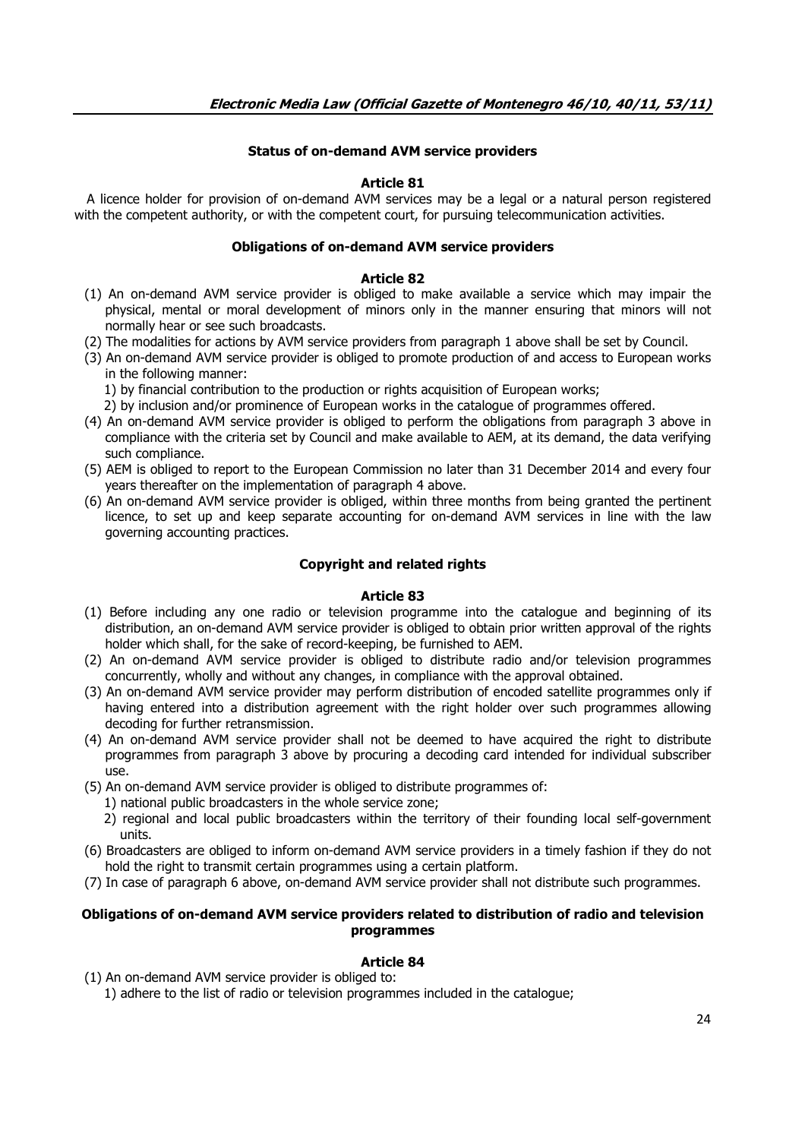# **Status of on-demand AVM service providers**

# **Article 81**

 A licence holder for provision of on-demand AVM services may be a legal or a natural person registered with the competent authority, or with the competent court, for pursuing telecommunication activities.

### **Obligations of on-demand AVM service providers**

### **Article 82**

- (1) An on-demand AVM service provider is obliged to make available a service which may impair the physical, mental or moral development of minors only in the manner ensuring that minors will not normally hear or see such broadcasts.
- (2) The modalities for actions by AVM service providers from paragraph 1 above shall be set by Council.
- (3) An on-demand AVM service provider is obliged to promote production of and access to European works in the following manner:
	- 1) by financial contribution to the production or rights acquisition of European works;
	- 2) by inclusion and/or prominence of European works in the catalogue of programmes offered.
- (4) An on-demand AVM service provider is obliged to perform the obligations from paragraph 3 above in compliance with the criteria set by Council and make available to AEM, at its demand, the data verifying such compliance.
- (5) AEM is obliged to report to the European Commission no later than 31 December 2014 and every four years thereafter on the implementation of paragraph 4 above.
- (6) An on-demand AVM service provider is obliged, within three months from being granted the pertinent licence, to set up and keep separate accounting for on-demand AVM services in line with the law governing accounting practices.

## **Copyright and related rights**

### **Article 83**

- (1) Before including any one radio or television programme into the catalogue and beginning of its distribution, an on-demand AVM service provider is obliged to obtain prior written approval of the rights holder which shall, for the sake of record-keeping, be furnished to AEM.
- (2) An on-demand AVM service provider is obliged to distribute radio and/or television programmes concurrently, wholly and without any changes, in compliance with the approval obtained.
- (3) An on-demand AVM service provider may perform distribution of encoded satellite programmes only if having entered into a distribution agreement with the right holder over such programmes allowing decoding for further retransmission.
- (4) An on-demand AVM service provider shall not be deemed to have acquired the right to distribute programmes from paragraph 3 above by procuring a decoding card intended for individual subscriber use.
- (5) An on-demand AVM service provider is obliged to distribute programmes of:
	- 1) national public broadcasters in the whole service zone;
	- 2) regional and local public broadcasters within the territory of their founding local self-government units.
- (6) Broadcasters are obliged to inform on-demand AVM service providers in a timely fashion if they do not hold the right to transmit certain programmes using a certain platform.
- (7) In case of paragraph 6 above, on-demand AVM service provider shall not distribute such programmes.

## **Obligations of on-demand AVM service providers related to distribution of radio and television programmes**

### **Article 84**

(1) An on-demand AVM service provider is obliged to:

1) adhere to the list of radio or television programmes included in the catalogue;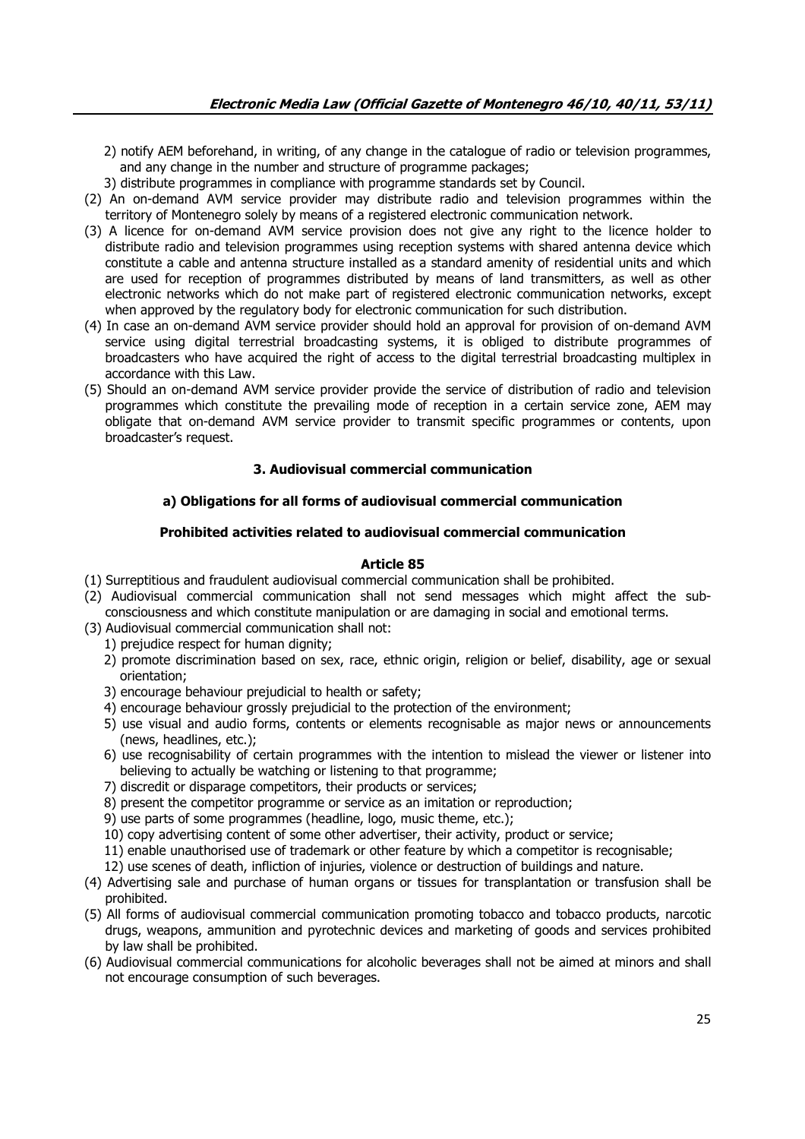- 2) notify AEM beforehand, in writing, of any change in the catalogue of radio or television programmes, and any change in the number and structure of programme packages;
- 3) distribute programmes in compliance with programme standards set by Council.
- (2) An on-demand AVM service provider may distribute radio and television programmes within the territory of Montenegro solely by means of a registered electronic communication network.
- (3) A licence for on-demand AVM service provision does not give any right to the licence holder to distribute radio and television programmes using reception systems with shared antenna device which constitute a cable and antenna structure installed as a standard amenity of residential units and which are used for reception of programmes distributed by means of land transmitters, as well as other electronic networks which do not make part of registered electronic communication networks, except when approved by the regulatory body for electronic communication for such distribution.
- (4) In case an on-demand AVM service provider should hold an approval for provision of on-demand AVM service using digital terrestrial broadcasting systems, it is obliged to distribute programmes of broadcasters who have acquired the right of access to the digital terrestrial broadcasting multiplex in accordance with this Law.
- (5) Should an on-demand AVM service provider provide the service of distribution of radio and television programmes which constitute the prevailing mode of reception in a certain service zone, AEM may obligate that on-demand AVM service provider to transmit specific programmes or contents, upon broadcaster's request.

# **3. Audiovisual commercial communication**

# **a) Obligations for all forms of audiovisual commercial communication**

## **Prohibited activities related to audiovisual commercial communication**

- (1) Surreptitious and fraudulent audiovisual commercial communication shall be prohibited.
- (2) Audiovisual commercial communication shall not send messages which might affect the subconsciousness and which constitute manipulation or are damaging in social and emotional terms.
- (3) Audiovisual commercial communication shall not:
	- 1) prejudice respect for human dignity;
	- 2) promote discrimination based on sex, race, ethnic origin, religion or belief, disability, age or sexual orientation;
	- 3) encourage behaviour prejudicial to health or safety;
	- 4) encourage behaviour grossly prejudicial to the protection of the environment;
	- 5) use visual and audio forms, contents or elements recognisable as major news or announcements (news, headlines, etc.);
	- 6) use recognisability of certain programmes with the intention to mislead the viewer or listener into believing to actually be watching or listening to that programme;
	- 7) discredit or disparage competitors, their products or services;
	- 8) present the competitor programme or service as an imitation or reproduction;
	- 9) use parts of some programmes (headline, logo, music theme, etc.);
	- 10) copy advertising content of some other advertiser, their activity, product or service;
	- 11) enable unauthorised use of trademark or other feature by which a competitor is recognisable;
	- 12) use scenes of death, infliction of injuries, violence or destruction of buildings and nature.
- (4) Advertising sale and purchase of human organs or tissues for transplantation or transfusion shall be prohibited.
- (5) All forms of audiovisual commercial communication promoting tobacco and tobacco products, narcotic drugs, weapons, ammunition and pyrotechnic devices and marketing of goods and services prohibited by law shall be prohibited.
- (6) Audiovisual commercial communications for alcoholic beverages shall not be aimed at minors and shall not encourage consumption of such beverages.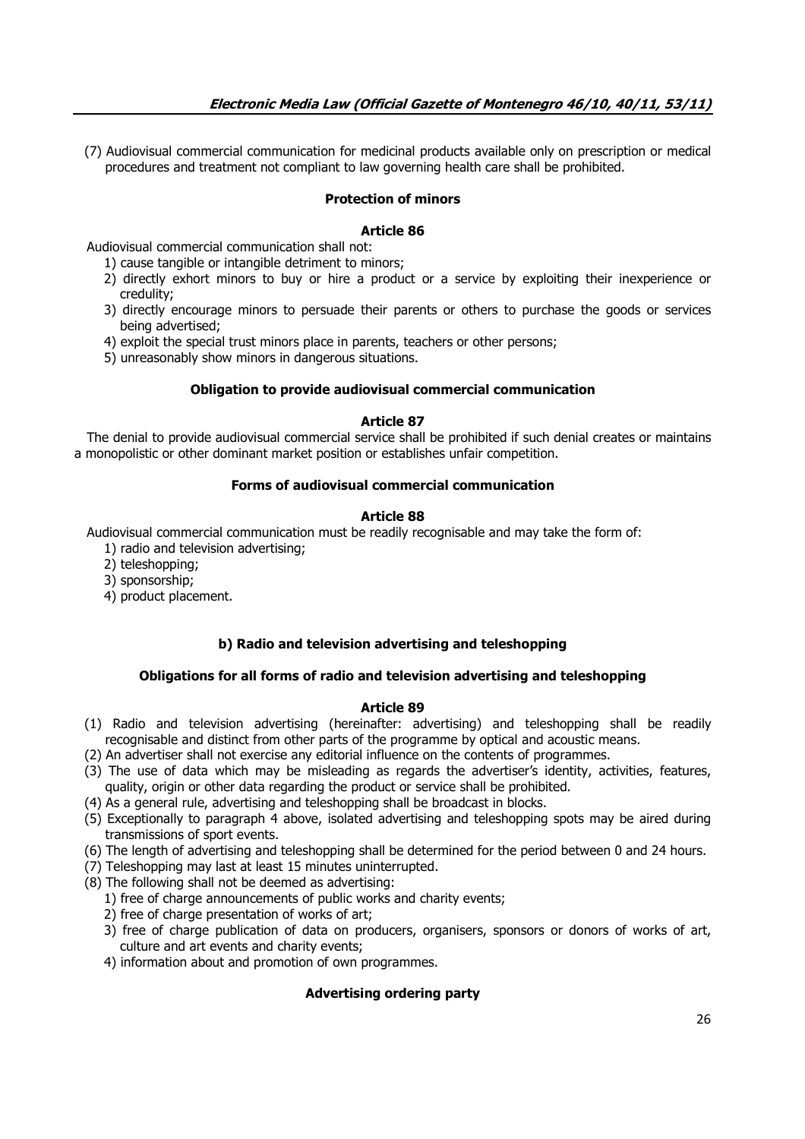(7) Audiovisual commercial communication for medicinal products available only on prescription or medical procedures and treatment not compliant to law governing health care shall be prohibited.

# **Protection of minors**

# **Article 86**

Audiovisual commercial communication shall not:

- 1) cause tangible or intangible detriment to minors;
- 2) directly exhort minors to buy or hire a product or a service by exploiting their inexperience or credulity;
- 3) directly encourage minors to persuade their parents or others to purchase the goods or services being advertised;
- 4) exploit the special trust minors place in parents, teachers or other persons;
- 5) unreasonably show minors in dangerous situations.

## **Obligation to provide audiovisual commercial communication**

## **Article 87**

 The denial to provide audiovisual commercial service shall be prohibited if such denial creates or maintains a monopolistic or other dominant market position or establishes unfair competition.

# **Forms of audiovisual commercial communication**

## **Article 88**

Audiovisual commercial communication must be readily recognisable and may take the form of:

- 1) radio and television advertising;
- 2) teleshopping;
- 3) sponsorship;
- 4) product placement.

# **b) Radio and television advertising and teleshopping**

# **Obligations for all forms of radio and television advertising and teleshopping**

### **Article 89**

- (1) Radio and television advertising (hereinafter: advertising) and teleshopping shall be readily recognisable and distinct from other parts of the programme by optical and acoustic means.
- (2) An advertiser shall not exercise any editorial influence on the contents of programmes.
- (3) The use of data which may be misleading as regards the advertiser's identity, activities, features, quality, origin or other data regarding the product or service shall be prohibited.
- (4) As a general rule, advertising and teleshopping shall be broadcast in blocks.
- (5) Exceptionally to paragraph 4 above, isolated advertising and teleshopping spots may be aired during transmissions of sport events.
- (6) The length of advertising and teleshopping shall be determined for the period between 0 and 24 hours.
- (7) Teleshopping may last at least 15 minutes uninterrupted.
- (8) The following shall not be deemed as advertising:
	- 1) free of charge announcements of public works and charity events;
	- 2) free of charge presentation of works of art;
	- 3) free of charge publication of data on producers, organisers, sponsors or donors of works of art, culture and art events and charity events;
	- 4) information about and promotion of own programmes.

# **Advertising ordering party**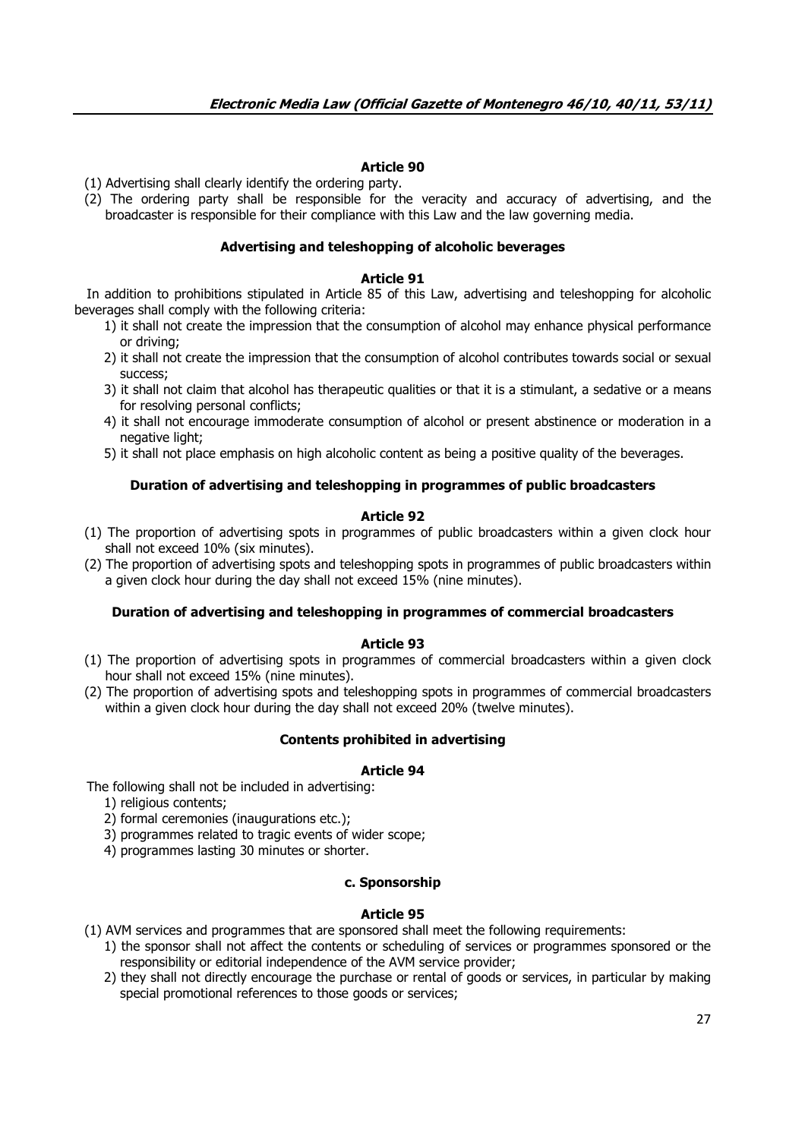# **Article 90**

(1) Advertising shall clearly identify the ordering party.

(2) The ordering party shall be responsible for the veracity and accuracy of advertising, and the broadcaster is responsible for their compliance with this Law and the law governing media.

### **Advertising and teleshopping of alcoholic beverages**

### **Article 91**

 In addition to prohibitions stipulated in Article 85 of this Law, advertising and teleshopping for alcoholic beverages shall comply with the following criteria:

- 1) it shall not create the impression that the consumption of alcohol may enhance physical performance or driving;
- 2) it shall not create the impression that the consumption of alcohol contributes towards social or sexual success;
- 3) it shall not claim that alcohol has therapeutic qualities or that it is a stimulant, a sedative or a means for resolving personal conflicts;
- 4) it shall not encourage immoderate consumption of alcohol or present abstinence or moderation in a negative light;
- 5) it shall not place emphasis on high alcoholic content as being a positive quality of the beverages.

### **Duration of advertising and teleshopping in programmes of public broadcasters**

### **Article 92**

- (1) The proportion of advertising spots in programmes of public broadcasters within a given clock hour shall not exceed 10% (six minutes).
- (2) The proportion of advertising spots and teleshopping spots in programmes of public broadcasters within a given clock hour during the day shall not exceed 15% (nine minutes).

### **Duration of advertising and teleshopping in programmes of commercial broadcasters**

#### **Article 93**

- (1) The proportion of advertising spots in programmes of commercial broadcasters within a given clock hour shall not exceed 15% (nine minutes).
- (2) The proportion of advertising spots and teleshopping spots in programmes of commercial broadcasters within a given clock hour during the day shall not exceed 20% (twelve minutes).

### **Contents prohibited in advertising**

#### **Article 94**

The following shall not be included in advertising:

- 1) religious contents;
- 2) formal ceremonies (inaugurations etc.);
- 3) programmes related to tragic events of wider scope;
- 4) programmes lasting 30 minutes or shorter.

### **c. Sponsorship**

### **Article 95**

(1) AVM services and programmes that are sponsored shall meet the following requirements:

- 1) the sponsor shall not affect the contents or scheduling of services or programmes sponsored or the responsibility or editorial independence of the AVM service provider;
- 2) they shall not directly encourage the purchase or rental of goods or services, in particular by making special promotional references to those goods or services;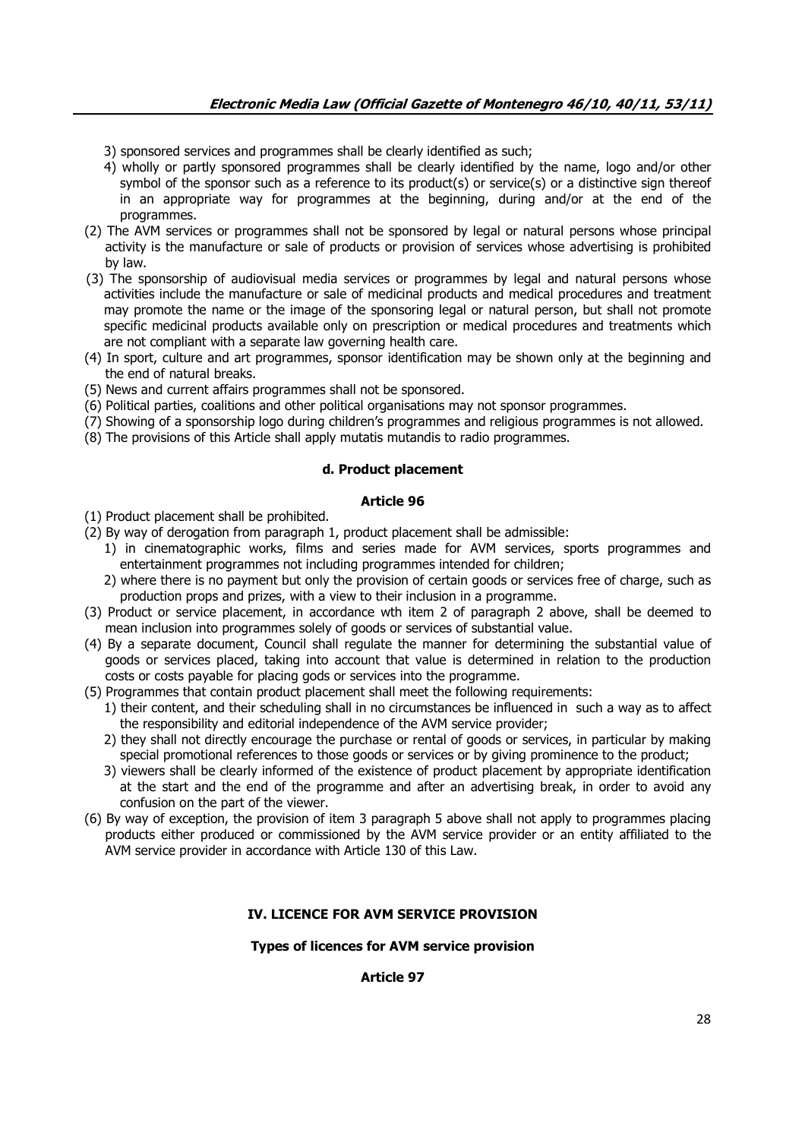- 3) sponsored services and programmes shall be clearly identified as such;
- 4) wholly or partly sponsored programmes shall be clearly identified by the name, logo and/or other symbol of the sponsor such as a reference to its product(s) or service(s) or a distinctive sign thereof in an appropriate way for programmes at the beginning, during and/or at the end of the programmes.
- (2) The AVM services or programmes shall not be sponsored by legal or natural persons whose principal activity is the manufacture or sale of products or provision of services whose advertising is prohibited by law.
- (3) The sponsorship of audiovisual media services or programmes by legal and natural persons whose activities include the manufacture or sale of medicinal products and medical procedures and treatment may promote the name or the image of the sponsoring legal or natural person, but shall not promote specific medicinal products available only on prescription or medical procedures and treatments which are not compliant with a separate law governing health care.
- (4) In sport, culture and art programmes, sponsor identification may be shown only at the beginning and the end of natural breaks.
- (5) News and current affairs programmes shall not be sponsored.
- (6) Political parties, coalitions and other political organisations may not sponsor programmes.
- (7) Showing of a sponsorship logo during children's programmes and religious programmes is not allowed.
- (8) The provisions of this Article shall apply mutatis mutandis to radio programmes.

# **d. Product placement**

## **Article 96**

- (1) Product placement shall be prohibited.
- (2) By way of derogation from paragraph 1, product placement shall be admissible:
	- 1) in cinematographic works, films and series made for AVM services, sports programmes and entertainment programmes not including programmes intended for children;
	- 2) where there is no payment but only the provision of certain goods or services free of charge, such as production props and prizes, with a view to their inclusion in a programme.
- (3) Product or service placement, in accordance wth item 2 of paragraph 2 above, shall be deemed to mean inclusion into programmes solely of goods or services of substantial value.
- (4) By a separate document, Council shall regulate the manner for determining the substantial value of goods or services placed, taking into account that value is determined in relation to the production costs or costs payable for placing gods or services into the programme.
- (5) Programmes that contain product placement shall meet the following requirements:
	- 1) their content, and their scheduling shall in no circumstances be influenced in such a way as to affect the responsibility and editorial independence of the AVM service provider;
	- 2) they shall not directly encourage the purchase or rental of goods or services, in particular by making special promotional references to those goods or services or by giving prominence to the product;
	- 3) viewers shall be clearly informed of the existence of product placement by appropriate identification at the start and the end of the programme and after an advertising break, in order to avoid any confusion on the part of the viewer.
- (6) By way of exception, the provision of item 3 paragraph 5 above shall not apply to programmes placing products either produced or commissioned by the AVM service provider or an entity affiliated to the AVM service provider in accordance with Article 130 of this Law.

# **IV. LICENCE FOR AVM SERVICE PROVISION**

### **Types of licences for AVM service provision**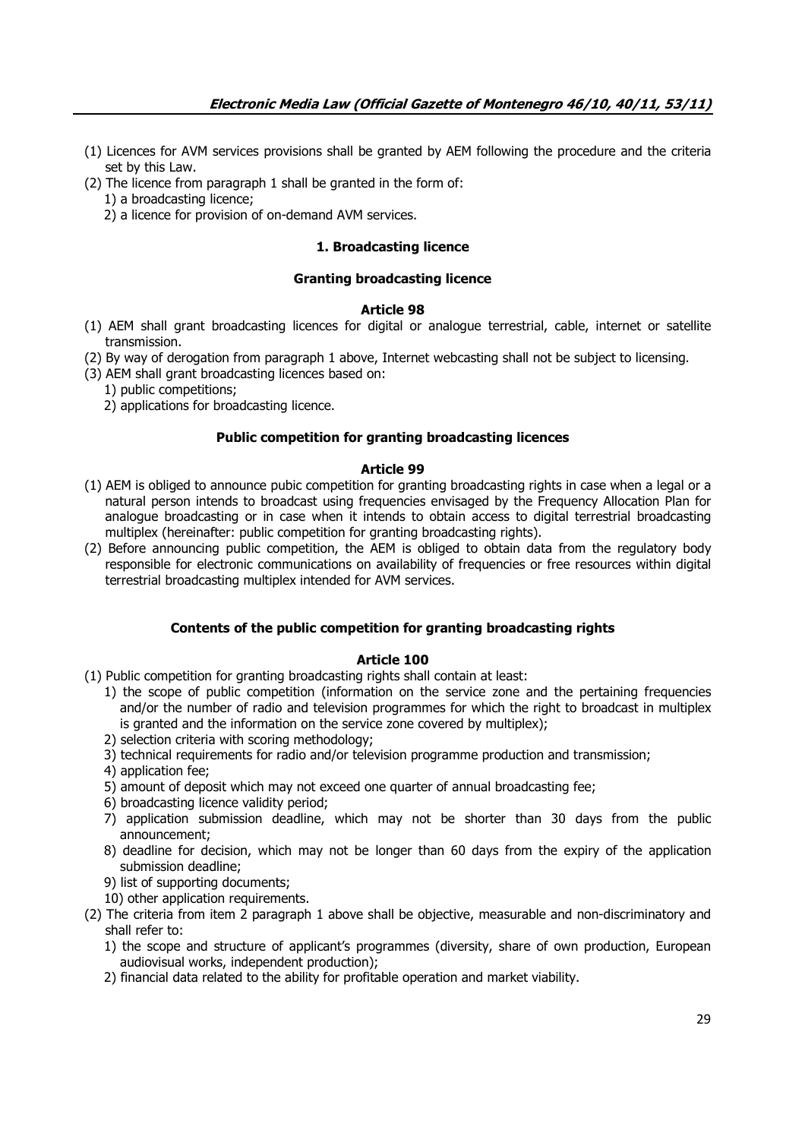- (1) Licences for AVM services provisions shall be granted by AEM following the procedure and the criteria set by this Law.
- (2) The licence from paragraph 1 shall be granted in the form of:
	- 1) a broadcasting licence;
		- 2) a licence for provision of on-demand AVM services.

# **1. Broadcasting licence**

## **Granting broadcasting licence**

### **Article 98**

- (1) AEM shall grant broadcasting licences for digital or analogue terrestrial, cable, internet or satellite transmission.
- (2) By way of derogation from paragraph 1 above, Internet webcasting shall not be subject to licensing.
- (3) AEM shall grant broadcasting licences based on:
	- 1) public competitions;
	- 2) applications for broadcasting licence.

# **Public competition for granting broadcasting licences**

# **Article 99**

- (1) AEM is obliged to announce pubic competition for granting broadcasting rights in case when a legal or a natural person intends to broadcast using frequencies envisaged by the Frequency Allocation Plan for analogue broadcasting or in case when it intends to obtain access to digital terrestrial broadcasting multiplex (hereinafter: public competition for granting broadcasting rights).
- (2) Before announcing public competition, the AEM is obliged to obtain data from the regulatory body responsible for electronic communications on availability of frequencies or free resources within digital terrestrial broadcasting multiplex intended for AVM services.

# **Contents of the public competition for granting broadcasting rights**

- (1) Public competition for granting broadcasting rights shall contain at least:
	- 1) the scope of public competition (information on the service zone and the pertaining frequencies and/or the number of radio and television programmes for which the right to broadcast in multiplex is granted and the information on the service zone covered by multiplex);
	- 2) selection criteria with scoring methodology;
	- 3) technical requirements for radio and/or television programme production and transmission;
	- 4) application fee;
	- 5) amount of deposit which may not exceed one quarter of annual broadcasting fee;
	- 6) broadcasting licence validity period;
	- 7) application submission deadline, which may not be shorter than 30 days from the public announcement;
	- 8) deadline for decision, which may not be longer than 60 days from the expiry of the application submission deadline;
	- 9) list of supporting documents;
	- 10) other application requirements.
- (2) The criteria from item 2 paragraph 1 above shall be objective, measurable and non-discriminatory and shall refer to:
	- 1) the scope and structure of applicant's programmes (diversity, share of own production, European audiovisual works, independent production);
	- 2) financial data related to the ability for profitable operation and market viability.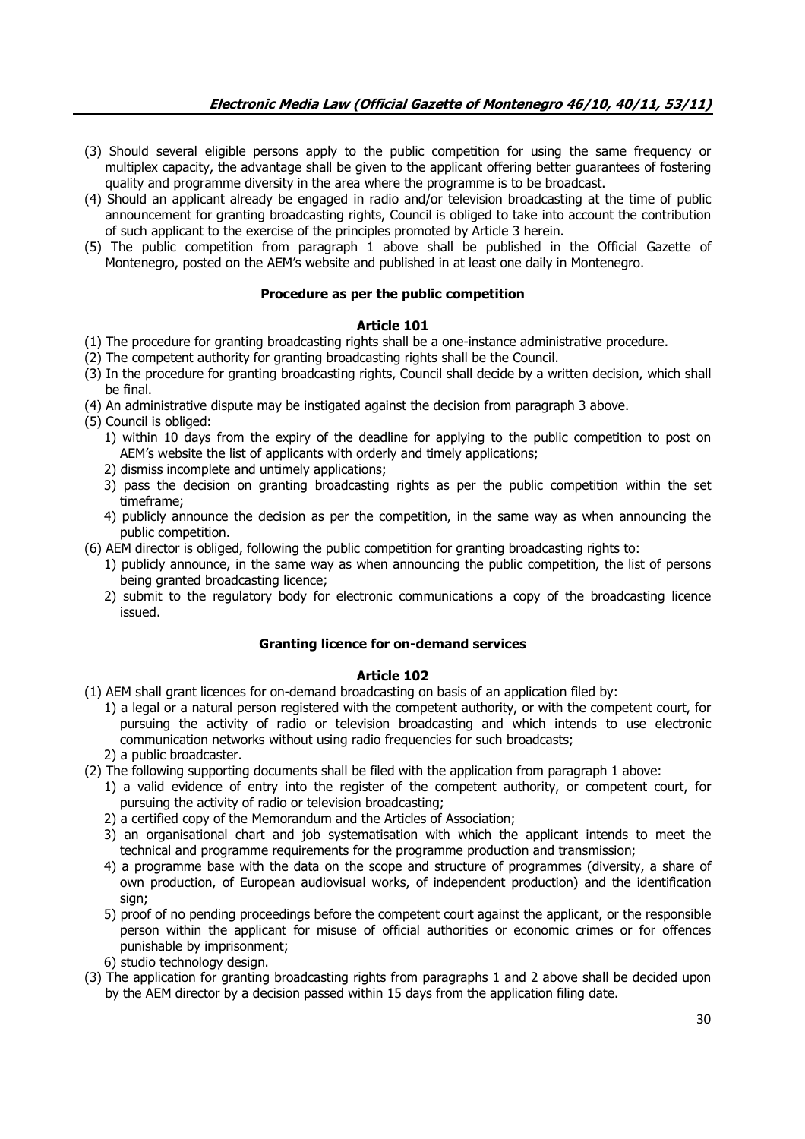- (3) Should several eligible persons apply to the public competition for using the same frequency or multiplex capacity, the advantage shall be given to the applicant offering better guarantees of fostering quality and programme diversity in the area where the programme is to be broadcast.
- (4) Should an applicant already be engaged in radio and/or television broadcasting at the time of public announcement for granting broadcasting rights, Council is obliged to take into account the contribution of such applicant to the exercise of the principles promoted by Article 3 herein.
- (5) The public competition from paragraph 1 above shall be published in the Official Gazette of Montenegro, posted on the AEM's website and published in at least one daily in Montenegro.

# **Procedure as per the public competition**

# **Article 101**

- (1) The procedure for granting broadcasting rights shall be a one-instance administrative procedure.
- (2) The competent authority for granting broadcasting rights shall be the Council.
- (3) In the procedure for granting broadcasting rights, Council shall decide by a written decision, which shall be final.
- (4) An administrative dispute may be instigated against the decision from paragraph 3 above.
- (5) Council is obliged:
	- 1) within 10 days from the expiry of the deadline for applying to the public competition to post on AEM's website the list of applicants with orderly and timely applications;
	- 2) dismiss incomplete and untimely applications;
	- 3) pass the decision on granting broadcasting rights as per the public competition within the set timeframe;
	- 4) publicly announce the decision as per the competition, in the same way as when announcing the public competition.

(6) AEM director is obliged, following the public competition for granting broadcasting rights to:

- 1) publicly announce, in the same way as when announcing the public competition, the list of persons being granted broadcasting licence;
- 2) submit to the regulatory body for electronic communications a copy of the broadcasting licence issued.

# **Granting licence for on-demand services**

- (1) AEM shall grant licences for on-demand broadcasting on basis of an application filed by:
	- 1) a legal or a natural person registered with the competent authority, or with the competent court, for pursuing the activity of radio or television broadcasting and which intends to use electronic communication networks without using radio frequencies for such broadcasts;
	- 2) a public broadcaster.
- (2) The following supporting documents shall be filed with the application from paragraph 1 above:
	- 1) a valid evidence of entry into the register of the competent authority, or competent court, for pursuing the activity of radio or television broadcasting;
	- 2) a certified copy of the Memorandum and the Articles of Association;
	- 3) an organisational chart and job systematisation with which the applicant intends to meet the technical and programme requirements for the programme production and transmission;
	- 4) a programme base with the data on the scope and structure of programmes (diversity, a share of own production, of European audiovisual works, of independent production) and the identification sign;
	- 5) proof of no pending proceedings before the competent court against the applicant, or the responsible person within the applicant for misuse of official authorities or economic crimes or for offences punishable by imprisonment;
	- 6) studio technology design.
- (3) The application for granting broadcasting rights from paragraphs 1 and 2 above shall be decided upon by the AEM director by a decision passed within 15 days from the application filing date.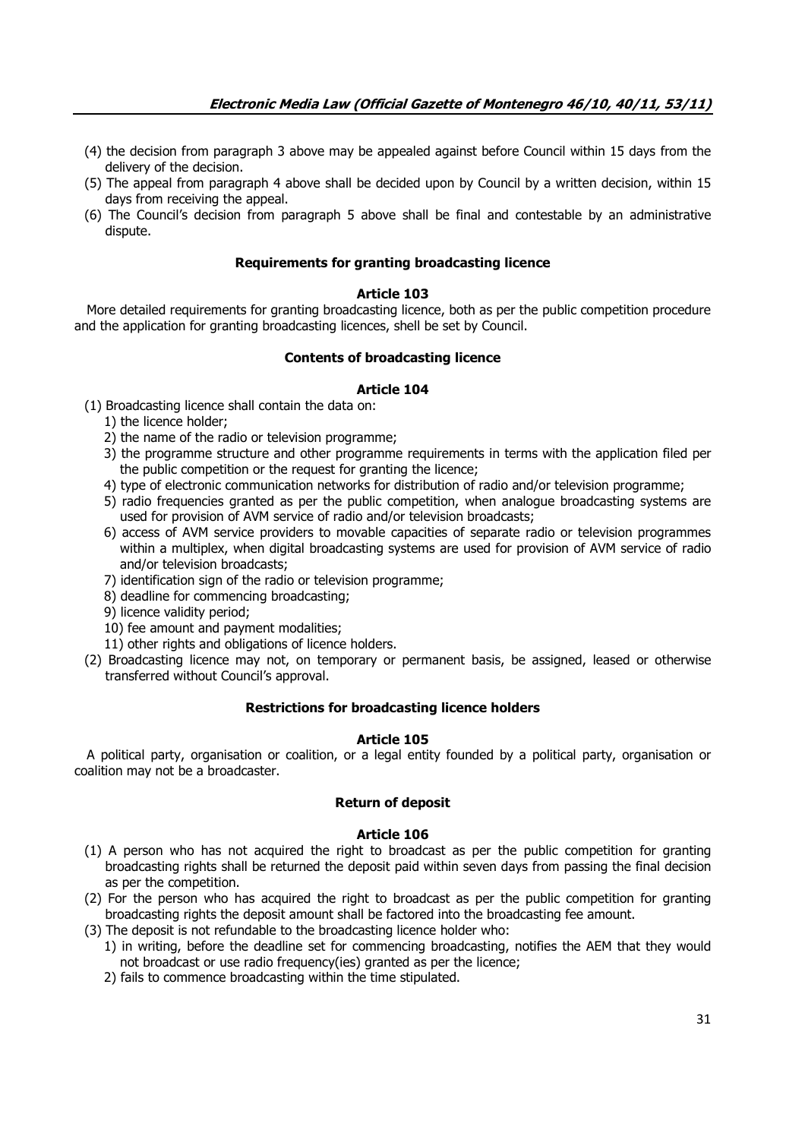- (4) the decision from paragraph 3 above may be appealed against before Council within 15 days from the delivery of the decision.
- (5) The appeal from paragraph 4 above shall be decided upon by Council by a written decision, within 15 days from receiving the appeal.
- (6) The Council's decision from paragraph 5 above shall be final and contestable by an administrative dispute.

### **Requirements for granting broadcasting licence**

## **Article 103**

 More detailed requirements for granting broadcasting licence, both as per the public competition procedure and the application for granting broadcasting licences, shell be set by Council.

### **Contents of broadcasting licence**

### **Article 104**

- (1) Broadcasting licence shall contain the data on:
	- 1) the licence holder;
	- 2) the name of the radio or television programme;
	- 3) the programme structure and other programme requirements in terms with the application filed per the public competition or the request for granting the licence;
	- 4) type of electronic communication networks for distribution of radio and/or television programme;
	- 5) radio frequencies granted as per the public competition, when analogue broadcasting systems are used for provision of AVM service of radio and/or television broadcasts;
	- 6) access of AVM service providers to movable capacities of separate radio or television programmes within a multiplex, when digital broadcasting systems are used for provision of AVM service of radio and/or television broadcasts;
	- 7) identification sign of the radio or television programme;
	- 8) deadline for commencing broadcasting;
	- 9) licence validity period;
	- 10) fee amount and payment modalities;
	- 11) other rights and obligations of licence holders.
- (2) Broadcasting licence may not, on temporary or permanent basis, be assigned, leased or otherwise transferred without Council's approval.

### **Restrictions for broadcasting licence holders**

### **Article 105**

 A political party, organisation or coalition, or a legal entity founded by a political party, organisation or coalition may not be a broadcaster.

### **Return of deposit**

- (1) A person who has not acquired the right to broadcast as per the public competition for granting broadcasting rights shall be returned the deposit paid within seven days from passing the final decision as per the competition.
- (2) For the person who has acquired the right to broadcast as per the public competition for granting broadcasting rights the deposit amount shall be factored into the broadcasting fee amount.
- (3) The deposit is not refundable to the broadcasting licence holder who:
	- 1) in writing, before the deadline set for commencing broadcasting, notifies the AEM that they would not broadcast or use radio frequency(ies) granted as per the licence;
	- 2) fails to commence broadcasting within the time stipulated.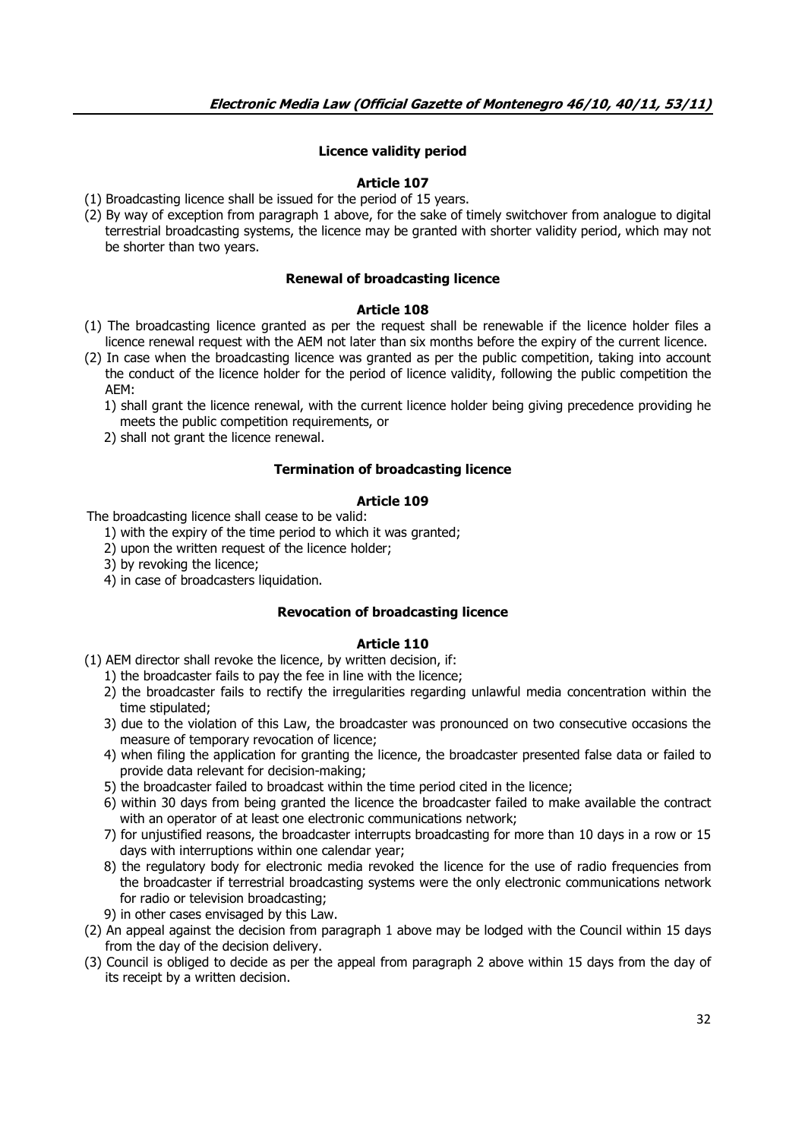# **Licence validity period**

## **Article 107**

- (1) Broadcasting licence shall be issued for the period of 15 years.
- (2) By way of exception from paragraph 1 above, for the sake of timely switchover from analogue to digital terrestrial broadcasting systems, the licence may be granted with shorter validity period, which may not be shorter than two years.

### **Renewal of broadcasting licence**

## **Article 108**

- (1) The broadcasting licence granted as per the request shall be renewable if the licence holder files a licence renewal request with the AEM not later than six months before the expiry of the current licence.
- (2) In case when the broadcasting licence was granted as per the public competition, taking into account the conduct of the licence holder for the period of licence validity, following the public competition the AEM:
	- 1) shall grant the licence renewal, with the current licence holder being giving precedence providing he meets the public competition requirements, or
	- 2) shall not grant the licence renewal.

### **Termination of broadcasting licence**

## **Article 109**

The broadcasting licence shall cease to be valid:

- 1) with the expiry of the time period to which it was granted;
- 2) upon the written request of the licence holder;
- 3) by revoking the licence;
- 4) in case of broadcasters liquidation.

### **Revocation of broadcasting licence**

# **Article 110**

(1) AEM director shall revoke the licence, by written decision, if:

- 1) the broadcaster fails to pay the fee in line with the licence;
- 2) the broadcaster fails to rectify the irregularities regarding unlawful media concentration within the time stipulated;
- 3) due to the violation of this Law, the broadcaster was pronounced on two consecutive occasions the measure of temporary revocation of licence;
- 4) when filing the application for granting the licence, the broadcaster presented false data or failed to provide data relevant for decision-making;
- 5) the broadcaster failed to broadcast within the time period cited in the licence;
- 6) within 30 days from being granted the licence the broadcaster failed to make available the contract with an operator of at least one electronic communications network;
- 7) for unjustified reasons, the broadcaster interrupts broadcasting for more than 10 days in a row or 15 days with interruptions within one calendar year;
- 8) the regulatory body for electronic media revoked the licence for the use of radio frequencies from the broadcaster if terrestrial broadcasting systems were the only electronic communications network for radio or television broadcasting;
- 9) in other cases envisaged by this Law.
- (2) An appeal against the decision from paragraph 1 above may be lodged with the Council within 15 days from the day of the decision delivery.
- (3) Council is obliged to decide as per the appeal from paragraph 2 above within 15 days from the day of its receipt by a written decision.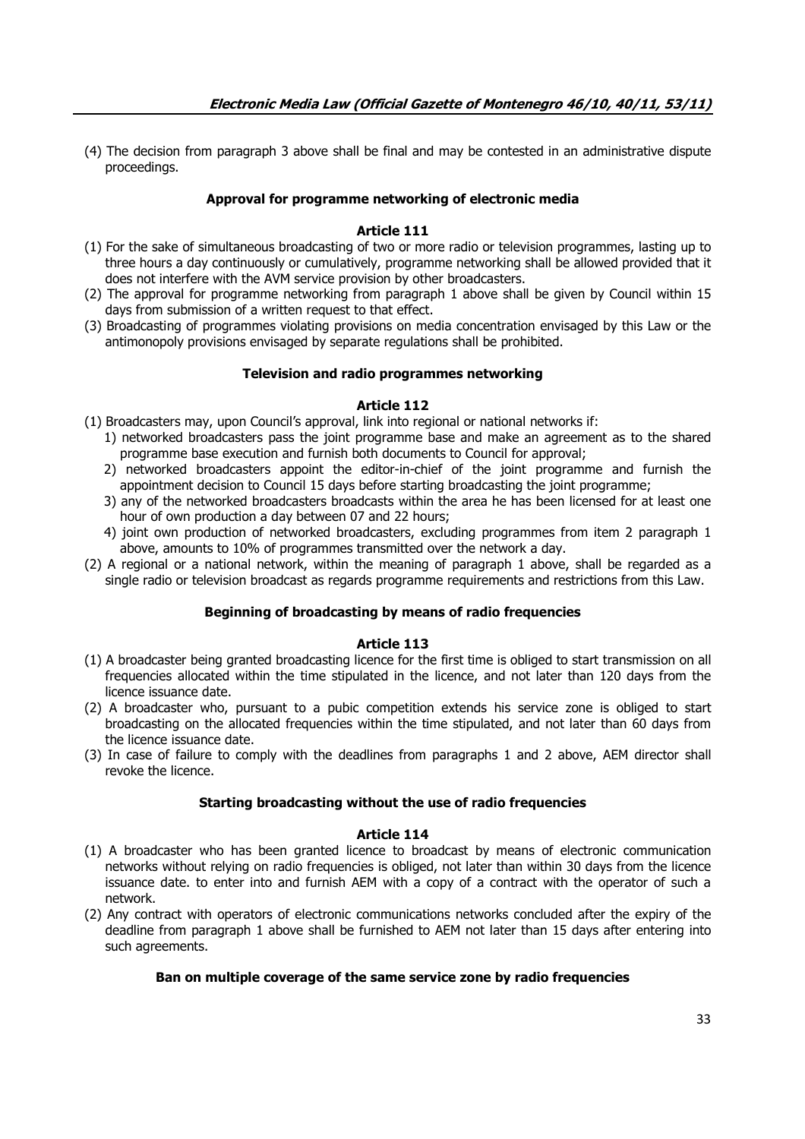(4) The decision from paragraph 3 above shall be final and may be contested in an administrative dispute proceedings.

# **Approval for programme networking of electronic media**

# **Article 111**

- (1) For the sake of simultaneous broadcasting of two or more radio or television programmes, lasting up to three hours a day continuously or cumulatively, programme networking shall be allowed provided that it does not interfere with the AVM service provision by other broadcasters.
- (2) The approval for programme networking from paragraph 1 above shall be given by Council within 15 days from submission of a written request to that effect.
- (3) Broadcasting of programmes violating provisions on media concentration envisaged by this Law or the antimonopoly provisions envisaged by separate regulations shall be prohibited.

## **Television and radio programmes networking**

## **Article 112**

(1) Broadcasters may, upon Council's approval, link into regional or national networks if:

- 1) networked broadcasters pass the joint programme base and make an agreement as to the shared programme base execution and furnish both documents to Council for approval;
- 2) networked broadcasters appoint the editor-in-chief of the joint programme and furnish the appointment decision to Council 15 days before starting broadcasting the joint programme;
- 3) any of the networked broadcasters broadcasts within the area he has been licensed for at least one hour of own production a day between 07 and 22 hours;
- 4) joint own production of networked broadcasters, excluding programmes from item 2 paragraph 1 above, amounts to 10% of programmes transmitted over the network a day.
- (2) A regional or a national network, within the meaning of paragraph 1 above, shall be regarded as a single radio or television broadcast as regards programme requirements and restrictions from this Law.

# **Beginning of broadcasting by means of radio frequencies**

### **Article 113**

- (1) A broadcaster being granted broadcasting licence for the first time is obliged to start transmission on all frequencies allocated within the time stipulated in the licence, and not later than 120 days from the licence issuance date.
- (2) A broadcaster who, pursuant to a pubic competition extends his service zone is obliged to start broadcasting on the allocated frequencies within the time stipulated, and not later than 60 days from the licence issuance date.
- (3) In case of failure to comply with the deadlines from paragraphs 1 and 2 above, AEM director shall revoke the licence.

### **Starting broadcasting without the use of radio frequencies**

### **Article 114**

- (1) A broadcaster who has been granted licence to broadcast by means of electronic communication networks without relying on radio frequencies is obliged, not later than within 30 days from the licence issuance date. to enter into and furnish AEM with a copy of a contract with the operator of such a network.
- (2) Any contract with operators of electronic communications networks concluded after the expiry of the deadline from paragraph 1 above shall be furnished to AEM not later than 15 days after entering into such agreements.

# **Ban on multiple coverage of the same service zone by radio frequencies**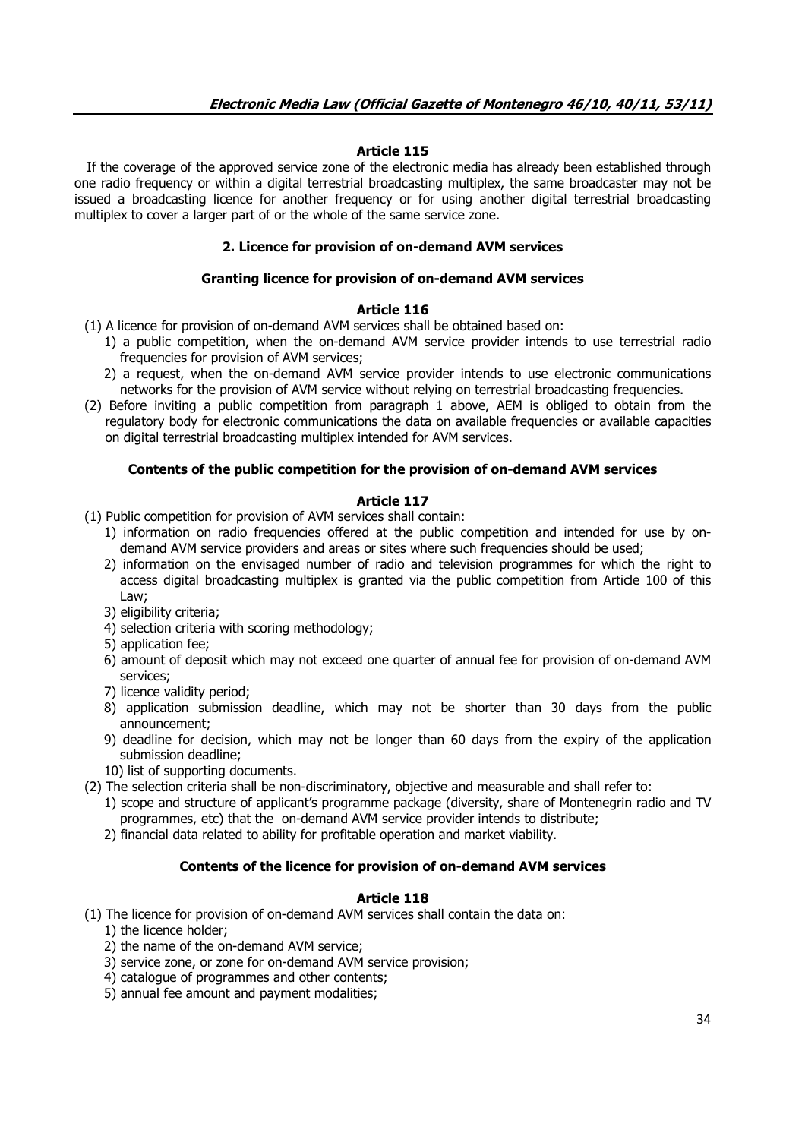# **Article 115**

 If the coverage of the approved service zone of the electronic media has already been established through one radio frequency or within a digital terrestrial broadcasting multiplex, the same broadcaster may not be issued a broadcasting licence for another frequency or for using another digital terrestrial broadcasting multiplex to cover a larger part of or the whole of the same service zone.

# **2. Licence for provision of on-demand AVM services**

## **Granting licence for provision of on-demand AVM services**

## **Article 116**

- (1) A licence for provision of on-demand AVM services shall be obtained based on:
	- 1) a public competition, when the on-demand AVM service provider intends to use terrestrial radio frequencies for provision of AVM services;
	- 2) a request, when the on-demand AVM service provider intends to use electronic communications networks for the provision of AVM service without relying on terrestrial broadcasting frequencies.
- (2) Before inviting a public competition from paragraph 1 above, AEM is obliged to obtain from the regulatory body for electronic communications the data on available frequencies or available capacities on digital terrestrial broadcasting multiplex intended for AVM services.

## **Contents of the public competition for the provision of on-demand AVM services**

## **Article 117**

- (1) Public competition for provision of AVM services shall contain:
	- 1) information on radio frequencies offered at the public competition and intended for use by ondemand AVM service providers and areas or sites where such frequencies should be used;
	- 2) information on the envisaged number of radio and television programmes for which the right to access digital broadcasting multiplex is granted via the public competition from Article 100 of this Law;
	- 3) eligibility criteria;
	- 4) selection criteria with scoring methodology;
	- 5) application fee;
	- 6) amount of deposit which may not exceed one quarter of annual fee for provision of on-demand AVM services;
	- 7) licence validity period;
	- 8) application submission deadline, which may not be shorter than 30 days from the public announcement;
	- 9) deadline for decision, which may not be longer than 60 days from the expiry of the application submission deadline;
	- 10) list of supporting documents.
- (2) The selection criteria shall be non-discriminatory, objective and measurable and shall refer to:
	- 1) scope and structure of applicant's programme package (diversity, share of Montenegrin radio and TV programmes, etc) that the on-demand AVM service provider intends to distribute;
	- 2) financial data related to ability for profitable operation and market viability.

# **Contents of the licence for provision of on-demand AVM services**

- (1) The licence for provision of on-demand AVM services shall contain the data on:
	- 1) the licence holder;
	- 2) the name of the on-demand AVM service;
	- 3) service zone, or zone for on-demand AVM service provision;
	- 4) catalogue of programmes and other contents;
	- 5) annual fee amount and payment modalities;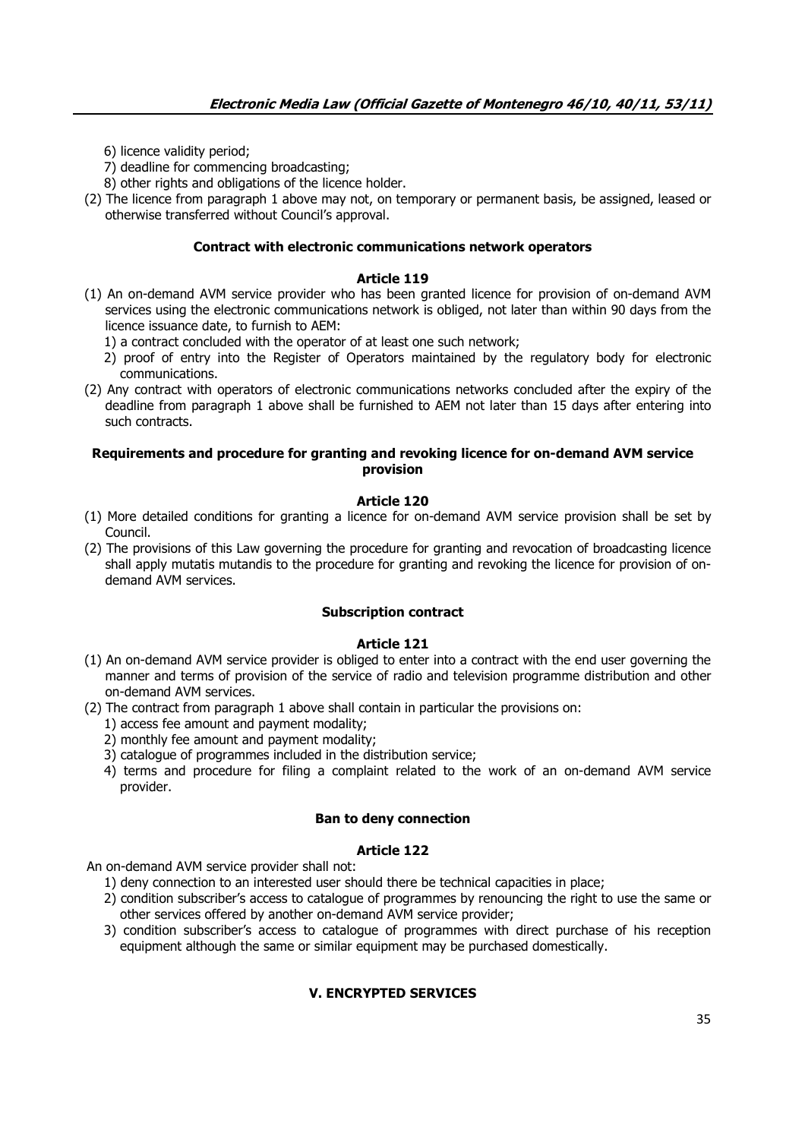- 6) licence validity period;
- 7) deadline for commencing broadcasting;
- 8) other rights and obligations of the licence holder.
- (2) The licence from paragraph 1 above may not, on temporary or permanent basis, be assigned, leased or otherwise transferred without Council's approval.

### **Contract with electronic communications network operators**

### **Article 119**

- (1) An on-demand AVM service provider who has been granted licence for provision of on-demand AVM services using the electronic communications network is obliged, not later than within 90 days from the licence issuance date, to furnish to AEM:
	- 1) a contract concluded with the operator of at least one such network;
	- 2) proof of entry into the Register of Operators maintained by the regulatory body for electronic communications.
- (2) Any contract with operators of electronic communications networks concluded after the expiry of the deadline from paragraph 1 above shall be furnished to AEM not later than 15 days after entering into such contracts.

### **Requirements and procedure for granting and revoking licence for on-demand AVM service provision**

## **Article 120**

- (1) More detailed conditions for granting a licence for on-demand AVM service provision shall be set by Council.
- (2) The provisions of this Law governing the procedure for granting and revocation of broadcasting licence shall apply mutatis mutandis to the procedure for granting and revoking the licence for provision of ondemand AVM services.

## **Subscription contract**

#### **Article 121**

- (1) An on-demand AVM service provider is obliged to enter into a contract with the end user governing the manner and terms of provision of the service of radio and television programme distribution and other on-demand AVM services.
- (2) The contract from paragraph 1 above shall contain in particular the provisions on:
	- 1) access fee amount and payment modality;
	- 2) monthly fee amount and payment modality;
	- 3) catalogue of programmes included in the distribution service;
	- 4) terms and procedure for filing a complaint related to the work of an on-demand AVM service provider.

#### **Ban to deny connection**

#### **Article 122**

An on-demand AVM service provider shall not:

- 1) deny connection to an interested user should there be technical capacities in place;
- 2) condition subscriber's access to catalogue of programmes by renouncing the right to use the same or other services offered by another on-demand AVM service provider;
- 3) condition subscriber's access to catalogue of programmes with direct purchase of his reception equipment although the same or similar equipment may be purchased domestically.

# **V. ENCRYPTED SERVICES**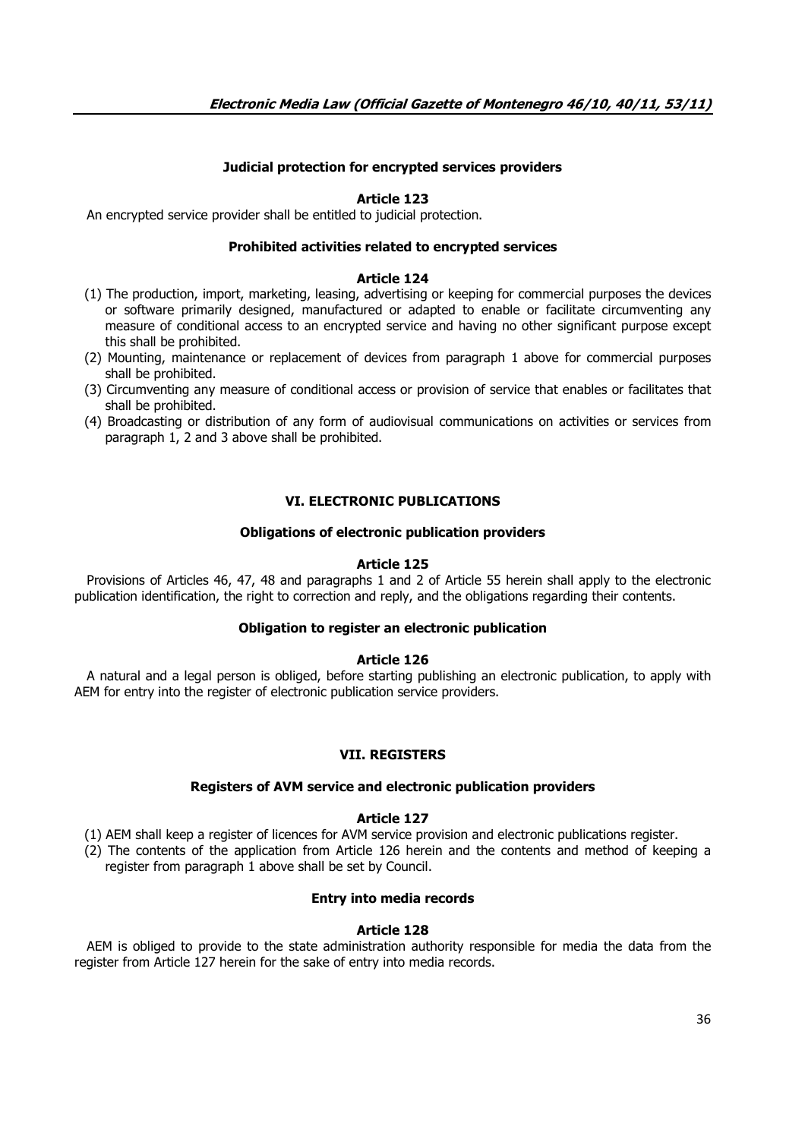# **Judicial protection for encrypted services providers**

## **Article 123**

An encrypted service provider shall be entitled to judicial protection.

### **Prohibited activities related to encrypted services**

### **Article 124**

- (1) The production, import, marketing, leasing, advertising or keeping for commercial purposes the devices or software primarily designed, manufactured or adapted to enable or facilitate circumventing any measure of conditional access to an encrypted service and having no other significant purpose except this shall be prohibited.
- (2) Mounting, maintenance or replacement of devices from paragraph 1 above for commercial purposes shall be prohibited.
- (3) Circumventing any measure of conditional access or provision of service that enables or facilitates that shall be prohibited.
- (4) Broadcasting or distribution of any form of audiovisual communications on activities or services from paragraph 1, 2 and 3 above shall be prohibited.

# **VI. ELECTRONIC PUBLICATIONS**

## **Obligations of electronic publication providers**

## **Article 125**

 Provisions of Articles 46, 47, 48 and paragraphs 1 and 2 of Article 55 herein shall apply to the electronic publication identification, the right to correction and reply, and the obligations regarding their contents.

## **Obligation to register an electronic publication**

### **Article 126**

 A natural and a legal person is obliged, before starting publishing an electronic publication, to apply with AEM for entry into the register of electronic publication service providers.

### **VII. REGISTERS**

### **Registers of AVM service and electronic publication providers**

### **Article 127**

(1) AEM shall keep a register of licences for AVM service provision and electronic publications register.

(2) The contents of the application from Article 126 herein and the contents and method of keeping a register from paragraph 1 above shall be set by Council.

# **Entry into media records**

# **Article 128**

 AEM is obliged to provide to the state administration authority responsible for media the data from the register from Article 127 herein for the sake of entry into media records.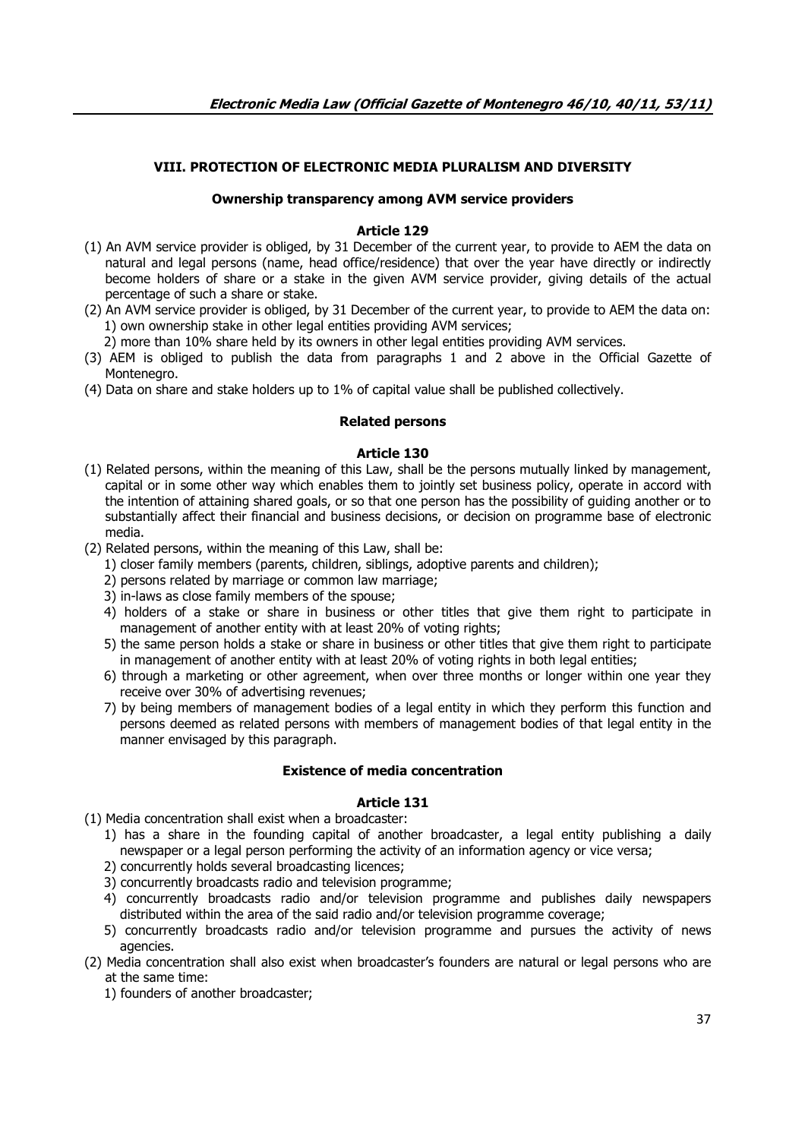# **VIII. PROTECTION OF ELECTRONIC MEDIA PLURALISM AND DIVERSITY**

# **Ownership transparency among AVM service providers**

### **Article 129**

- (1) An AVM service provider is obliged, by 31 December of the current year, to provide to AEM the data on natural and legal persons (name, head office/residence) that over the year have directly or indirectly become holders of share or a stake in the given AVM service provider, giving details of the actual percentage of such a share or stake.
- (2) An AVM service provider is obliged, by 31 December of the current year, to provide to AEM the data on: 1) own ownership stake in other legal entities providing AVM services;
	- 2) more than 10% share held by its owners in other legal entities providing AVM services.
- (3) AEM is obliged to publish the data from paragraphs 1 and 2 above in the Official Gazette of Montenegro.
- (4) Data on share and stake holders up to 1% of capital value shall be published collectively.

### **Related persons**

## **Article 130**

- (1) Related persons, within the meaning of this Law, shall be the persons mutually linked by management, capital or in some other way which enables them to jointly set business policy, operate in accord with the intention of attaining shared goals, or so that one person has the possibility of guiding another or to substantially affect their financial and business decisions, or decision on programme base of electronic media.
- (2) Related persons, within the meaning of this Law, shall be:
	- 1) closer family members (parents, children, siblings, adoptive parents and children);
	- 2) persons related by marriage or common law marriage;
	- 3) in-laws as close family members of the spouse;
	- 4) holders of a stake or share in business or other titles that give them right to participate in management of another entity with at least 20% of voting rights;
	- 5) the same person holds a stake or share in business or other titles that give them right to participate in management of another entity with at least 20% of voting rights in both legal entities;
	- 6) through a marketing or other agreement, when over three months or longer within one year they receive over 30% of advertising revenues;
	- 7) by being members of management bodies of a legal entity in which they perform this function and persons deemed as related persons with members of management bodies of that legal entity in the manner envisaged by this paragraph.

# **Existence of media concentration**

- (1) Media concentration shall exist when a broadcaster:
	- 1) has a share in the founding capital of another broadcaster, a legal entity publishing a daily newspaper or a legal person performing the activity of an information agency or vice versa;
	- 2) concurrently holds several broadcasting licences;
	- 3) concurrently broadcasts radio and television programme;
	- 4) concurrently broadcasts radio and/or television programme and publishes daily newspapers distributed within the area of the said radio and/or television programme coverage;
	- 5) concurrently broadcasts radio and/or television programme and pursues the activity of news agencies.
- (2) Media concentration shall also exist when broadcaster's founders are natural or legal persons who are at the same time:
	- 1) founders of another broadcaster;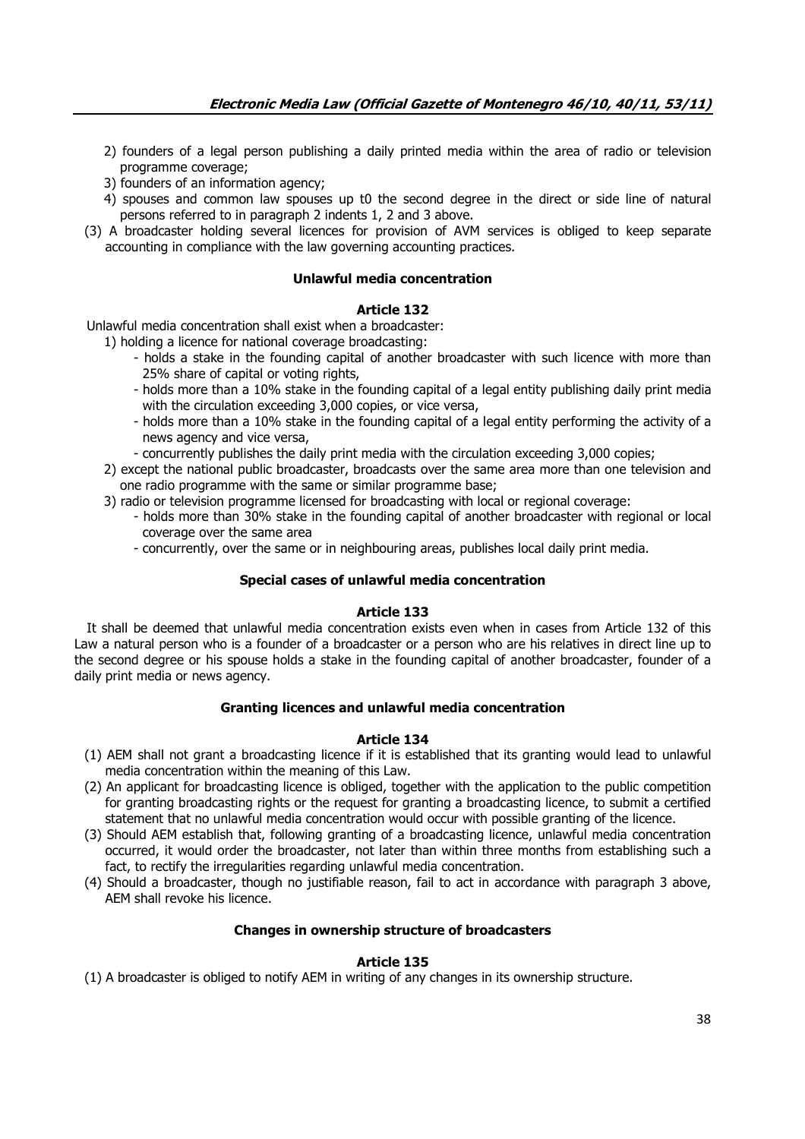- 2) founders of a legal person publishing a daily printed media within the area of radio or television programme coverage;
- 3) founders of an information agency;
- 4) spouses and common law spouses up t0 the second degree in the direct or side line of natural persons referred to in paragraph 2 indents 1, 2 and 3 above.
- (3) A broadcaster holding several licences for provision of AVM services is obliged to keep separate accounting in compliance with the law governing accounting practices.

# **Unlawful media concentration**

# **Article 132**

Unlawful media concentration shall exist when a broadcaster:

1) holding a licence for national coverage broadcasting:

- holds a stake in the founding capital of another broadcaster with such licence with more than 25% share of capital or voting rights,
- holds more than a 10% stake in the founding capital of a legal entity publishing daily print media with the circulation exceeding 3,000 copies, or vice versa,
- holds more than a 10% stake in the founding capital of a legal entity performing the activity of a news agency and vice versa,
- concurrently publishes the daily print media with the circulation exceeding 3,000 copies;
- 2) except the national public broadcaster, broadcasts over the same area more than one television and one radio programme with the same or similar programme base;
- 3) radio or television programme licensed for broadcasting with local or regional coverage:
	- holds more than 30% stake in the founding capital of another broadcaster with regional or local coverage over the same area
	- concurrently, over the same or in neighbouring areas, publishes local daily print media.

# **Special cases of unlawful media concentration**

# **Article 133**

 It shall be deemed that unlawful media concentration exists even when in cases from Article 132 of this Law a natural person who is a founder of a broadcaster or a person who are his relatives in direct line up to the second degree or his spouse holds a stake in the founding capital of another broadcaster, founder of a daily print media or news agency.

# **Granting licences and unlawful media concentration**

### **Article 134**

- (1) AEM shall not grant a broadcasting licence if it is established that its granting would lead to unlawful media concentration within the meaning of this Law.
- (2) An applicant for broadcasting licence is obliged, together with the application to the public competition for granting broadcasting rights or the request for granting a broadcasting licence, to submit a certified statement that no unlawful media concentration would occur with possible granting of the licence.
- (3) Should AEM establish that, following granting of a broadcasting licence, unlawful media concentration occurred, it would order the broadcaster, not later than within three months from establishing such a fact, to rectify the irregularities regarding unlawful media concentration.
- (4) Should a broadcaster, though no justifiable reason, fail to act in accordance with paragraph 3 above, AEM shall revoke his licence.

# **Changes in ownership structure of broadcasters**

# **Article 135**

(1) A broadcaster is obliged to notify AEM in writing of any changes in its ownership structure.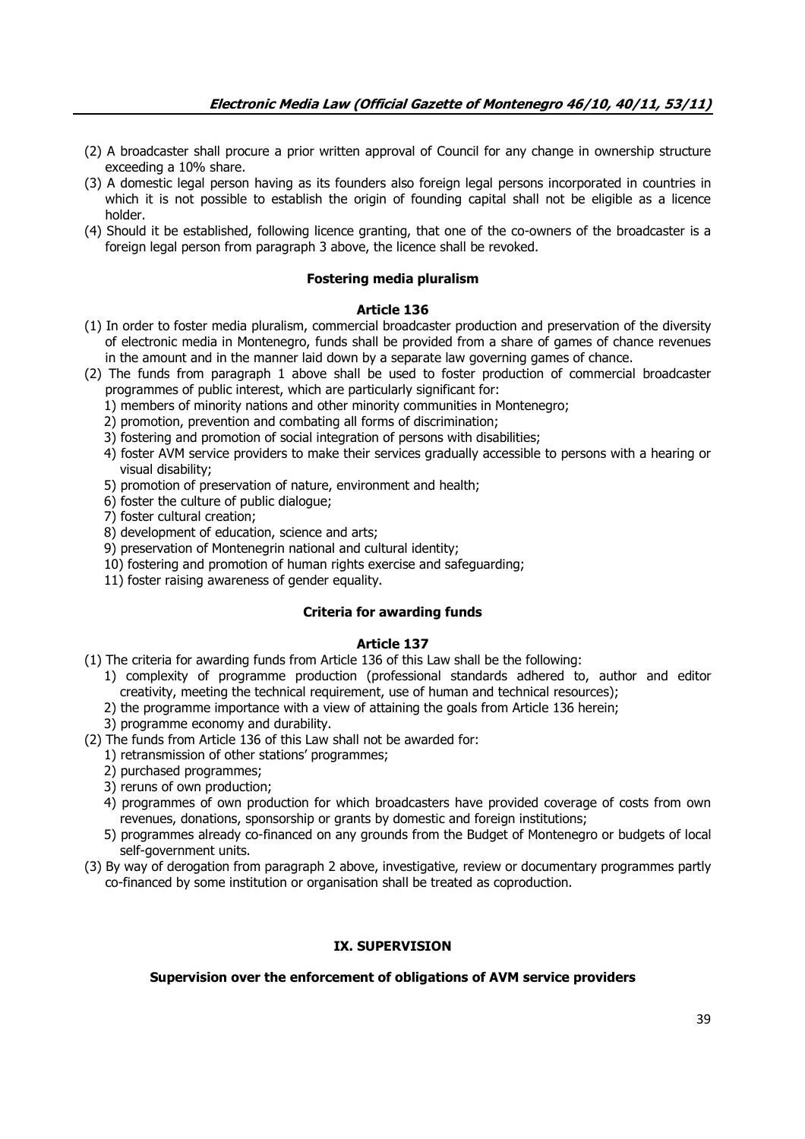- (2) A broadcaster shall procure a prior written approval of Council for any change in ownership structure exceeding a 10% share.
- (3) A domestic legal person having as its founders also foreign legal persons incorporated in countries in which it is not possible to establish the origin of founding capital shall not be eligible as a licence holder.
- (4) Should it be established, following licence granting, that one of the co-owners of the broadcaster is a foreign legal person from paragraph 3 above, the licence shall be revoked.

## **Fostering media pluralism**

## **Article 136**

- (1) In order to foster media pluralism, commercial broadcaster production and preservation of the diversity of electronic media in Montenegro, funds shall be provided from a share of games of chance revenues in the amount and in the manner laid down by a separate law governing games of chance.
- (2) The funds from paragraph 1 above shall be used to foster production of commercial broadcaster programmes of public interest, which are particularly significant for:
	- 1) members of minority nations and other minority communities in Montenegro;
	- 2) promotion, prevention and combating all forms of discrimination;
	- 3) fostering and promotion of social integration of persons with disabilities;
	- 4) foster AVM service providers to make their services gradually accessible to persons with a hearing or visual disability;
	- 5) promotion of preservation of nature, environment and health;
	- 6) foster the culture of public dialogue;
	- 7) foster cultural creation;
	- 8) development of education, science and arts;
	- 9) preservation of Montenegrin national and cultural identity;
	- 10) fostering and promotion of human rights exercise and safeguarding;
	- 11) foster raising awareness of gender equality.

# **Criteria for awarding funds**

# **Article 137**

- (1) The criteria for awarding funds from Article 136 of this Law shall be the following:
	- 1) complexity of programme production (professional standards adhered to, author and editor creativity, meeting the technical requirement, use of human and technical resources);
	- 2) the programme importance with a view of attaining the goals from Article 136 herein;
	- 3) programme economy and durability.
- (2) The funds from Article 136 of this Law shall not be awarded for:
	- 1) retransmission of other stations' programmes;
	- 2) purchased programmes;
	- 3) reruns of own production;
	- 4) programmes of own production for which broadcasters have provided coverage of costs from own revenues, donations, sponsorship or grants by domestic and foreign institutions;
	- 5) programmes already co-financed on any grounds from the Budget of Montenegro or budgets of local self-government units.
- (3) By way of derogation from paragraph 2 above, investigative, review or documentary programmes partly co-financed by some institution or organisation shall be treated as coproduction.

# **IX. SUPERVISION**

# **Supervision over the enforcement of obligations of AVM service providers**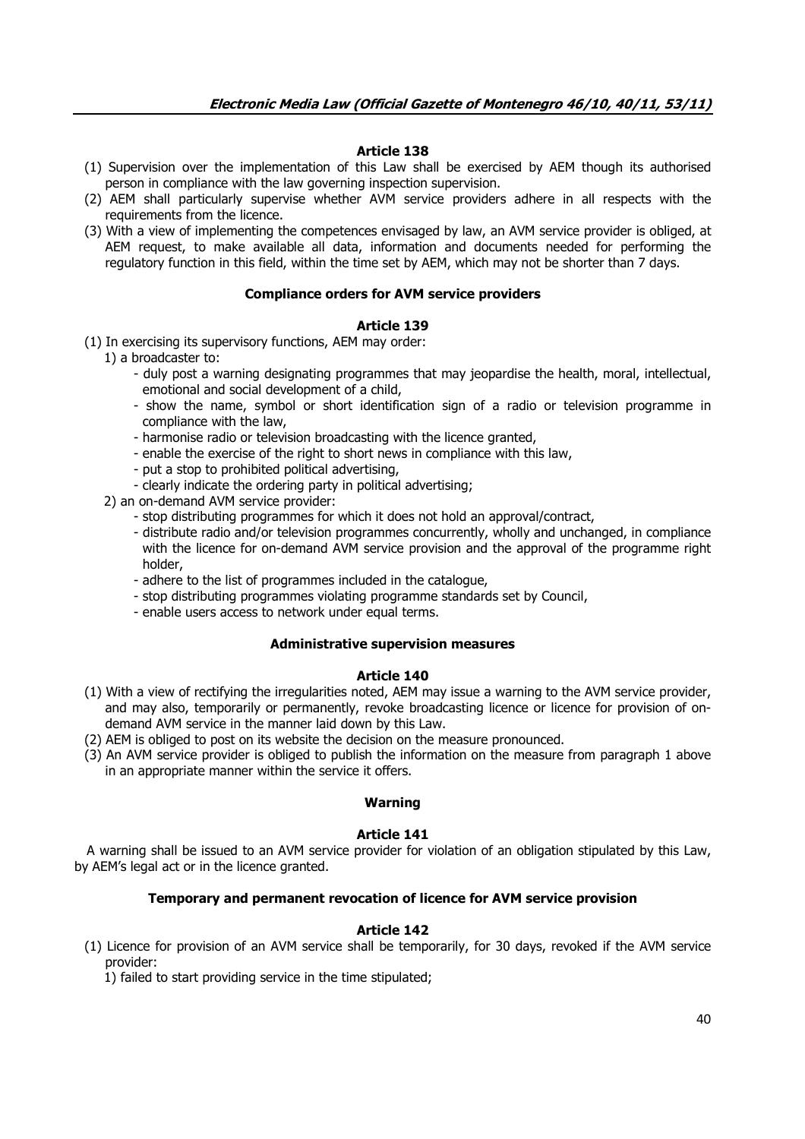## **Article 138**

- (1) Supervision over the implementation of this Law shall be exercised by AEM though its authorised person in compliance with the law governing inspection supervision.
- (2) AEM shall particularly supervise whether AVM service providers adhere in all respects with the requirements from the licence.
- (3) With a view of implementing the competences envisaged by law, an AVM service provider is obliged, at AEM request, to make available all data, information and documents needed for performing the regulatory function in this field, within the time set by AEM, which may not be shorter than 7 days.

### **Compliance orders for AVM service providers**

#### **Article 139**

(1) In exercising its supervisory functions, AEM may order:

- 1) a broadcaster to:
	- duly post a warning designating programmes that may jeopardise the health, moral, intellectual, emotional and social development of a child,
	- show the name, symbol or short identification sign of a radio or television programme in compliance with the law,
	- harmonise radio or television broadcasting with the licence granted,
	- enable the exercise of the right to short news in compliance with this law,
	- put a stop to prohibited political advertising,
	- clearly indicate the ordering party in political advertising;
- 2) an on-demand AVM service provider:
	- stop distributing programmes for which it does not hold an approval/contract,
	- distribute radio and/or television programmes concurrently, wholly and unchanged, in compliance with the licence for on-demand AVM service provision and the approval of the programme right holder,
	- adhere to the list of programmes included in the catalogue,
	- stop distributing programmes violating programme standards set by Council,
	- enable users access to network under equal terms.

### **Administrative supervision measures**

#### **Article 140**

- (1) With a view of rectifying the irregularities noted, AEM may issue a warning to the AVM service provider, and may also, temporarily or permanently, revoke broadcasting licence or licence for provision of ondemand AVM service in the manner laid down by this Law.
- (2) AEM is obliged to post on its website the decision on the measure pronounced.
- (3) An AVM service provider is obliged to publish the information on the measure from paragraph 1 above in an appropriate manner within the service it offers.

### **Warning**

#### **Article 141**

 A warning shall be issued to an AVM service provider for violation of an obligation stipulated by this Law, by AEM's legal act or in the licence granted.

### **Temporary and permanent revocation of licence for AVM service provision**

### **Article 142**

(1) Licence for provision of an AVM service shall be temporarily, for 30 days, revoked if the AVM service provider:

1) failed to start providing service in the time stipulated;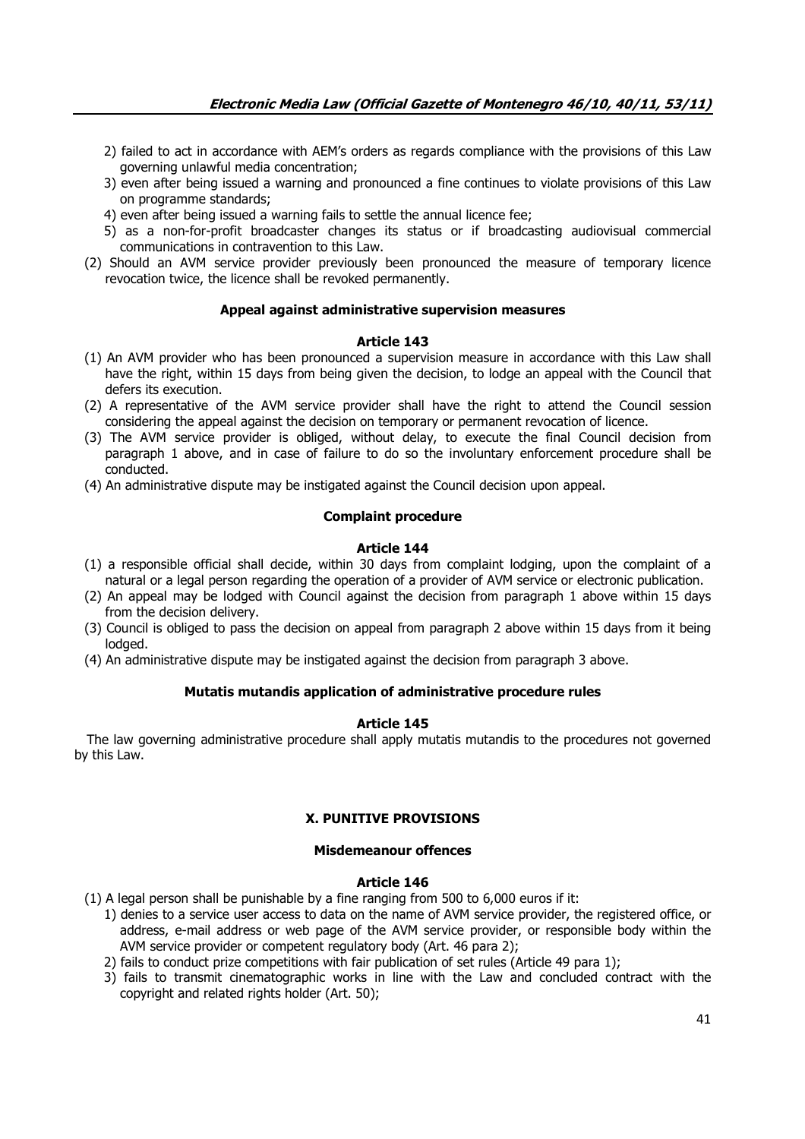- 2) failed to act in accordance with AEM's orders as regards compliance with the provisions of this Law governing unlawful media concentration;
- 3) even after being issued a warning and pronounced a fine continues to violate provisions of this Law on programme standards;
- 4) even after being issued a warning fails to settle the annual licence fee;
- 5) as a non-for-profit broadcaster changes its status or if broadcasting audiovisual commercial communications in contravention to this Law.
- (2) Should an AVM service provider previously been pronounced the measure of temporary licence revocation twice, the licence shall be revoked permanently.

## **Appeal against administrative supervision measures**

# **Article 143**

- (1) An AVM provider who has been pronounced a supervision measure in accordance with this Law shall have the right, within 15 days from being given the decision, to lodge an appeal with the Council that defers its execution.
- (2) A representative of the AVM service provider shall have the right to attend the Council session considering the appeal against the decision on temporary or permanent revocation of licence.
- (3) The AVM service provider is obliged, without delay, to execute the final Council decision from paragraph 1 above, and in case of failure to do so the involuntary enforcement procedure shall be conducted.
- (4) An administrative dispute may be instigated against the Council decision upon appeal.

## **Complaint procedure**

## **Article 144**

- (1) a responsible official shall decide, within 30 days from complaint lodging, upon the complaint of a natural or a legal person regarding the operation of a provider of AVM service or electronic publication.
- (2) An appeal may be lodged with Council against the decision from paragraph 1 above within 15 days from the decision delivery.
- (3) Council is obliged to pass the decision on appeal from paragraph 2 above within 15 days from it being lodged.
- (4) An administrative dispute may be instigated against the decision from paragraph 3 above.

# **Mutatis mutandis application of administrative procedure rules**

# **Article 145**

 The law governing administrative procedure shall apply mutatis mutandis to the procedures not governed by this Law.

### **X. PUNITIVE PROVISIONS**

### **Misdemeanour offences**

### **Article 146**

(1) A legal person shall be punishable by a fine ranging from 500 to 6,000 euros if it:

- 1) denies to a service user access to data on the name of AVM service provider, the registered office, or address, e-mail address or web page of the AVM service provider, or responsible body within the AVM service provider or competent regulatory body (Art. 46 para 2);
- 2) fails to conduct prize competitions with fair publication of set rules (Article 49 para 1);
- 3) fails to transmit cinematographic works in line with the Law and concluded contract with the copyright and related rights holder (Art. 50);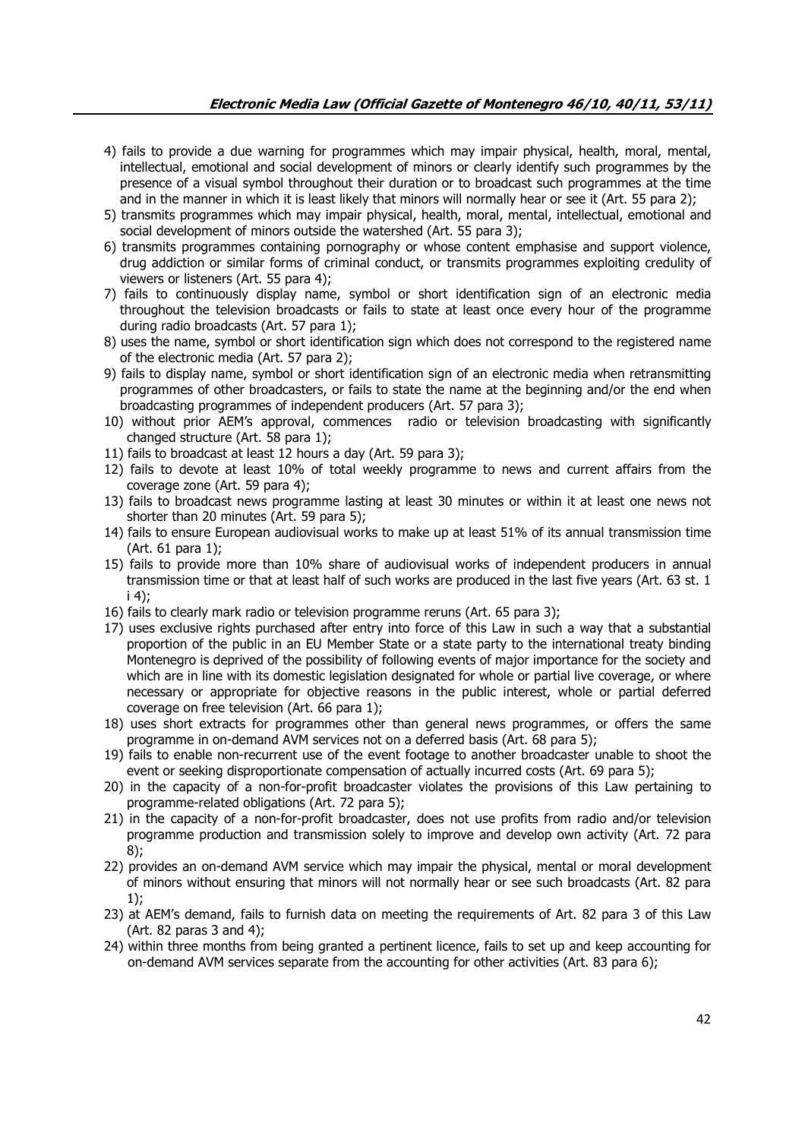- 4) fails to provide a due warning for programmes which may impair physical, health, moral, mental, intellectual, emotional and social development of minors or clearly identify such programmes by the presence of a visual symbol throughout their duration or to broadcast such programmes at the time and in the manner in which it is least likely that minors will normally hear or see it (Art. 55 para 2);
- 5) transmits programmes which may impair physical, health, moral, mental, intellectual, emotional and social development of minors outside the watershed (Art. 55 para 3);
- 6) transmits programmes containing pornography or whose content emphasise and support violence, drug addiction or similar forms of criminal conduct, or transmits programmes exploiting credulity of viewers or listeners (Art. 55 para 4);
- 7) fails to continuously display name, symbol or short identification sign of an electronic media throughout the television broadcasts or fails to state at least once every hour of the programme during radio broadcasts (Art. 57 para 1);
- 8) uses the name, symbol or short identification sign which does not correspond to the registered name of the electronic media (Art. 57 para 2);
- 9) fails to display name, symbol or short identification sign of an electronic media when retransmitting programmes of other broadcasters, or fails to state the name at the beginning and/or the end when broadcasting programmes of independent producers (Art. 57 para 3);
- 10) without prior AEM's approval, commences radio or television broadcasting with significantly changed structure (Art. 58 para 1);
- 11) fails to broadcast at least 12 hours a day (Art. 59 para 3);
- 12) fails to devote at least 10% of total weekly programme to news and current affairs from the coverage zone (Art. 59 para 4);
- 13) fails to broadcast news programme lasting at least 30 minutes or within it at least one news not shorter than 20 minutes (Art. 59 para 5);
- 14) fails to ensure European audiovisual works to make up at least 51% of its annual transmission time (Art. 61 para 1);
- 15) fails to provide more than 10% share of audiovisual works of independent producers in annual transmission time or that at least half of such works are produced in the last five years (Art. 63 st. 1 i 4);
- 16) fails to clearly mark radio or television programme reruns (Art. 65 para 3);
- 17) uses exclusive rights purchased after entry into force of this Law in such a way that a substantial proportion of the public in an EU Member State or a state party to the international treaty binding Montenegro is deprived of the possibility of following events of major importance for the society and which are in line with its domestic legislation designated for whole or partial live coverage, or where necessary or appropriate for objective reasons in the public interest, whole or partial deferred coverage on free television (Art. 66 para 1);
- 18) uses short extracts for programmes other than general news programmes, or offers the same programme in on-demand AVM services not on a deferred basis (Art. 68 para 5);
- 19) fails to enable non-recurrent use of the event footage to another broadcaster unable to shoot the event or seeking disproportionate compensation of actually incurred costs (Art. 69 para 5);
- 20) in the capacity of a non-for-profit broadcaster violates the provisions of this Law pertaining to programme-related obligations (Art. 72 para 5);
- 21) in the capacity of a non-for-profit broadcaster, does not use profits from radio and/or television programme production and transmission solely to improve and develop own activity (Art. 72 para 8);
- 22) provides an on-demand AVM service which may impair the physical, mental or moral development of minors without ensuring that minors will not normally hear or see such broadcasts (Art. 82 para 1);
- 23) at AEM's demand, fails to furnish data on meeting the requirements of Art. 82 para 3 of this Law (Art. 82 paras 3 and 4);
- 24) within three months from being granted a pertinent licence, fails to set up and keep accounting for on-demand AVM services separate from the accounting for other activities (Art. 83 para 6);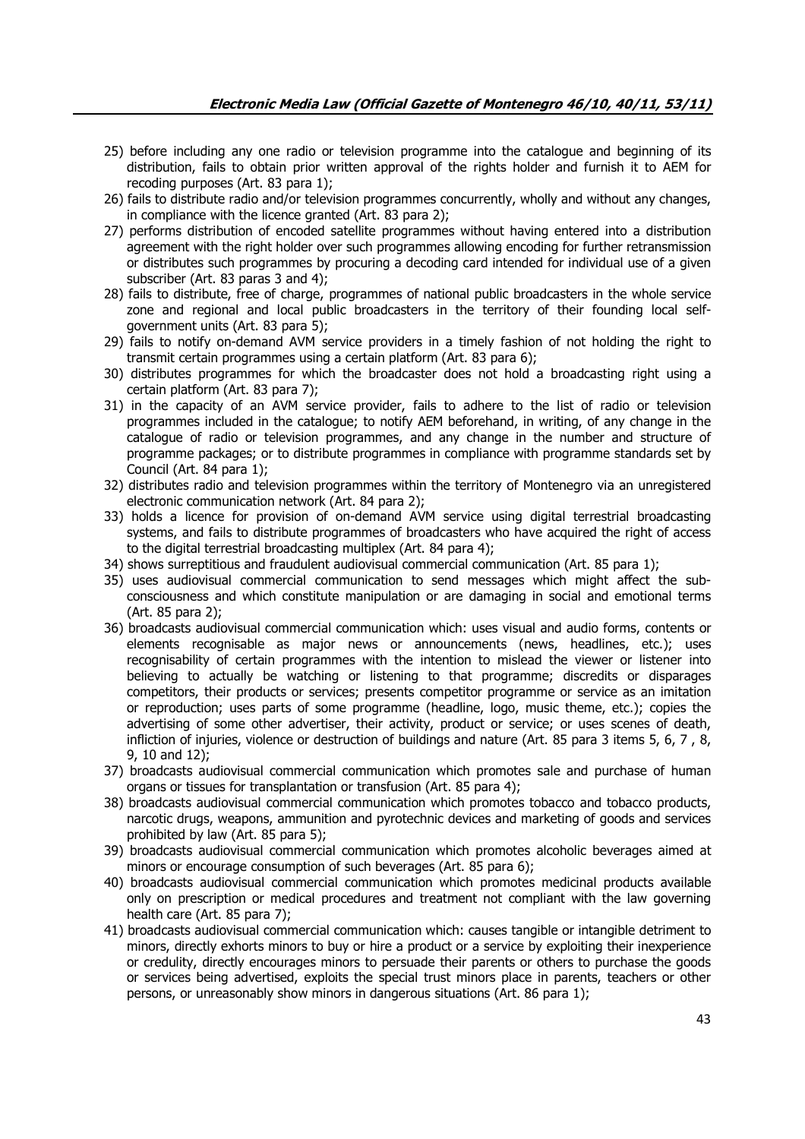- 25) before including any one radio or television programme into the catalogue and beginning of its distribution, fails to obtain prior written approval of the rights holder and furnish it to AEM for recoding purposes (Art. 83 para 1);
- 26) fails to distribute radio and/or television programmes concurrently, wholly and without any changes, in compliance with the licence granted (Art. 83 para 2);
- 27) performs distribution of encoded satellite programmes without having entered into a distribution agreement with the right holder over such programmes allowing encoding for further retransmission or distributes such programmes by procuring a decoding card intended for individual use of a given subscriber (Art. 83 paras 3 and 4);
- 28) fails to distribute, free of charge, programmes of national public broadcasters in the whole service zone and regional and local public broadcasters in the territory of their founding local selfgovernment units (Art. 83 para 5);
- 29) fails to notify on-demand AVM service providers in a timely fashion of not holding the right to transmit certain programmes using a certain platform (Art. 83 para 6);
- 30) distributes programmes for which the broadcaster does not hold a broadcasting right using a certain platform (Art. 83 para 7);
- 31) in the capacity of an AVM service provider, fails to adhere to the list of radio or television programmes included in the catalogue; to notify AEM beforehand, in writing, of any change in the catalogue of radio or television programmes, and any change in the number and structure of programme packages; or to distribute programmes in compliance with programme standards set by Council (Art. 84 para 1);
- 32) distributes radio and television programmes within the territory of Montenegro via an unregistered electronic communication network (Art. 84 para 2);
- 33) holds a licence for provision of on-demand AVM service using digital terrestrial broadcasting systems, and fails to distribute programmes of broadcasters who have acquired the right of access to the digital terrestrial broadcasting multiplex (Art. 84 para 4);
- 34) shows surreptitious and fraudulent audiovisual commercial communication (Art. 85 para 1);
- 35) uses audiovisual commercial communication to send messages which might affect the subconsciousness and which constitute manipulation or are damaging in social and emotional terms (Art. 85 para 2);
- 36) broadcasts audiovisual commercial communication which: uses visual and audio forms, contents or elements recognisable as major news or announcements (news, headlines, etc.); uses recognisability of certain programmes with the intention to mislead the viewer or listener into believing to actually be watching or listening to that programme; discredits or disparages competitors, their products or services; presents competitor programme or service as an imitation or reproduction; uses parts of some programme (headline, logo, music theme, etc.); copies the advertising of some other advertiser, their activity, product or service; or uses scenes of death, infliction of injuries, violence or destruction of buildings and nature (Art. 85 para 3 items 5, 6, 7 , 8, 9, 10 and 12);
- 37) broadcasts audiovisual commercial communication which promotes sale and purchase of human organs or tissues for transplantation or transfusion (Art. 85 para 4);
- 38) broadcasts audiovisual commercial communication which promotes tobacco and tobacco products, narcotic drugs, weapons, ammunition and pyrotechnic devices and marketing of goods and services prohibited by law (Art. 85 para 5);
- 39) broadcasts audiovisual commercial communication which promotes alcoholic beverages aimed at minors or encourage consumption of such beverages (Art. 85 para 6);
- 40) broadcasts audiovisual commercial communication which promotes medicinal products available only on prescription or medical procedures and treatment not compliant with the law governing health care (Art. 85 para 7);
- 41) broadcasts audiovisual commercial communication which: causes tangible or intangible detriment to minors, directly exhorts minors to buy or hire a product or a service by exploiting their inexperience or credulity, directly encourages minors to persuade their parents or others to purchase the goods or services being advertised, exploits the special trust minors place in parents, teachers or other persons, or unreasonably show minors in dangerous situations (Art. 86 para 1);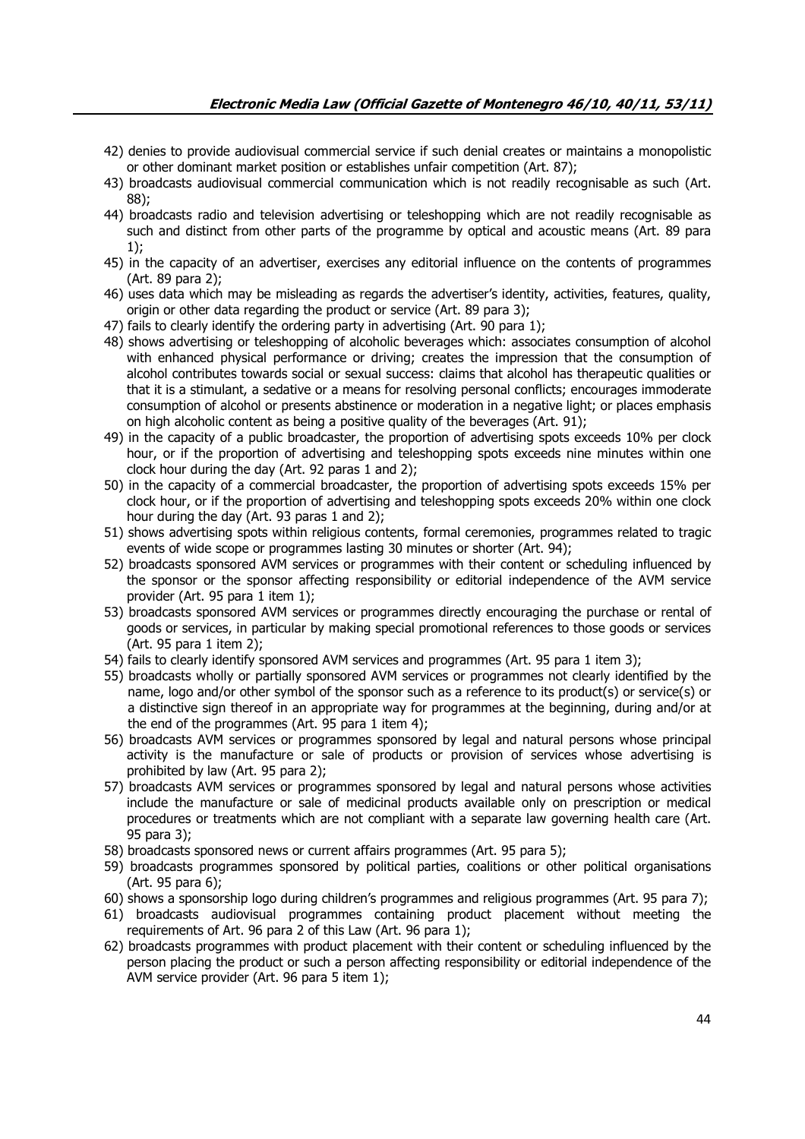- 42) denies to provide audiovisual commercial service if such denial creates or maintains a monopolistic or other dominant market position or establishes unfair competition (Art. 87);
- 43) broadcasts audiovisual commercial communication which is not readily recognisable as such (Art. 88);
- 44) broadcasts radio and television advertising or teleshopping which are not readily recognisable as such and distinct from other parts of the programme by optical and acoustic means (Art. 89 para 1);
- 45) in the capacity of an advertiser, exercises any editorial influence on the contents of programmes (Art. 89 para 2);
- 46) uses data which may be misleading as regards the advertiser's identity, activities, features, quality, origin or other data regarding the product or service (Art. 89 para 3);
- 47) fails to clearly identify the ordering party in advertising (Art. 90 para 1);
- 48) shows advertising or teleshopping of alcoholic beverages which: associates consumption of alcohol with enhanced physical performance or driving; creates the impression that the consumption of alcohol contributes towards social or sexual success: claims that alcohol has therapeutic qualities or that it is a stimulant, a sedative or a means for resolving personal conflicts; encourages immoderate consumption of alcohol or presents abstinence or moderation in a negative light; or places emphasis on high alcoholic content as being a positive quality of the beverages (Art. 91);
- 49) in the capacity of a public broadcaster, the proportion of advertising spots exceeds 10% per clock hour, or if the proportion of advertising and teleshopping spots exceeds nine minutes within one clock hour during the day (Art. 92 paras 1 and 2);
- 50) in the capacity of a commercial broadcaster, the proportion of advertising spots exceeds 15% per clock hour, or if the proportion of advertising and teleshopping spots exceeds 20% within one clock hour during the day (Art. 93 paras 1 and 2);
- 51) shows advertising spots within religious contents, formal ceremonies, programmes related to tragic events of wide scope or programmes lasting 30 minutes or shorter (Art. 94);
- 52) broadcasts sponsored AVM services or programmes with their content or scheduling influenced by the sponsor or the sponsor affecting responsibility or editorial independence of the AVM service provider (Art. 95 para 1 item 1);
- 53) broadcasts sponsored AVM services or programmes directly encouraging the purchase or rental of goods or services, in particular by making special promotional references to those goods or services (Art. 95 para 1 item 2);
- 54) fails to clearly identify sponsored AVM services and programmes (Art. 95 para 1 item 3);
- 55) broadcasts wholly or partially sponsored AVM services or programmes not clearly identified by the name, logo and/or other symbol of the sponsor such as a reference to its product(s) or service(s) or a distinctive sign thereof in an appropriate way for programmes at the beginning, during and/or at the end of the programmes (Art. 95 para 1 item 4);
- 56) broadcasts AVM services or programmes sponsored by legal and natural persons whose principal activity is the manufacture or sale of products or provision of services whose advertising is prohibited by law (Art. 95 para 2);
- 57) broadcasts AVM services or programmes sponsored by legal and natural persons whose activities include the manufacture or sale of medicinal products available only on prescription or medical procedures or treatments which are not compliant with a separate law governing health care (Art. 95 para 3);
- 58) broadcasts sponsored news or current affairs programmes (Art. 95 para 5);
- 59) broadcasts programmes sponsored by political parties, coalitions or other political organisations (Art. 95 para 6);
- 60) shows a sponsorship logo during children's programmes and religious programmes (Art. 95 para 7);
- 61) broadcasts audiovisual programmes containing product placement without meeting the requirements of Art. 96 para 2 of this Law (Art. 96 para 1);
- 62) broadcasts programmes with product placement with their content or scheduling influenced by the person placing the product or such a person affecting responsibility or editorial independence of the AVM service provider (Art. 96 para 5 item 1);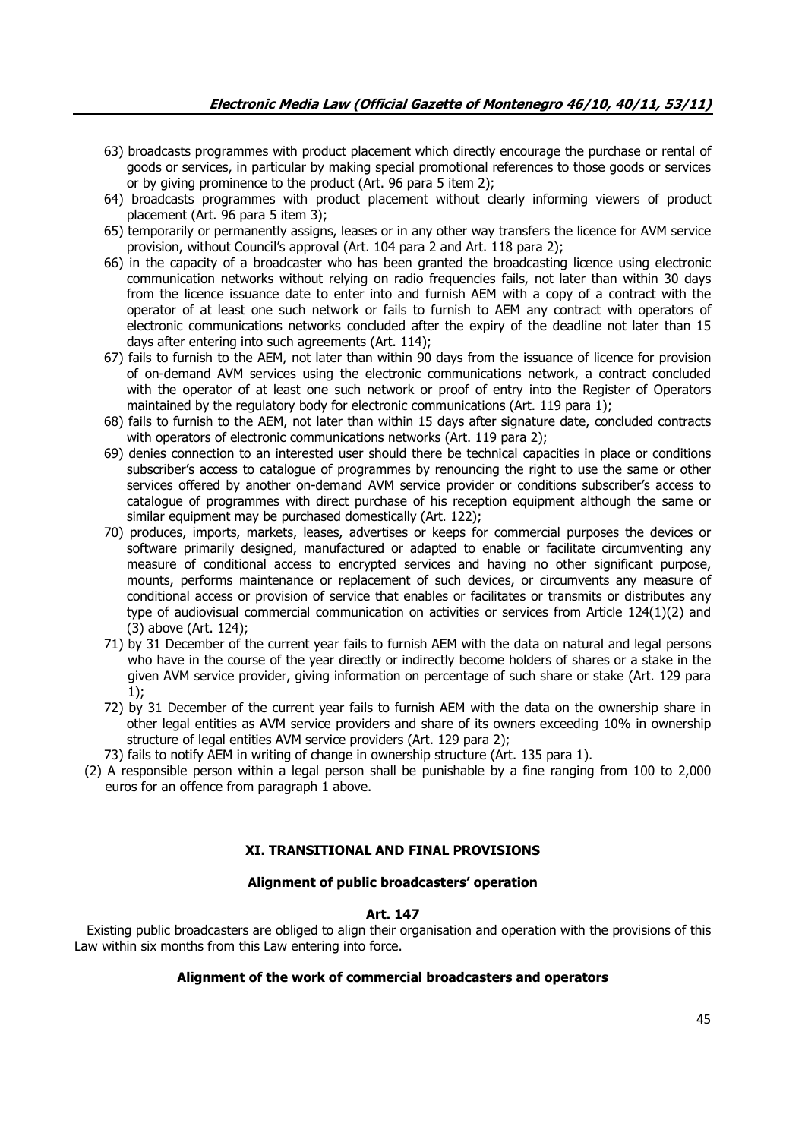- 63) broadcasts programmes with product placement which directly encourage the purchase or rental of goods or services, in particular by making special promotional references to those goods or services or by giving prominence to the product (Art. 96 para 5 item 2);
- 64) broadcasts programmes with product placement without clearly informing viewers of product placement (Art. 96 para 5 item 3);
- 65) temporarily or permanently assigns, leases or in any other way transfers the licence for AVM service provision, without Council's approval (Art. 104 para 2 and Art. 118 para 2);
- 66) in the capacity of a broadcaster who has been granted the broadcasting licence using electronic communication networks without relying on radio frequencies fails, not later than within 30 days from the licence issuance date to enter into and furnish AEM with a copy of a contract with the operator of at least one such network or fails to furnish to AEM any contract with operators of electronic communications networks concluded after the expiry of the deadline not later than 15 days after entering into such agreements (Art. 114);
- 67) fails to furnish to the AEM, not later than within 90 days from the issuance of licence for provision of on-demand AVM services using the electronic communications network, a contract concluded with the operator of at least one such network or proof of entry into the Register of Operators maintained by the regulatory body for electronic communications (Art. 119 para 1);
- 68) fails to furnish to the AEM, not later than within 15 days after signature date, concluded contracts with operators of electronic communications networks (Art. 119 para 2);
- 69) denies connection to an interested user should there be technical capacities in place or conditions subscriber's access to catalogue of programmes by renouncing the right to use the same or other services offered by another on-demand AVM service provider or conditions subscriber's access to catalogue of programmes with direct purchase of his reception equipment although the same or similar equipment may be purchased domestically (Art. 122);
- 70) produces, imports, markets, leases, advertises or keeps for commercial purposes the devices or software primarily designed, manufactured or adapted to enable or facilitate circumventing any measure of conditional access to encrypted services and having no other significant purpose, mounts, performs maintenance or replacement of such devices, or circumvents any measure of conditional access or provision of service that enables or facilitates or transmits or distributes any type of audiovisual commercial communication on activities or services from Article 124(1)(2) and (3) above (Art. 124);
- 71) by 31 December of the current year fails to furnish AEM with the data on natural and legal persons who have in the course of the year directly or indirectly become holders of shares or a stake in the given AVM service provider, giving information on percentage of such share or stake (Art. 129 para 1);
- 72) by 31 December of the current year fails to furnish AEM with the data on the ownership share in other legal entities as AVM service providers and share of its owners exceeding 10% in ownership structure of legal entities AVM service providers (Art. 129 para 2);
- 73) fails to notify AEM in writing of change in ownership structure (Art. 135 para 1).
- (2) A responsible person within a legal person shall be punishable by a fine ranging from 100 to 2,000 euros for an offence from paragraph 1 above.

### **XI. TRANSITIONAL AND FINAL PROVISIONS**

### **Alignment of public broadcasters' operation**

#### **Art. 147**

 Existing public broadcasters are obliged to align their organisation and operation with the provisions of this Law within six months from this Law entering into force.

#### **Alignment of the work of commercial broadcasters and operators**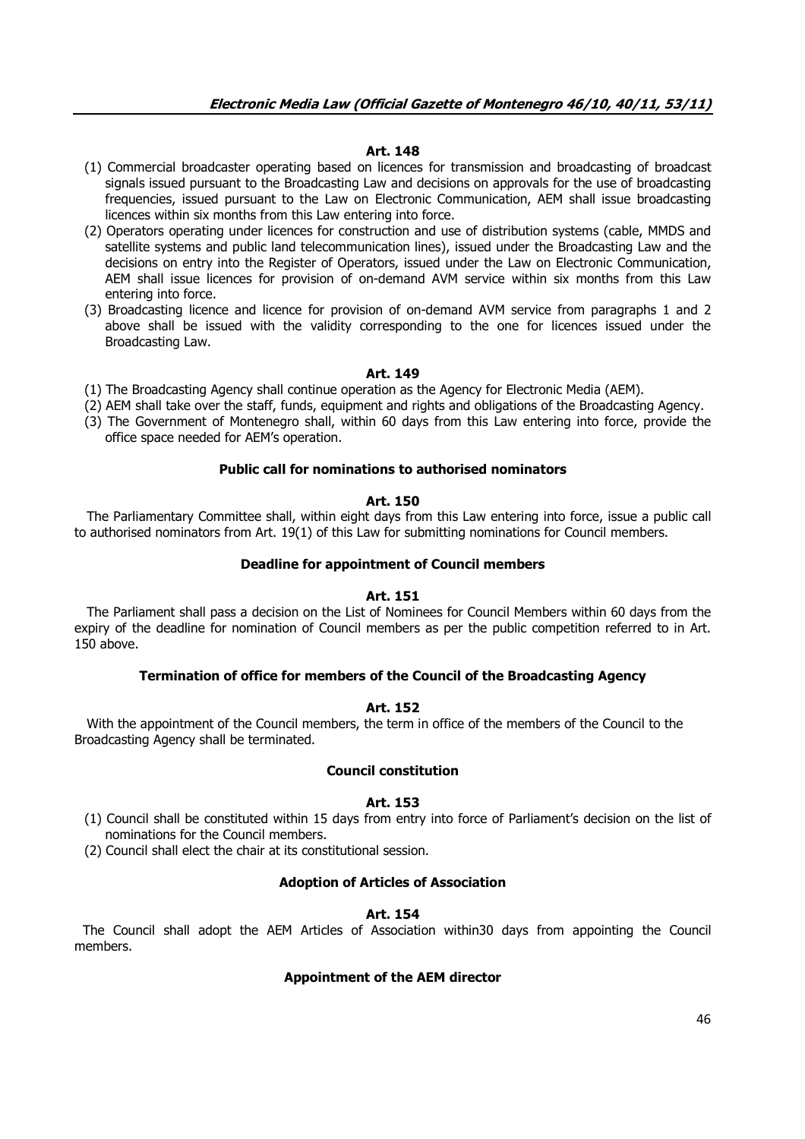### **Art. 148**

- (1) Commercial broadcaster operating based on licences for transmission and broadcasting of broadcast signals issued pursuant to the Broadcasting Law and decisions on approvals for the use of broadcasting frequencies, issued pursuant to the Law on Electronic Communication, AEM shall issue broadcasting licences within six months from this Law entering into force.
- (2) Operators operating under licences for construction and use of distribution systems (cable, MMDS and satellite systems and public land telecommunication lines), issued under the Broadcasting Law and the decisions on entry into the Register of Operators, issued under the Law on Electronic Communication, AEM shall issue licences for provision of on-demand AVM service within six months from this Law entering into force.
- (3) Broadcasting licence and licence for provision of on-demand AVM service from paragraphs 1 and 2 above shall be issued with the validity corresponding to the one for licences issued under the Broadcasting Law.

#### **Art. 149**

- (1) The Broadcasting Agency shall continue operation as the Agency for Electronic Media (AEM).
- (2) AEM shall take over the staff, funds, equipment and rights and obligations of the Broadcasting Agency.
- (3) The Government of Montenegro shall, within 60 days from this Law entering into force, provide the office space needed for AEM's operation.

#### **Public call for nominations to authorised nominators**

#### **Art. 150**

 The Parliamentary Committee shall, within eight days from this Law entering into force, issue a public call to authorised nominators from Art. 19(1) of this Law for submitting nominations for Council members.

#### **Deadline for appointment of Council members**

#### **Art. 151**

 The Parliament shall pass a decision on the List of Nominees for Council Members within 60 days from the expiry of the deadline for nomination of Council members as per the public competition referred to in Art. 150 above.

### **Termination of office for members of the Council of the Broadcasting Agency**

### **Art. 152**

 With the appointment of the Council members, the term in office of the members of the Council to the Broadcasting Agency shall be terminated.

#### **Council constitution**

#### **Art. 153**

(1) Council shall be constituted within 15 days from entry into force of Parliament's decision on the list of nominations for the Council members.

(2) Council shall elect the chair at its constitutional session.

#### **Adoption of Articles of Association**

### **Art. 154**

 The Council shall adopt the AEM Articles of Association within30 days from appointing the Council members.

### **Appointment of the AEM director**